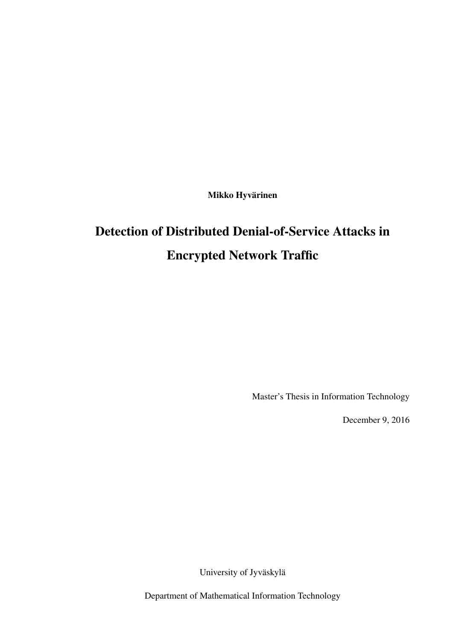Mikko Hyvärinen

# Detection of Distributed Denial-of-Service Attacks in Encrypted Network Traffic

Master's Thesis in Information Technology

December 9, 2016

University of Jyväskylä

Department of Mathematical Information Technology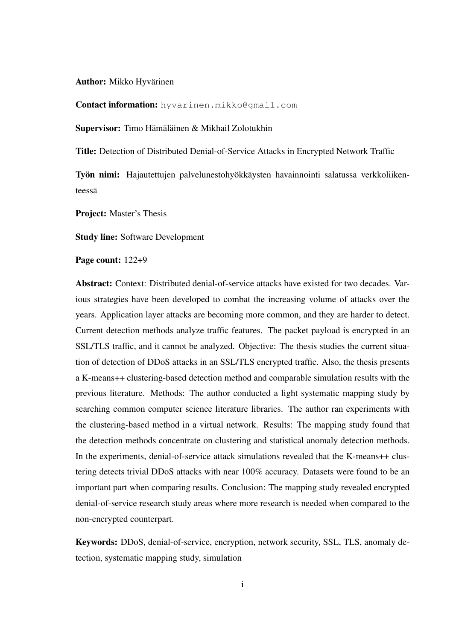Author: Mikko Hyvärinen

Contact information: hyvarinen.mikko@gmail.com

Supervisor: Timo Hämäläinen & Mikhail Zolotukhin

Title: Detection of Distributed Denial-of-Service Attacks in Encrypted Network Traffic

Työn nimi: Hajautettujen palvelunestohyökkäysten havainnointi salatussa verkkoliikenteessä

Project: Master's Thesis

Study line: Software Development

Page count: 122+9

Abstract: Context: Distributed denial-of-service attacks have existed for two decades. Various strategies have been developed to combat the increasing volume of attacks over the years. Application layer attacks are becoming more common, and they are harder to detect. Current detection methods analyze traffic features. The packet payload is encrypted in an SSL/TLS traffic, and it cannot be analyzed. Objective: The thesis studies the current situation of detection of DDoS attacks in an SSL/TLS encrypted traffic. Also, the thesis presents a K-means++ clustering-based detection method and comparable simulation results with the previous literature. Methods: The author conducted a light systematic mapping study by searching common computer science literature libraries. The author ran experiments with the clustering-based method in a virtual network. Results: The mapping study found that the detection methods concentrate on clustering and statistical anomaly detection methods. In the experiments, denial-of-service attack simulations revealed that the K-means++ clustering detects trivial DDoS attacks with near 100% accuracy. Datasets were found to be an important part when comparing results. Conclusion: The mapping study revealed encrypted denial-of-service research study areas where more research is needed when compared to the non-encrypted counterpart.

Keywords: DDoS, denial-of-service, encryption, network security, SSL, TLS, anomaly detection, systematic mapping study, simulation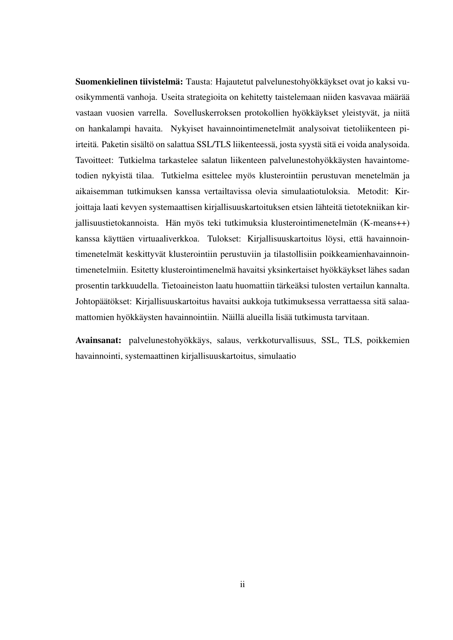Suomenkielinen tiivistelmä: Tausta: Hajautetut palvelunestohyökkäykset ovat jo kaksi vuosikymmentä vanhoja. Useita strategioita on kehitetty taistelemaan niiden kasvavaa määrää vastaan vuosien varrella. Sovelluskerroksen protokollien hyökkäykset yleistyvät, ja niitä on hankalampi havaita. Nykyiset havainnointimenetelmät analysoivat tietoliikenteen piirteitä. Paketin sisältö on salattua SSL/TLS liikenteessä, josta syystä sitä ei voida analysoida. Tavoitteet: Tutkielma tarkastelee salatun liikenteen palvelunestohyökkäysten havaintometodien nykyistä tilaa. Tutkielma esittelee myös klusterointiin perustuvan menetelmän ja aikaisemman tutkimuksen kanssa vertailtavissa olevia simulaatiotuloksia. Metodit: Kirjoittaja laati kevyen systemaattisen kirjallisuuskartoituksen etsien lähteitä tietotekniikan kirjallisuustietokannoista. Hän myös teki tutkimuksia klusterointimenetelmän (K-means++) kanssa käyttäen virtuaaliverkkoa. Tulokset: Kirjallisuuskartoitus löysi, että havainnointimenetelmät keskittyvät klusterointiin perustuviin ja tilastollisiin poikkeamienhavainnointimenetelmiin. Esitetty klusterointimenelmä havaitsi yksinkertaiset hyökkäykset lähes sadan prosentin tarkkuudella. Tietoaineiston laatu huomattiin tärkeäksi tulosten vertailun kannalta. Johtopäätökset: Kirjallisuuskartoitus havaitsi aukkoja tutkimuksessa verrattaessa sitä salaamattomien hyökkäysten havainnointiin. Näillä alueilla lisää tutkimusta tarvitaan.

Avainsanat: palvelunestohyökkäys, salaus, verkkoturvallisuus, SSL, TLS, poikkemien havainnointi, systemaattinen kirjallisuuskartoitus, simulaatio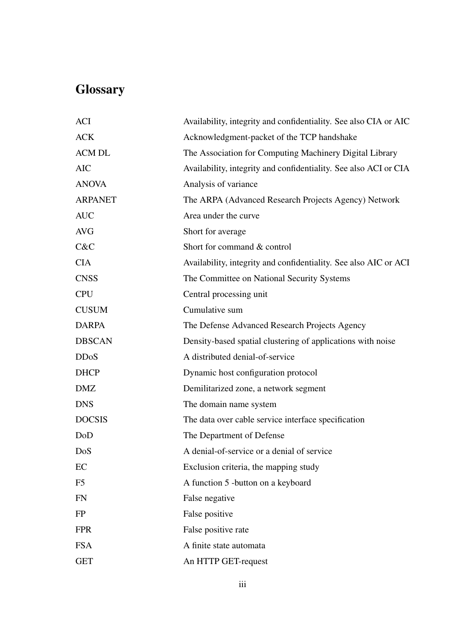## **Glossary**

| <b>ACI</b>                                                                   | Availability, integrity and confidentiality. See also CIA or AIC |  |
|------------------------------------------------------------------------------|------------------------------------------------------------------|--|
| <b>ACK</b>                                                                   | Acknowledgment-packet of the TCP handshake                       |  |
| <b>ACM DL</b>                                                                | The Association for Computing Machinery Digital Library          |  |
| <b>AIC</b>                                                                   | Availability, integrity and confidentiality. See also ACI or CIA |  |
| <b>ANOVA</b>                                                                 | Analysis of variance                                             |  |
| <b>ARPANET</b>                                                               | The ARPA (Advanced Research Projects Agency) Network             |  |
| <b>AUC</b>                                                                   | Area under the curve                                             |  |
| <b>AVG</b>                                                                   | Short for average                                                |  |
| C&C                                                                          | Short for command & control                                      |  |
| <b>CIA</b>                                                                   | Availability, integrity and confidentiality. See also AIC or ACI |  |
| <b>CNSS</b><br>The Committee on National Security Systems                    |                                                                  |  |
| <b>CPU</b><br>Central processing unit                                        |                                                                  |  |
| Cumulative sum<br><b>CUSUM</b>                                               |                                                                  |  |
| <b>DARPA</b>                                                                 | The Defense Advanced Research Projects Agency                    |  |
| <b>DBSCAN</b><br>Density-based spatial clustering of applications with noise |                                                                  |  |
| <b>DDoS</b>                                                                  | A distributed denial-of-service                                  |  |
| <b>DHCP</b>                                                                  | Dynamic host configuration protocol                              |  |
| DMZ                                                                          | Demilitarized zone, a network segment                            |  |
| <b>DNS</b>                                                                   | The domain name system                                           |  |
| <b>DOCSIS</b>                                                                | The data over cable service interface specification              |  |
| DoD                                                                          | The Department of Defense                                        |  |
| DoS                                                                          | A denial-of-service or a denial of service                       |  |
| EC                                                                           | Exclusion criteria, the mapping study                            |  |
| F <sub>5</sub>                                                               | A function 5 -button on a keyboard                               |  |
| <b>FN</b>                                                                    | False negative                                                   |  |
| FP                                                                           | False positive                                                   |  |
| <b>FPR</b>                                                                   | False positive rate                                              |  |
| <b>FSA</b>                                                                   | A finite state automata                                          |  |
| <b>GET</b>                                                                   | An HTTP GET-request                                              |  |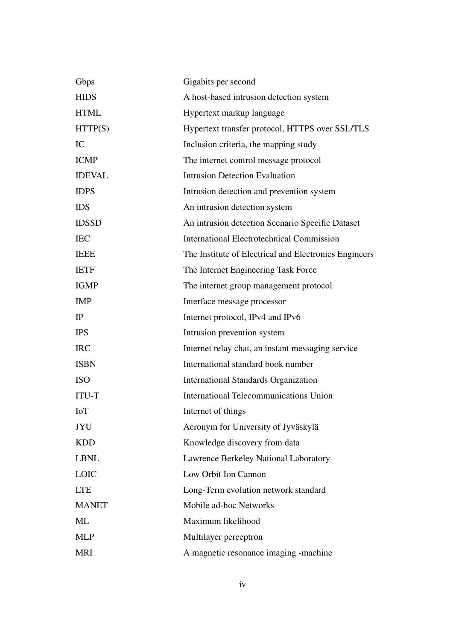| Gbps                                                       | Gigabits per second                                   |  |
|------------------------------------------------------------|-------------------------------------------------------|--|
| <b>HIDS</b>                                                | A host-based intrusion detection system               |  |
| <b>HTML</b>                                                | Hypertext markup language                             |  |
| HTTP(S)<br>Hypertext transfer protocol, HTTPS over SSL/TLS |                                                       |  |
| IC                                                         | Inclusion criteria, the mapping study                 |  |
| <b>ICMP</b>                                                | The internet control message protocol                 |  |
| <b>IDEVAL</b>                                              | <b>Intrusion Detection Evaluation</b>                 |  |
| <b>IDPS</b>                                                | Intrusion detection and prevention system             |  |
| <b>IDS</b>                                                 | An intrusion detection system                         |  |
| <b>IDSSD</b>                                               | An intrusion detection Scenario Specific Dataset      |  |
| <b>IEC</b>                                                 | <b>International Electrotechnical Commission</b>      |  |
| <b>IEEE</b>                                                | The Institute of Electrical and Electronics Engineers |  |
| <b>IETF</b>                                                | The Internet Engineering Task Force                   |  |
| <b>IGMP</b>                                                | The internet group management protocol                |  |
| <b>IMP</b><br>Interface message processor                  |                                                       |  |
| IP                                                         | Internet protocol, IPv4 and IPv6                      |  |
| <b>IPS</b>                                                 | Intrusion prevention system                           |  |
| <b>IRC</b>                                                 | Internet relay chat, an instant messaging service     |  |
| <b>ISBN</b>                                                | International standard book number                    |  |
| <b>ISO</b>                                                 | <b>International Standards Organization</b>           |  |
| <b>ITU-T</b>                                               | <b>International Telecommunications Union</b>         |  |
| <b>IoT</b>                                                 | Internet of things                                    |  |
| <b>JYU</b>                                                 | Acronym for University of Jyväskylä                   |  |
| <b>KDD</b>                                                 | Knowledge discovery from data                         |  |
| <b>LBNL</b>                                                | <b>Lawrence Berkeley National Laboratory</b>          |  |
| <b>LOIC</b>                                                | Low Orbit Ion Cannon                                  |  |
| <b>LTE</b>                                                 | Long-Term evolution network standard                  |  |
| <b>MANET</b>                                               | Mobile ad-hoc Networks                                |  |
| ML                                                         | Maximum likelihood                                    |  |
| <b>MLP</b>                                                 | Multilayer perceptron                                 |  |
| <b>MRI</b>                                                 | A magnetic resonance imaging -machine                 |  |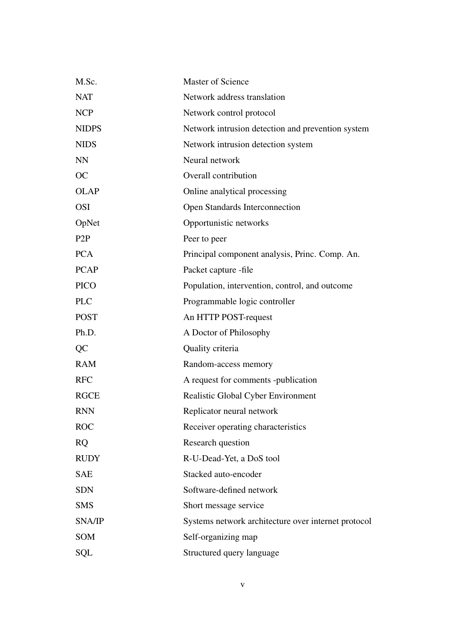| M.Sc.            | Master of Science                                   |  |
|------------------|-----------------------------------------------------|--|
| <b>NAT</b>       | Network address translation                         |  |
| <b>NCP</b>       | Network control protocol                            |  |
| <b>NIDPS</b>     | Network intrusion detection and prevention system   |  |
| <b>NIDS</b>      | Network intrusion detection system                  |  |
| <b>NN</b>        | Neural network                                      |  |
| OC               | Overall contribution                                |  |
| <b>OLAP</b>      | Online analytical processing                        |  |
| <b>OSI</b>       | <b>Open Standards Interconnection</b>               |  |
| OpNet            | Opportunistic networks                              |  |
| P <sub>2</sub> P | Peer to peer                                        |  |
| <b>PCA</b>       | Principal component analysis, Princ. Comp. An.      |  |
| <b>PCAP</b>      | Packet capture -file                                |  |
| <b>PICO</b>      | Population, intervention, control, and outcome      |  |
| <b>PLC</b>       | Programmable logic controller                       |  |
| <b>POST</b>      | An HTTP POST-request                                |  |
| Ph.D.            | A Doctor of Philosophy                              |  |
| QC               | Quality criteria                                    |  |
| <b>RAM</b>       | Random-access memory                                |  |
| <b>RFC</b>       | A request for comments -publication                 |  |
| <b>RGCE</b>      | Realistic Global Cyber Environment                  |  |
| <b>RNN</b>       | Replicator neural network                           |  |
| <b>ROC</b>       | Receiver operating characteristics                  |  |
| <b>RQ</b>        | Research question                                   |  |
| <b>RUDY</b>      | R-U-Dead-Yet, a DoS tool                            |  |
| <b>SAE</b>       | Stacked auto-encoder                                |  |
| <b>SDN</b>       | Software-defined network                            |  |
| <b>SMS</b>       | Short message service                               |  |
| SNA/IP           | Systems network architecture over internet protocol |  |
| <b>SOM</b>       | Self-organizing map                                 |  |
| SQL              | Structured query language                           |  |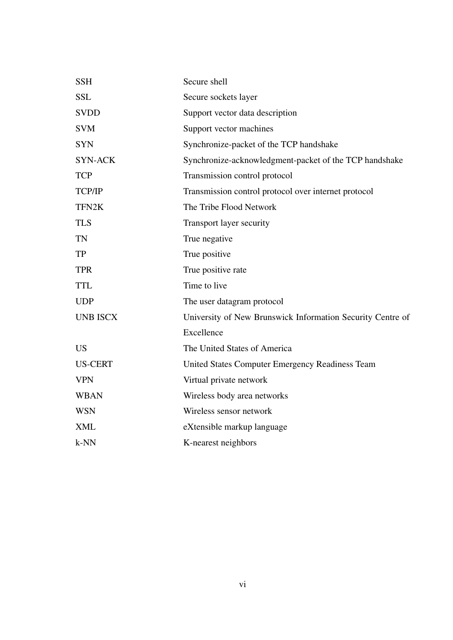| <b>SSH</b>      | Secure shell                                               |
|-----------------|------------------------------------------------------------|
| <b>SSL</b>      | Secure sockets layer                                       |
| <b>SVDD</b>     | Support vector data description                            |
| <b>SVM</b>      | Support vector machines                                    |
| <b>SYN</b>      | Synchronize-packet of the TCP handshake                    |
| <b>SYN-ACK</b>  | Synchronize-acknowledgment-packet of the TCP handshake     |
| <b>TCP</b>      | Transmission control protocol                              |
| <b>TCP/IP</b>   | Transmission control protocol over internet protocol       |
| TFN2K           | The Tribe Flood Network                                    |
| <b>TLS</b>      | Transport layer security                                   |
| <b>TN</b>       | True negative                                              |
| TP              | True positive                                              |
| <b>TPR</b>      | True positive rate                                         |
| <b>TTL</b>      | Time to live                                               |
| <b>UDP</b>      | The user datagram protocol                                 |
| <b>UNB ISCX</b> | University of New Brunswick Information Security Centre of |
|                 | Excellence                                                 |
| <b>US</b>       | The United States of America                               |
| <b>US-CERT</b>  | United States Computer Emergency Readiness Team            |
| <b>VPN</b>      | Virtual private network                                    |
| <b>WBAN</b>     | Wireless body area networks                                |
| <b>WSN</b>      | Wireless sensor network                                    |
| <b>XML</b>      | eXtensible markup language                                 |
| k-NN            | K-nearest neighbors                                        |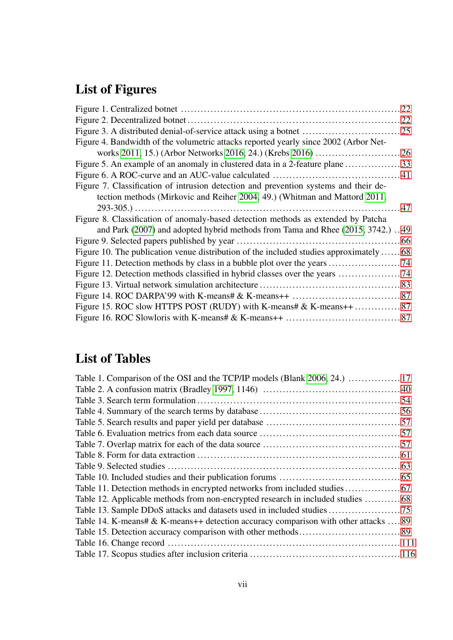# List of Figures

| Figure 4. Bandwidth of the volumetric attacks reported yearly since 2002 (Arbor Net-    |  |
|-----------------------------------------------------------------------------------------|--|
|                                                                                         |  |
| Figure 5. An example of an anomaly in clustered data in a 2-feature plane 33            |  |
|                                                                                         |  |
| Figure 7. Classification of intrusion detection and prevention systems and their de-    |  |
| tection methods (Mirkovic and Reiher 2004, 49.) (Whitman and Mattord 2011,              |  |
|                                                                                         |  |
| Figure 8. Classification of anomaly-based detection methods as extended by Patcha       |  |
| and Park (2007) and adopted hybrid methods from Tama and Rhee (2015, 3742.) . 49        |  |
|                                                                                         |  |
| Figure 10. The publication venue distribution of the included studies approximately  68 |  |
|                                                                                         |  |
|                                                                                         |  |
|                                                                                         |  |
|                                                                                         |  |
|                                                                                         |  |
|                                                                                         |  |
|                                                                                         |  |

## List of Tables

| Table 14. K-means# & K-means++ detection accuracy comparison with other attacks  89 |  |
|-------------------------------------------------------------------------------------|--|
|                                                                                     |  |
|                                                                                     |  |
|                                                                                     |  |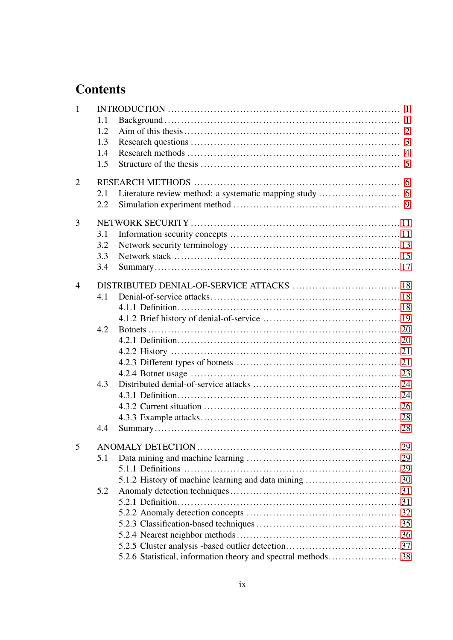## **Contents**

| 1              |     |                                                              |  |
|----------------|-----|--------------------------------------------------------------|--|
|                | 1.1 |                                                              |  |
|                | 1.2 |                                                              |  |
|                | 1.3 |                                                              |  |
|                | 1.4 |                                                              |  |
|                | 1.5 |                                                              |  |
| $\overline{2}$ |     |                                                              |  |
|                | 2.1 |                                                              |  |
|                | 2.2 |                                                              |  |
| 3              |     |                                                              |  |
|                | 3.1 |                                                              |  |
|                | 3.2 |                                                              |  |
|                | 3.3 |                                                              |  |
|                | 3.4 |                                                              |  |
| $\overline{4}$ |     |                                                              |  |
|                | 4.1 |                                                              |  |
|                |     |                                                              |  |
|                |     |                                                              |  |
|                | 4.2 |                                                              |  |
|                |     |                                                              |  |
|                |     |                                                              |  |
|                |     |                                                              |  |
|                |     |                                                              |  |
|                | 4.3 |                                                              |  |
|                |     |                                                              |  |
|                |     |                                                              |  |
|                |     |                                                              |  |
|                | 4.4 |                                                              |  |
| 5              |     |                                                              |  |
|                | 5.1 |                                                              |  |
|                |     |                                                              |  |
|                |     |                                                              |  |
|                | 5.2 |                                                              |  |
|                |     |                                                              |  |
|                |     |                                                              |  |
|                |     |                                                              |  |
|                |     |                                                              |  |
|                |     |                                                              |  |
|                |     | 5.2.6 Statistical, information theory and spectral methods38 |  |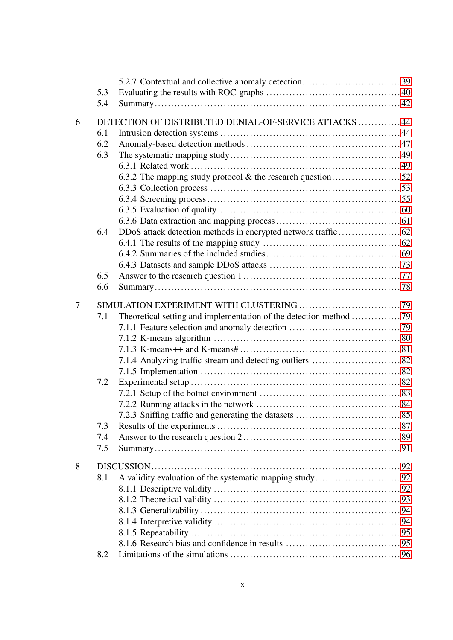|   | 5.3 |                                                       |  |
|---|-----|-------------------------------------------------------|--|
|   | 5.4 |                                                       |  |
|   |     |                                                       |  |
| 6 | 6.1 | DETECTION OF DISTRIBUTED DENIAL-OF-SERVICE ATTACKS 44 |  |
|   |     |                                                       |  |
|   | 6.2 |                                                       |  |
|   | 6.3 |                                                       |  |
|   |     |                                                       |  |
|   |     |                                                       |  |
|   |     |                                                       |  |
|   |     |                                                       |  |
|   |     |                                                       |  |
|   |     |                                                       |  |
|   | 6.4 |                                                       |  |
|   |     |                                                       |  |
|   |     |                                                       |  |
|   |     |                                                       |  |
|   | 6.5 |                                                       |  |
|   | 6.6 |                                                       |  |
| 7 |     |                                                       |  |
|   | 7.1 |                                                       |  |
|   |     |                                                       |  |
|   |     |                                                       |  |
|   |     |                                                       |  |
|   |     |                                                       |  |
|   |     |                                                       |  |
|   | 7.2 |                                                       |  |
|   |     |                                                       |  |
|   |     |                                                       |  |
|   |     |                                                       |  |
|   | 7.3 |                                                       |  |
|   | 7.4 |                                                       |  |
|   | 7.5 |                                                       |  |
|   |     |                                                       |  |
| 8 |     |                                                       |  |
|   | 8.1 |                                                       |  |
|   |     |                                                       |  |
|   |     |                                                       |  |
|   |     |                                                       |  |
|   |     |                                                       |  |
|   |     |                                                       |  |
|   |     |                                                       |  |
|   | 8.2 |                                                       |  |
|   |     |                                                       |  |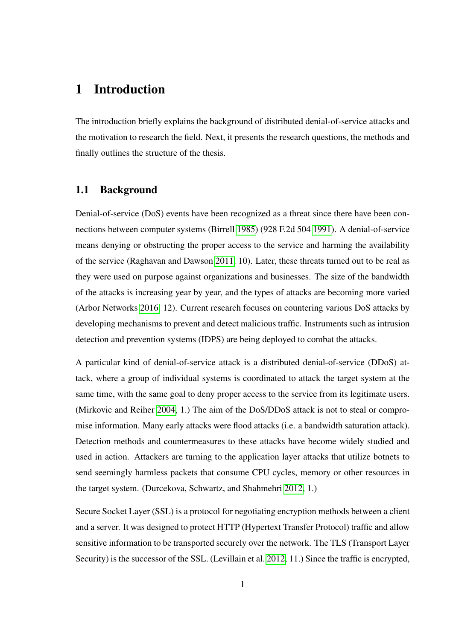### <span id="page-12-0"></span>1 Introduction

The introduction briefly explains the background of distributed denial-of-service attacks and the motivation to research the field. Next, it presents the research questions, the methods and finally outlines the structure of the thesis.

#### <span id="page-12-1"></span>1.1 Background

Denial-of-service (DoS) events have been recognized as a threat since there have been connections between computer systems (Birrell [1985\)](#page-112-2) (928 F.2d 504 [1991\)](#page-111-3). A denial-of-service means denying or obstructing the proper access to the service and harming the availability of the service (Raghavan and Dawson [2011,](#page-118-1) 10). Later, these threats turned out to be real as they were used on purpose against organizations and businesses. The size of the bandwidth of the attacks is increasing year by year, and the types of attacks are becoming more varied (Arbor Networks [2016,](#page-111-1) 12). Current research focuses on countering various DoS attacks by developing mechanisms to prevent and detect malicious traffic. Instruments such as intrusion detection and prevention systems (IDPS) are being deployed to combat the attacks.

A particular kind of denial-of-service attack is a distributed denial-of-service (DDoS) attack, where a group of individual systems is coordinated to attack the target system at the same time, with the same goal to deny proper access to the service from its legitimate users. (Mirkovic and Reiher [2004,](#page-117-1) 1.) The aim of the DoS/DDoS attack is not to steal or compromise information. Many early attacks were flood attacks (i.e. a bandwidth saturation attack). Detection methods and countermeasures to these attacks have become widely studied and used in action. Attackers are turning to the application layer attacks that utilize botnets to send seemingly harmless packets that consume CPU cycles, memory or other resources in the target system. (Durcekova, Schwartz, and Shahmehri [2012,](#page-113-0) 1.)

Secure Socket Layer (SSL) is a protocol for negotiating encryption methods between a client and a server. It was designed to protect HTTP (Hypertext Transfer Protocol) traffic and allow sensitive information to be transported securely over the network. The TLS (Transport Layer Security) is the successor of the SSL. (Levillain et al. [2012,](#page-117-2) 11.) Since the traffic is encrypted,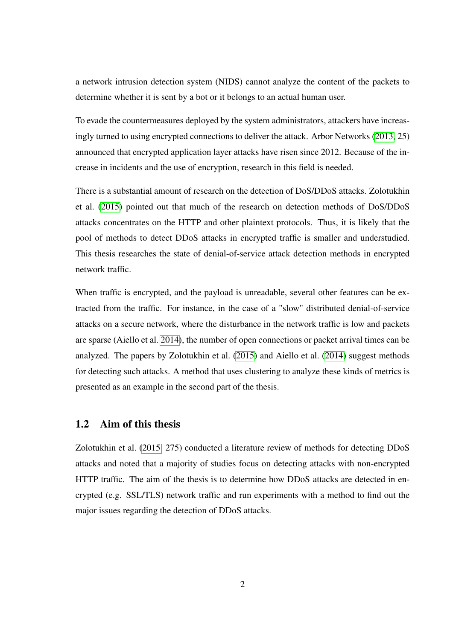a network intrusion detection system (NIDS) cannot analyze the content of the packets to determine whether it is sent by a bot or it belongs to an actual human user.

To evade the countermeasures deployed by the system administrators, attackers have increasingly turned to using encrypted connections to deliver the attack. Arbor Networks [\(2013,](#page-111-4) 25) announced that encrypted application layer attacks have risen since 2012. Because of the increase in incidents and the use of encryption, research in this field is needed.

There is a substantial amount of research on the detection of DoS/DDoS attacks. Zolotukhin et al. [\(2015\)](#page-121-1) pointed out that much of the research on detection methods of DoS/DDoS attacks concentrates on the HTTP and other plaintext protocols. Thus, it is likely that the pool of methods to detect DDoS attacks in encrypted traffic is smaller and understudied. This thesis researches the state of denial-of-service attack detection methods in encrypted network traffic.

When traffic is encrypted, and the payload is unreadable, several other features can be extracted from the traffic. For instance, in the case of a "slow" distributed denial-of-service attacks on a secure network, where the disturbance in the network traffic is low and packets are sparse (Aiello et al. [2014\)](#page-111-5), the number of open connections or packet arrival times can be analyzed. The papers by Zolotukhin et al. [\(2015\)](#page-121-1) and Aiello et al. [\(2014\)](#page-111-5) suggest methods for detecting such attacks. A method that uses clustering to analyze these kinds of metrics is presented as an example in the second part of the thesis.

#### <span id="page-13-0"></span>1.2 Aim of this thesis

Zolotukhin et al. [\(2015,](#page-121-1) 275) conducted a literature review of methods for detecting DDoS attacks and noted that a majority of studies focus on detecting attacks with non-encrypted HTTP traffic. The aim of the thesis is to determine how DDoS attacks are detected in encrypted (e.g. SSL/TLS) network traffic and run experiments with a method to find out the major issues regarding the detection of DDoS attacks.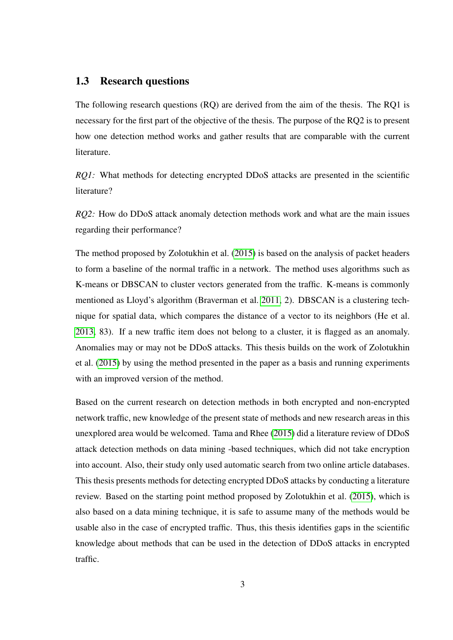#### <span id="page-14-0"></span>1.3 Research questions

The following research questions (RQ) are derived from the aim of the thesis. The RQ1 is necessary for the first part of the objective of the thesis. The purpose of the RQ2 is to present how one detection method works and gather results that are comparable with the current literature.

*RQ1*: What methods for detecting encrypted DDoS attacks are presented in the scientific literature?

*RQ2:* How do DDoS attack anomaly detection methods work and what are the main issues regarding their performance?

The method proposed by Zolotukhin et al. [\(2015\)](#page-121-1) is based on the analysis of packet headers to form a baseline of the normal traffic in a network. The method uses algorithms such as K-means or DBSCAN to cluster vectors generated from the traffic. K-means is commonly mentioned as Lloyd's algorithm (Braverman et al. [2011,](#page-112-3) 2). DBSCAN is a clustering technique for spatial data, which compares the distance of a vector to its neighbors (He et al. [2013,](#page-115-0) 83). If a new traffic item does not belong to a cluster, it is flagged as an anomaly. Anomalies may or may not be DDoS attacks. This thesis builds on the work of Zolotukhin et al. [\(2015\)](#page-121-1) by using the method presented in the paper as a basis and running experiments with an improved version of the method.

Based on the current research on detection methods in both encrypted and non-encrypted network traffic, new knowledge of the present state of methods and new research areas in this unexplored area would be welcomed. Tama and Rhee [\(2015\)](#page-120-0) did a literature review of DDoS attack detection methods on data mining -based techniques, which did not take encryption into account. Also, their study only used automatic search from two online article databases. This thesis presents methods for detecting encrypted DDoS attacks by conducting a literature review. Based on the starting point method proposed by Zolotukhin et al. [\(2015\)](#page-121-1), which is also based on a data mining technique, it is safe to assume many of the methods would be usable also in the case of encrypted traffic. Thus, this thesis identifies gaps in the scientific knowledge about methods that can be used in the detection of DDoS attacks in encrypted traffic.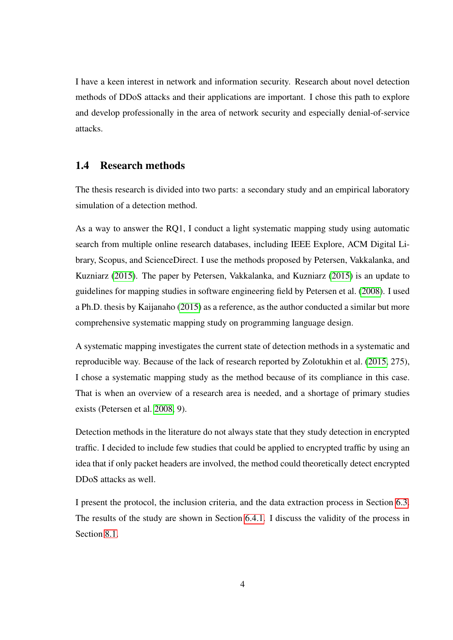I have a keen interest in network and information security. Research about novel detection methods of DDoS attacks and their applications are important. I chose this path to explore and develop professionally in the area of network security and especially denial-of-service attacks.

#### <span id="page-15-0"></span>1.4 Research methods

The thesis research is divided into two parts: a secondary study and an empirical laboratory simulation of a detection method.

As a way to answer the RQ1, I conduct a light systematic mapping study using automatic search from multiple online research databases, including IEEE Explore, ACM Digital Library, Scopus, and ScienceDirect. I use the methods proposed by Petersen, Vakkalanka, and Kuzniarz [\(2015\)](#page-118-2). The paper by Petersen, Vakkalanka, and Kuzniarz [\(2015\)](#page-118-2) is an update to guidelines for mapping studies in software engineering field by Petersen et al. [\(2008\)](#page-118-3). I used a Ph.D. thesis by Kaijanaho [\(2015\)](#page-116-0) as a reference, as the author conducted a similar but more comprehensive systematic mapping study on programming language design.

A systematic mapping investigates the current state of detection methods in a systematic and reproducible way. Because of the lack of research reported by Zolotukhin et al. [\(2015,](#page-121-1) 275), I chose a systematic mapping study as the method because of its compliance in this case. That is when an overview of a research area is needed, and a shortage of primary studies exists (Petersen et al. [2008,](#page-118-3) 9).

Detection methods in the literature do not always state that they study detection in encrypted traffic. I decided to include few studies that could be applied to encrypted traffic by using an idea that if only packet headers are involved, the method could theoretically detect encrypted DDoS attacks as well.

I present the protocol, the inclusion criteria, and the data extraction process in Section [6.3.](#page-60-1) The results of the study are shown in Section [6.4.1.](#page-73-1) I discuss the validity of the process in Section [8.1.](#page-103-1)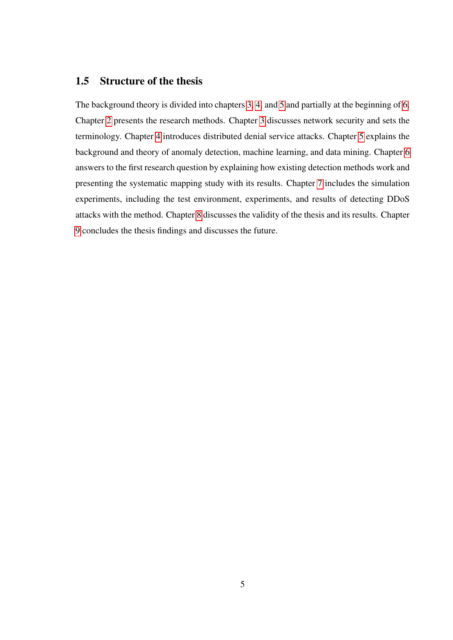#### <span id="page-16-0"></span>1.5 Structure of the thesis

The background theory is divided into chapters [3,](#page-22-0) [4,](#page-29-0) and [5](#page-40-0) and partially at the beginning of [6.](#page-55-0) Chapter [2](#page-17-0) presents the research methods. Chapter [3](#page-22-0) discusses network security and sets the terminology. Chapter [4](#page-29-0) introduces distributed denial service attacks. Chapter [5](#page-40-0) explains the background and theory of anomaly detection, machine learning, and data mining. Chapter [6](#page-55-0) answers to the first research question by explaining how existing detection methods work and presenting the systematic mapping study with its results. Chapter [7](#page-90-0) includes the simulation experiments, including the test environment, experiments, and results of detecting DDoS attacks with the method. Chapter [8](#page-103-0) discusses the validity of the thesis and its results. Chapter [9](#page-109-0) concludes the thesis findings and discusses the future.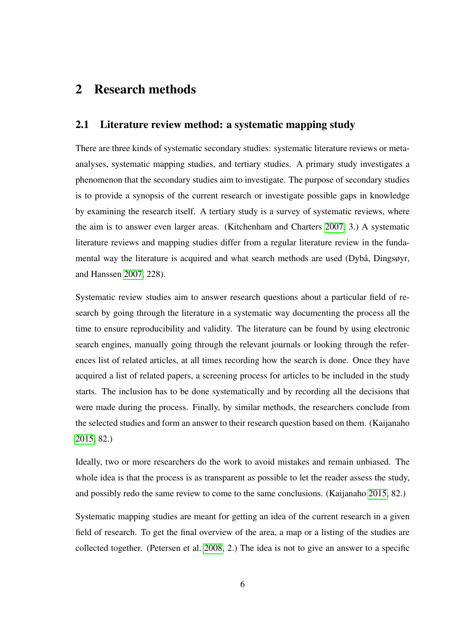## <span id="page-17-1"></span><span id="page-17-0"></span>2 Research methods

#### 2.1 Literature review method: a systematic mapping study

There are three kinds of systematic secondary studies: systematic literature reviews or metaanalyses, systematic mapping studies, and tertiary studies. A primary study investigates a phenomenon that the secondary studies aim to investigate. The purpose of secondary studies is to provide a synopsis of the current research or investigate possible gaps in knowledge by examining the research itself. A tertiary study is a survey of systematic reviews, where the aim is to answer even larger areas. (Kitchenham and Charters [2007,](#page-116-1) 3.) A systematic literature reviews and mapping studies differ from a regular literature review in the fundamental way the literature is acquired and what search methods are used (Dybå, Dingsøyr, and Hanssen [2007,](#page-114-0) 228).

Systematic review studies aim to answer research questions about a particular field of research by going through the literature in a systematic way documenting the process all the time to ensure reproducibility and validity. The literature can be found by using electronic search engines, manually going through the relevant journals or looking through the references list of related articles, at all times recording how the search is done. Once they have acquired a list of related papers, a screening process for articles to be included in the study starts. The inclusion has to be done systematically and by recording all the decisions that were made during the process. Finally, by similar methods, the researchers conclude from the selected studies and form an answer to their research question based on them. (Kaijanaho [2015,](#page-116-0) 82.)

Ideally, two or more researchers do the work to avoid mistakes and remain unbiased. The whole idea is that the process is as transparent as possible to let the reader assess the study, and possibly redo the same review to come to the same conclusions. (Kaijanaho [2015,](#page-116-0) 82.)

Systematic mapping studies are meant for getting an idea of the current research in a given field of research. To get the final overview of the area, a map or a listing of the studies are collected together. (Petersen et al. [2008,](#page-118-3) 2.) The idea is not to give an answer to a specific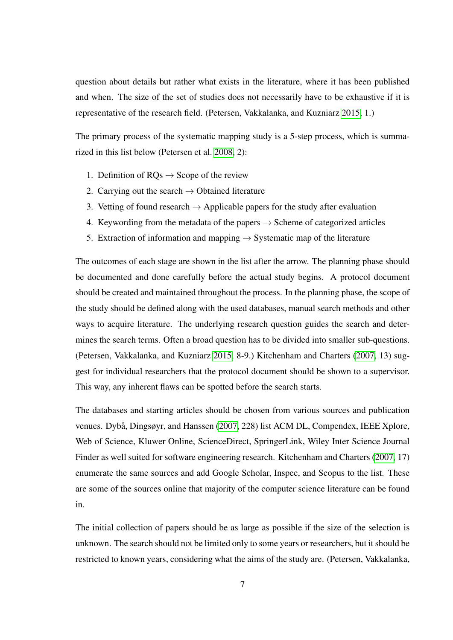question about details but rather what exists in the literature, where it has been published and when. The size of the set of studies does not necessarily have to be exhaustive if it is representative of the research field. (Petersen, Vakkalanka, and Kuzniarz [2015,](#page-118-2) 1.)

The primary process of the systematic mapping study is a 5-step process, which is summarized in this list below (Petersen et al. [2008,](#page-118-3) 2):

- 1. Definition of  $RQs \rightarrow$  Scope of the review
- 2. Carrying out the search  $\rightarrow$  Obtained literature
- 3. Vetting of found research  $\rightarrow$  Applicable papers for the study after evaluation
- 4. Keywording from the metadata of the papers  $\rightarrow$  Scheme of categorized articles
- 5. Extraction of information and mapping  $\rightarrow$  Systematic map of the literature

The outcomes of each stage are shown in the list after the arrow. The planning phase should be documented and done carefully before the actual study begins. A protocol document should be created and maintained throughout the process. In the planning phase, the scope of the study should be defined along with the used databases, manual search methods and other ways to acquire literature. The underlying research question guides the search and determines the search terms. Often a broad question has to be divided into smaller sub-questions. (Petersen, Vakkalanka, and Kuzniarz [2015,](#page-118-2) 8-9.) Kitchenham and Charters [\(2007,](#page-116-1) 13) suggest for individual researchers that the protocol document should be shown to a supervisor. This way, any inherent flaws can be spotted before the search starts.

The databases and starting articles should be chosen from various sources and publication venues. Dybå, Dingsøyr, and Hanssen [\(2007,](#page-114-0) 228) list ACM DL, Compendex, IEEE Xplore, Web of Science, Kluwer Online, ScienceDirect, SpringerLink, Wiley Inter Science Journal Finder as well suited for software engineering research. Kitchenham and Charters [\(2007,](#page-116-1) 17) enumerate the same sources and add Google Scholar, Inspec, and Scopus to the list. These are some of the sources online that majority of the computer science literature can be found in.

The initial collection of papers should be as large as possible if the size of the selection is unknown. The search should not be limited only to some years or researchers, but it should be restricted to known years, considering what the aims of the study are. (Petersen, Vakkalanka,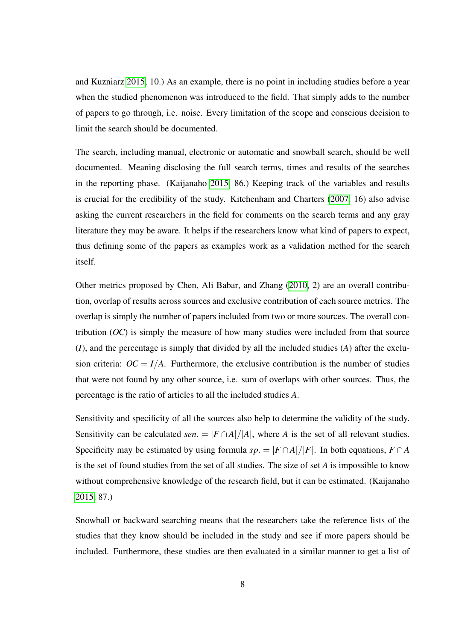and Kuzniarz [2015,](#page-118-2) 10.) As an example, there is no point in including studies before a year when the studied phenomenon was introduced to the field. That simply adds to the number of papers to go through, i.e. noise. Every limitation of the scope and conscious decision to limit the search should be documented.

The search, including manual, electronic or automatic and snowball search, should be well documented. Meaning disclosing the full search terms, times and results of the searches in the reporting phase. (Kaijanaho [2015,](#page-116-0) 86.) Keeping track of the variables and results is crucial for the credibility of the study. Kitchenham and Charters [\(2007,](#page-116-1) 16) also advise asking the current researchers in the field for comments on the search terms and any gray literature they may be aware. It helps if the researchers know what kind of papers to expect, thus defining some of the papers as examples work as a validation method for the search itself.

Other metrics proposed by Chen, Ali Babar, and Zhang [\(2010,](#page-113-1) 2) are an overall contribution, overlap of results across sources and exclusive contribution of each source metrics. The overlap is simply the number of papers included from two or more sources. The overall contribution (*OC*) is simply the measure of how many studies were included from that source (*I*), and the percentage is simply that divided by all the included studies (*A*) after the exclusion criteria:  $OC = I/A$ . Furthermore, the exclusive contribution is the number of studies that were not found by any other source, i.e. sum of overlaps with other sources. Thus, the percentage is the ratio of articles to all the included studies *A*.

Sensitivity and specificity of all the sources also help to determine the validity of the study. Sensitivity can be calculated *sen*. =  $|F \cap A|/|A|$ , where *A* is the set of all relevant studies. Specificity may be estimated by using formula  $sp. = |F \cap A|/|F|$ . In both equations,  $F \cap A$ is the set of found studies from the set of all studies. The size of set *A* is impossible to know without comprehensive knowledge of the research field, but it can be estimated. (Kaijanaho [2015,](#page-116-0) 87.)

Snowball or backward searching means that the researchers take the reference lists of the studies that they know should be included in the study and see if more papers should be included. Furthermore, these studies are then evaluated in a similar manner to get a list of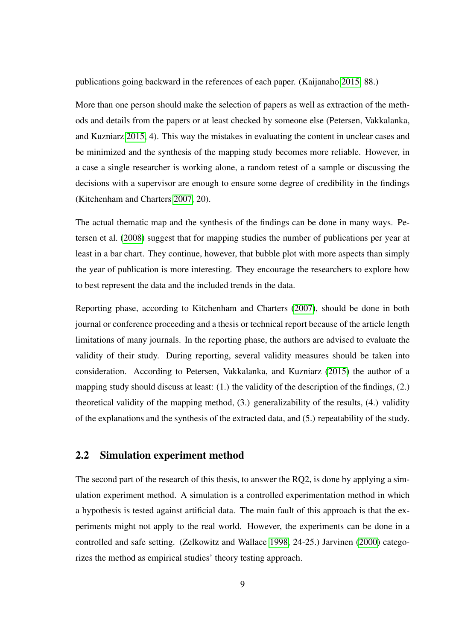publications going backward in the references of each paper. (Kaijanaho [2015,](#page-116-0) 88.)

More than one person should make the selection of papers as well as extraction of the methods and details from the papers or at least checked by someone else (Petersen, Vakkalanka, and Kuzniarz [2015,](#page-118-2) 4). This way the mistakes in evaluating the content in unclear cases and be minimized and the synthesis of the mapping study becomes more reliable. However, in a case a single researcher is working alone, a random retest of a sample or discussing the decisions with a supervisor are enough to ensure some degree of credibility in the findings (Kitchenham and Charters [2007,](#page-116-1) 20).

The actual thematic map and the synthesis of the findings can be done in many ways. Petersen et al. [\(2008\)](#page-118-3) suggest that for mapping studies the number of publications per year at least in a bar chart. They continue, however, that bubble plot with more aspects than simply the year of publication is more interesting. They encourage the researchers to explore how to best represent the data and the included trends in the data.

Reporting phase, according to Kitchenham and Charters [\(2007\)](#page-116-1), should be done in both journal or conference proceeding and a thesis or technical report because of the article length limitations of many journals. In the reporting phase, the authors are advised to evaluate the validity of their study. During reporting, several validity measures should be taken into consideration. According to Petersen, Vakkalanka, and Kuzniarz [\(2015\)](#page-118-2) the author of a mapping study should discuss at least: (1.) the validity of the description of the findings, (2.) theoretical validity of the mapping method, (3.) generalizability of the results, (4.) validity of the explanations and the synthesis of the extracted data, and (5.) repeatability of the study.

#### <span id="page-20-0"></span>2.2 Simulation experiment method

The second part of the research of this thesis, to answer the RQ2, is done by applying a simulation experiment method. A simulation is a controlled experimentation method in which a hypothesis is tested against artificial data. The main fault of this approach is that the experiments might not apply to the real world. However, the experiments can be done in a controlled and safe setting. (Zelkowitz and Wallace [1998,](#page-121-2) 24-25.) Jarvinen [\(2000\)](#page-116-2) categorizes the method as empirical studies' theory testing approach.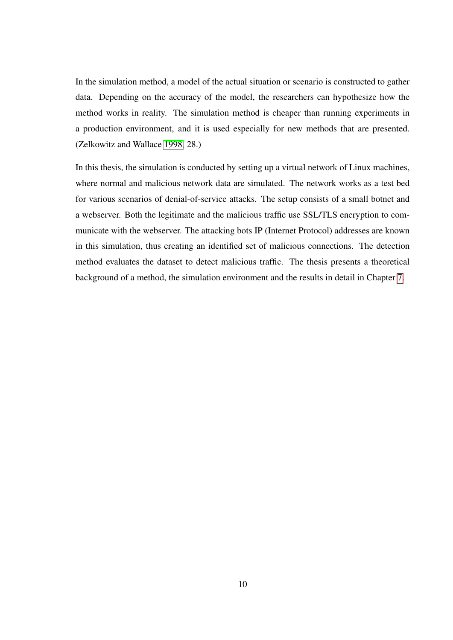In the simulation method, a model of the actual situation or scenario is constructed to gather data. Depending on the accuracy of the model, the researchers can hypothesize how the method works in reality. The simulation method is cheaper than running experiments in a production environment, and it is used especially for new methods that are presented. (Zelkowitz and Wallace [1998,](#page-121-2) 28.)

In this thesis, the simulation is conducted by setting up a virtual network of Linux machines, where normal and malicious network data are simulated. The network works as a test bed for various scenarios of denial-of-service attacks. The setup consists of a small botnet and a webserver. Both the legitimate and the malicious traffic use SSL/TLS encryption to communicate with the webserver. The attacking bots IP (Internet Protocol) addresses are known in this simulation, thus creating an identified set of malicious connections. The detection method evaluates the dataset to detect malicious traffic. The thesis presents a theoretical background of a method, the simulation environment and the results in detail in Chapter [7.](#page-90-0)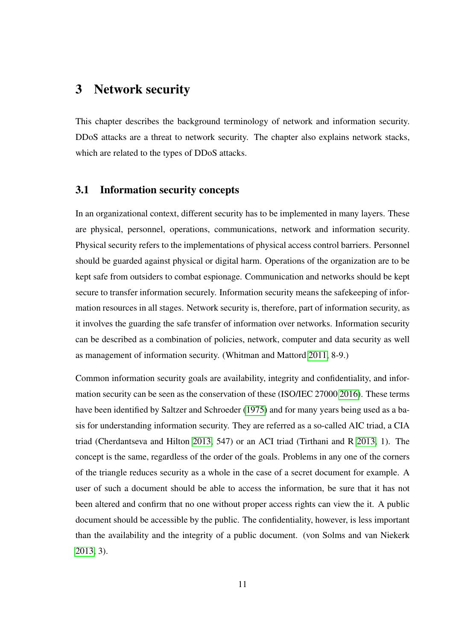### <span id="page-22-0"></span>3 Network security

This chapter describes the background terminology of network and information security. DDoS attacks are a threat to network security. The chapter also explains network stacks, which are related to the types of DDoS attacks.

#### <span id="page-22-1"></span>3.1 Information security concepts

In an organizational context, different security has to be implemented in many layers. These are physical, personnel, operations, communications, network and information security. Physical security refers to the implementations of physical access control barriers. Personnel should be guarded against physical or digital harm. Operations of the organization are to be kept safe from outsiders to combat espionage. Communication and networks should be kept secure to transfer information securely. Information security means the safekeeping of information resources in all stages. Network security is, therefore, part of information security, as it involves the guarding the safe transfer of information over networks. Information security can be described as a combination of policies, network, computer and data security as well as management of information security. (Whitman and Mattord [2011,](#page-121-0) 8-9.)

Common information security goals are availability, integrity and confidentiality, and information security can be seen as the conservation of these (ISO/IEC 27000 [2016\)](#page-115-1). These terms have been identified by Saltzer and Schroeder [\(1975\)](#page-119-0) and for many years being used as a basis for understanding information security. They are referred as a so-called AIC triad, a CIA triad (Cherdantseva and Hilton [2013,](#page-113-2) 547) or an ACI triad (Tirthani and R [2013,](#page-120-1) 1). The concept is the same, regardless of the order of the goals. Problems in any one of the corners of the triangle reduces security as a whole in the case of a secret document for example. A user of such a document should be able to access the information, be sure that it has not been altered and confirm that no one without proper access rights can view the it. A public document should be accessible by the public. The confidentiality, however, is less important than the availability and the integrity of a public document. (von Solms and van Niekerk [2013,](#page-120-2) 3).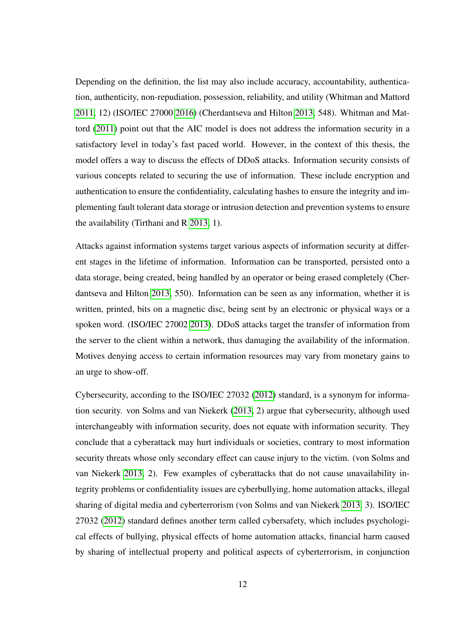Depending on the definition, the list may also include accuracy, accountability, authentication, authenticity, non-repudiation, possession, reliability, and utility (Whitman and Mattord [2011,](#page-121-0) 12) (ISO/IEC 27000 [2016\)](#page-115-1) (Cherdantseva and Hilton [2013,](#page-113-2) 548). Whitman and Mattord [\(2011\)](#page-121-0) point out that the AIC model is does not address the information security in a satisfactory level in today's fast paced world. However, in the context of this thesis, the model offers a way to discuss the effects of DDoS attacks. Information security consists of various concepts related to securing the use of information. These include encryption and authentication to ensure the confidentiality, calculating hashes to ensure the integrity and implementing fault tolerant data storage or intrusion detection and prevention systems to ensure the availability (Tirthani and R [2013,](#page-120-1) 1).

Attacks against information systems target various aspects of information security at different stages in the lifetime of information. Information can be transported, persisted onto a data storage, being created, being handled by an operator or being erased completely (Cherdantseva and Hilton [2013,](#page-113-2) 550). Information can be seen as any information, whether it is written, printed, bits on a magnetic disc, being sent by an electronic or physical ways or a spoken word. (ISO/IEC 27002 [2013\)](#page-115-2). DDoS attacks target the transfer of information from the server to the client within a network, thus damaging the availability of the information. Motives denying access to certain information resources may vary from monetary gains to an urge to show-off.

Cybersecurity, according to the ISO/IEC 27032 [\(2012\)](#page-116-3) standard, is a synonym for information security. von Solms and van Niekerk [\(2013,](#page-120-2) 2) argue that cybersecurity, although used interchangeably with information security, does not equate with information security. They conclude that a cyberattack may hurt individuals or societies, contrary to most information security threats whose only secondary effect can cause injury to the victim. (von Solms and van Niekerk [2013,](#page-120-2) 2). Few examples of cyberattacks that do not cause unavailability integrity problems or confidentiality issues are cyberbullying, home automation attacks, illegal sharing of digital media and cyberterrorism (von Solms and van Niekerk [2013,](#page-120-2) 3). ISO/IEC 27032 [\(2012\)](#page-116-3) standard defines another term called cybersafety, which includes psychological effects of bullying, physical effects of home automation attacks, financial harm caused by sharing of intellectual property and political aspects of cyberterrorism, in conjunction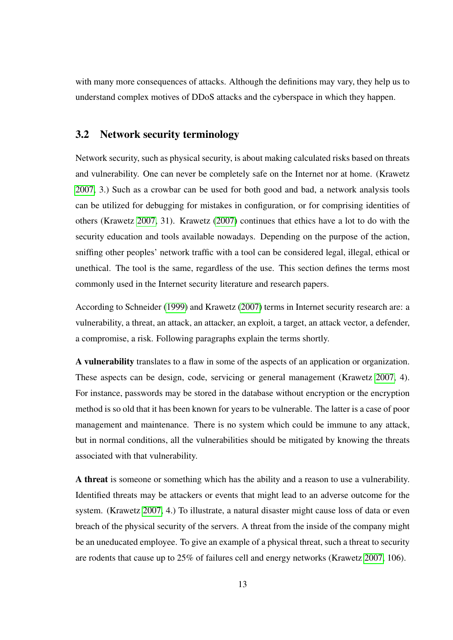with many more consequences of attacks. Although the definitions may vary, they help us to understand complex motives of DDoS attacks and the cyberspace in which they happen.

#### <span id="page-24-0"></span>3.2 Network security terminology

Network security, such as physical security, is about making calculated risks based on threats and vulnerability. One can never be completely safe on the Internet nor at home. (Krawetz [2007,](#page-116-4) 3.) Such as a crowbar can be used for both good and bad, a network analysis tools can be utilized for debugging for mistakes in configuration, or for comprising identities of others (Krawetz [2007,](#page-116-4) 31). Krawetz [\(2007\)](#page-116-4) continues that ethics have a lot to do with the security education and tools available nowadays. Depending on the purpose of the action, sniffing other peoples' network traffic with a tool can be considered legal, illegal, ethical or unethical. The tool is the same, regardless of the use. This section defines the terms most commonly used in the Internet security literature and research papers.

According to Schneider [\(1999\)](#page-119-1) and Krawetz [\(2007\)](#page-116-4) terms in Internet security research are: a vulnerability, a threat, an attack, an attacker, an exploit, a target, an attack vector, a defender, a compromise, a risk. Following paragraphs explain the terms shortly.

A vulnerability translates to a flaw in some of the aspects of an application or organization. These aspects can be design, code, servicing or general management (Krawetz [2007,](#page-116-4) 4). For instance, passwords may be stored in the database without encryption or the encryption method is so old that it has been known for years to be vulnerable. The latter is a case of poor management and maintenance. There is no system which could be immune to any attack, but in normal conditions, all the vulnerabilities should be mitigated by knowing the threats associated with that vulnerability.

A threat is someone or something which has the ability and a reason to use a vulnerability. Identified threats may be attackers or events that might lead to an adverse outcome for the system. (Krawetz [2007,](#page-116-4) 4.) To illustrate, a natural disaster might cause loss of data or even breach of the physical security of the servers. A threat from the inside of the company might be an uneducated employee. To give an example of a physical threat, such a threat to security are rodents that cause up to 25% of failures cell and energy networks (Krawetz [2007,](#page-116-4) 106).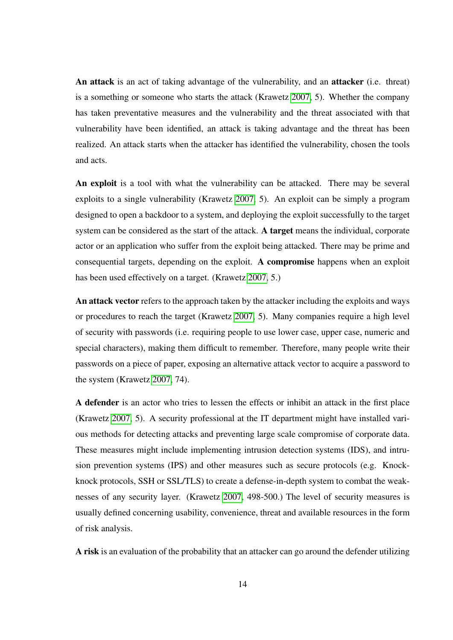An attack is an act of taking advantage of the vulnerability, and an attacker (i.e. threat) is a something or someone who starts the attack (Krawetz [2007,](#page-116-4) 5). Whether the company has taken preventative measures and the vulnerability and the threat associated with that vulnerability have been identified, an attack is taking advantage and the threat has been realized. An attack starts when the attacker has identified the vulnerability, chosen the tools and acts.

An exploit is a tool with what the vulnerability can be attacked. There may be several exploits to a single vulnerability (Krawetz [2007,](#page-116-4) 5). An exploit can be simply a program designed to open a backdoor to a system, and deploying the exploit successfully to the target system can be considered as the start of the attack. A target means the individual, corporate actor or an application who suffer from the exploit being attacked. There may be prime and consequential targets, depending on the exploit. A compromise happens when an exploit has been used effectively on a target. (Krawetz [2007,](#page-116-4) 5.)

An attack vector refers to the approach taken by the attacker including the exploits and ways or procedures to reach the target (Krawetz [2007,](#page-116-4) 5). Many companies require a high level of security with passwords (i.e. requiring people to use lower case, upper case, numeric and special characters), making them difficult to remember. Therefore, many people write their passwords on a piece of paper, exposing an alternative attack vector to acquire a password to the system (Krawetz [2007,](#page-116-4) 74).

A defender is an actor who tries to lessen the effects or inhibit an attack in the first place (Krawetz [2007,](#page-116-4) 5). A security professional at the IT department might have installed various methods for detecting attacks and preventing large scale compromise of corporate data. These measures might include implementing intrusion detection systems (IDS), and intrusion prevention systems (IPS) and other measures such as secure protocols (e.g. Knockknock protocols, SSH or SSL/TLS) to create a defense-in-depth system to combat the weaknesses of any security layer. (Krawetz [2007,](#page-116-4) 498-500.) The level of security measures is usually defined concerning usability, convenience, threat and available resources in the form of risk analysis.

A risk is an evaluation of the probability that an attacker can go around the defender utilizing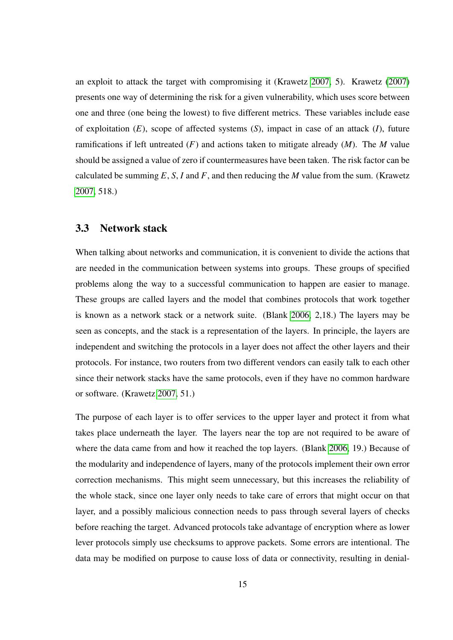an exploit to attack the target with compromising it (Krawetz [2007,](#page-116-4) 5). Krawetz [\(2007\)](#page-116-4) presents one way of determining the risk for a given vulnerability, which uses score between one and three (one being the lowest) to five different metrics. These variables include ease of exploitation (*E*), scope of affected systems (*S*), impact in case of an attack (*I*), future ramifications if left untreated (*F*) and actions taken to mitigate already (*M*). The *M* value should be assigned a value of zero if countermeasures have been taken. The risk factor can be calculated be summing  $E$ ,  $S$ ,  $I$  and  $F$ , and then reducing the  $M$  value from the sum. (Krawetz [2007,](#page-116-4) 518.)

#### <span id="page-26-0"></span>3.3 Network stack

When talking about networks and communication, it is convenient to divide the actions that are needed in the communication between systems into groups. These groups of specified problems along the way to a successful communication to happen are easier to manage. These groups are called layers and the model that combines protocols that work together is known as a network stack or a network suite. (Blank [2006,](#page-112-0) 2,18.) The layers may be seen as concepts, and the stack is a representation of the layers. In principle, the layers are independent and switching the protocols in a layer does not affect the other layers and their protocols. For instance, two routers from two different vendors can easily talk to each other since their network stacks have the same protocols, even if they have no common hardware or software. (Krawetz [2007,](#page-116-4) 51.)

The purpose of each layer is to offer services to the upper layer and protect it from what takes place underneath the layer. The layers near the top are not required to be aware of where the data came from and how it reached the top layers. (Blank [2006,](#page-112-0) 19.) Because of the modularity and independence of layers, many of the protocols implement their own error correction mechanisms. This might seem unnecessary, but this increases the reliability of the whole stack, since one layer only needs to take care of errors that might occur on that layer, and a possibly malicious connection needs to pass through several layers of checks before reaching the target. Advanced protocols take advantage of encryption where as lower lever protocols simply use checksums to approve packets. Some errors are intentional. The data may be modified on purpose to cause loss of data or connectivity, resulting in denial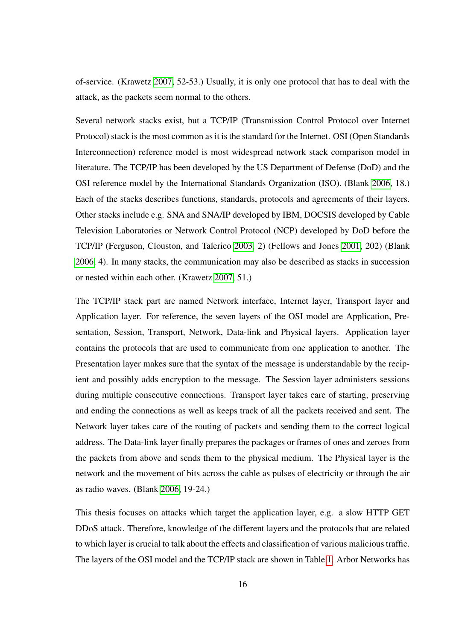of-service. (Krawetz [2007,](#page-116-4) 52-53.) Usually, it is only one protocol that has to deal with the attack, as the packets seem normal to the others.

Several network stacks exist, but a TCP/IP (Transmission Control Protocol over Internet Protocol) stack is the most common as it is the standard for the Internet. OSI (Open Standards Interconnection) reference model is most widespread network stack comparison model in literature. The TCP/IP has been developed by the US Department of Defense (DoD) and the OSI reference model by the International Standards Organization (ISO). (Blank [2006,](#page-112-0) 18.) Each of the stacks describes functions, standards, protocols and agreements of their layers. Other stacks include e.g. SNA and SNA/IP developed by IBM, DOCSIS developed by Cable Television Laboratories or Network Control Protocol (NCP) developed by DoD before the TCP/IP (Ferguson, Clouston, and Talerico [2003,](#page-114-1) 2) (Fellows and Jones [2001,](#page-114-2) 202) (Blank [2006,](#page-112-0) 4). In many stacks, the communication may also be described as stacks in succession or nested within each other. (Krawetz [2007,](#page-116-4) 51.)

The TCP/IP stack part are named Network interface, Internet layer, Transport layer and Application layer. For reference, the seven layers of the OSI model are Application, Presentation, Session, Transport, Network, Data-link and Physical layers. Application layer contains the protocols that are used to communicate from one application to another. The Presentation layer makes sure that the syntax of the message is understandable by the recipient and possibly adds encryption to the message. The Session layer administers sessions during multiple consecutive connections. Transport layer takes care of starting, preserving and ending the connections as well as keeps track of all the packets received and sent. The Network layer takes care of the routing of packets and sending them to the correct logical address. The Data-link layer finally prepares the packages or frames of ones and zeroes from the packets from above and sends them to the physical medium. The Physical layer is the network and the movement of bits across the cable as pulses of electricity or through the air as radio waves. (Blank [2006,](#page-112-0) 19-24.)

This thesis focuses on attacks which target the application layer, e.g. a slow HTTP GET DDoS attack. Therefore, knowledge of the different layers and the protocols that are related to which layer is crucial to talk about the effects and classification of various malicious traffic. The layers of the OSI model and the TCP/IP stack are shown in Table [1.](#page-28-0) Arbor Networks has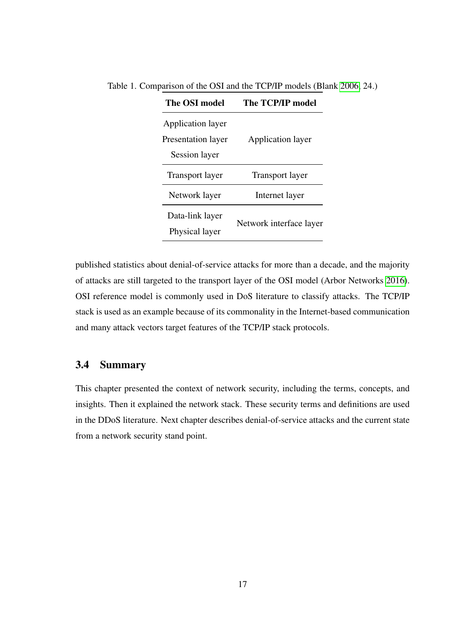| The OSI model      | The TCP/IP model        |  |
|--------------------|-------------------------|--|
| Application layer  |                         |  |
| Presentation layer | Application layer       |  |
| Session layer      |                         |  |
| Transport layer    | Transport layer         |  |
| Network layer      | Internet layer          |  |
| Data-link layer    |                         |  |
| Physical layer     | Network interface layer |  |

<span id="page-28-0"></span>Table 1. Comparison of the OSI and the TCP/IP models (Blank [2006,](#page-112-0) 24.)

published statistics about denial-of-service attacks for more than a decade, and the majority of attacks are still targeted to the transport layer of the OSI model (Arbor Networks [2016\)](#page-111-1). OSI reference model is commonly used in DoS literature to classify attacks. The TCP/IP stack is used as an example because of its commonality in the Internet-based communication and many attack vectors target features of the TCP/IP stack protocols.

#### <span id="page-28-1"></span>3.4 Summary

This chapter presented the context of network security, including the terms, concepts, and insights. Then it explained the network stack. These security terms and definitions are used in the DDoS literature. Next chapter describes denial-of-service attacks and the current state from a network security stand point.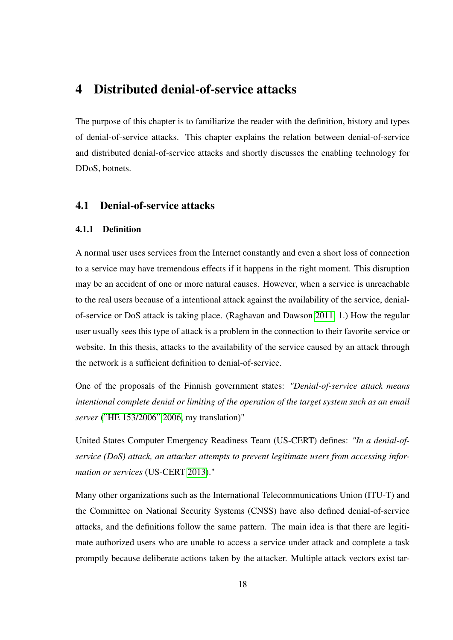### <span id="page-29-0"></span>4 Distributed denial-of-service attacks

The purpose of this chapter is to familiarize the reader with the definition, history and types of denial-of-service attacks. This chapter explains the relation between denial-of-service and distributed denial-of-service attacks and shortly discusses the enabling technology for DDoS, botnets.

#### <span id="page-29-2"></span><span id="page-29-1"></span>4.1 Denial-of-service attacks

#### 4.1.1 Definition

A normal user uses services from the Internet constantly and even a short loss of connection to a service may have tremendous effects if it happens in the right moment. This disruption may be an accident of one or more natural causes. However, when a service is unreachable to the real users because of a intentional attack against the availability of the service, denialof-service or DoS attack is taking place. (Raghavan and Dawson [2011,](#page-118-1) 1.) How the regular user usually sees this type of attack is a problem in the connection to their favorite service or website. In this thesis, attacks to the availability of the service caused by an attack through the network is a sufficient definition to denial-of-service.

One of the proposals of the Finnish government states: *"Denial-of-service attack means intentional complete denial or limiting of the operation of the target system such as an email server* [\("HE 153/2006" 2006,](#page-118-4) my translation)"

United States Computer Emergency Readiness Team (US-CERT) defines: *"In a denial-ofservice (DoS) attack, an attacker attempts to prevent legitimate users from accessing information or services* (US-CERT [2013\)](#page-112-4)."

Many other organizations such as the International Telecommunications Union (ITU-T) and the Committee on National Security Systems (CNSS) have also defined denial-of-service attacks, and the definitions follow the same pattern. The main idea is that there are legitimate authorized users who are unable to access a service under attack and complete a task promptly because deliberate actions taken by the attacker. Multiple attack vectors exist tar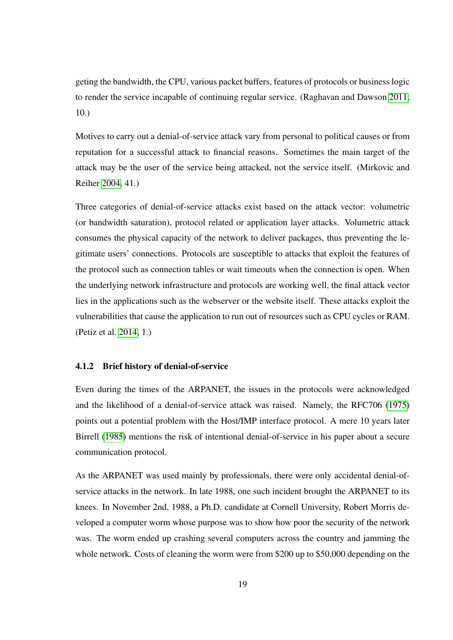geting the bandwidth, the CPU, various packet buffers, features of protocols or business logic to render the service incapable of continuing regular service. (Raghavan and Dawson [2011,](#page-118-1) 10.)

Motives to carry out a denial-of-service attack vary from personal to political causes or from reputation for a successful attack to financial reasons. Sometimes the main target of the attack may be the user of the service being attacked, not the service itself. (Mirkovic and Reiher [2004,](#page-117-1) 41.)

Three categories of denial-of-service attacks exist based on the attack vector: volumetric (or bandwidth saturation), protocol related or application layer attacks. Volumetric attack consumes the physical capacity of the network to deliver packages, thus preventing the legitimate users' connections. Protocols are susceptible to attacks that exploit the features of the protocol such as connection tables or wait timeouts when the connection is open. When the underlying network infrastructure and protocols are working well, the final attack vector lies in the applications such as the webserver or the website itself. These attacks exploit the vulnerabilities that cause the application to run out of resources such as CPU cycles or RAM. (Petiz et al. [2014,](#page-118-5) 1.)

#### <span id="page-30-0"></span>4.1.2 Brief history of denial-of-service

Even during the times of the ARPANET, the issues in the protocols were acknowledged and the likelihood of a denial-of-service attack was raised. Namely, the RFC706 [\(1975\)](#page-119-2) points out a potential problem with the Host/IMP interface protocol. A mere 10 years later Birrell [\(1985\)](#page-112-2) mentions the risk of intentional denial-of-service in his paper about a secure communication protocol.

As the ARPANET was used mainly by professionals, there were only accidental denial-ofservice attacks in the network. In late 1988, one such incident brought the ARPANET to its knees. In November 2nd, 1988, a Ph.D. candidate at Cornell University, Robert Morris developed a computer worm whose purpose was to show how poor the security of the network was. The worm ended up crashing several computers across the country and jamming the whole network. Costs of cleaning the worm were from \$200 up to \$50,000 depending on the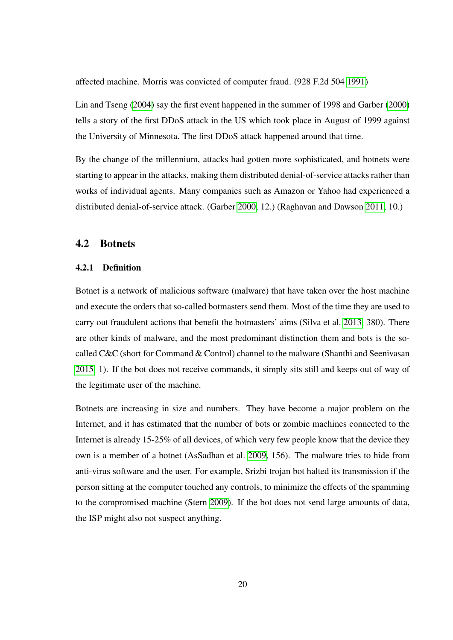affected machine. Morris was convicted of computer fraud. (928 F.2d 504 [1991\)](#page-111-3)

Lin and Tseng [\(2004\)](#page-117-3) say the first event happened in the summer of 1998 and Garber [\(2000\)](#page-114-3) tells a story of the first DDoS attack in the US which took place in August of 1999 against the University of Minnesota. The first DDoS attack happened around that time.

By the change of the millennium, attacks had gotten more sophisticated, and botnets were starting to appear in the attacks, making them distributed denial-of-service attacks rather than works of individual agents. Many companies such as Amazon or Yahoo had experienced a distributed denial-of-service attack. (Garber [2000,](#page-114-3) 12.) (Raghavan and Dawson [2011,](#page-118-1) 10.)

#### <span id="page-31-1"></span><span id="page-31-0"></span>4.2 Botnets

#### 4.2.1 Definition

Botnet is a network of malicious software (malware) that have taken over the host machine and execute the orders that so-called botmasters send them. Most of the time they are used to carry out fraudulent actions that benefit the botmasters' aims (Silva et al. [2013,](#page-119-3) 380). There are other kinds of malware, and the most predominant distinction them and bots is the socalled C&C (short for Command & Control) channel to the malware (Shanthi and Seenivasan [2015,](#page-119-4) 1). If the bot does not receive commands, it simply sits still and keeps out of way of the legitimate user of the machine.

Botnets are increasing in size and numbers. They have become a major problem on the Internet, and it has estimated that the number of bots or zombie machines connected to the Internet is already 15-25% of all devices, of which very few people know that the device they own is a member of a botnet (AsSadhan et al. [2009,](#page-112-5) 156). The malware tries to hide from anti-virus software and the user. For example, Srizbi trojan bot halted its transmission if the person sitting at the computer touched any controls, to minimize the effects of the spamming to the compromised machine (Stern [2009\)](#page-120-3). If the bot does not send large amounts of data, the ISP might also not suspect anything.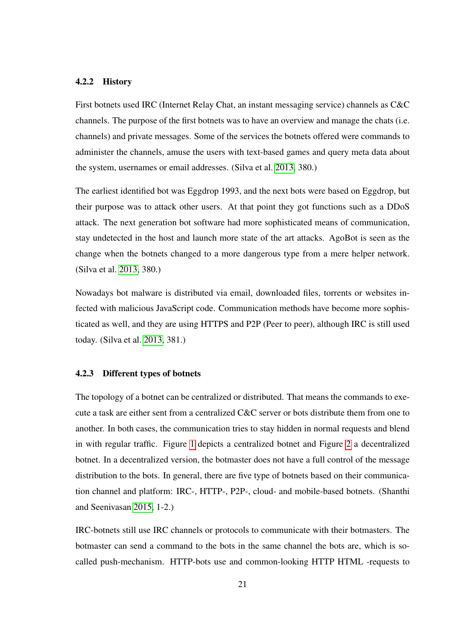#### <span id="page-32-0"></span>4.2.2 History

First botnets used IRC (Internet Relay Chat, an instant messaging service) channels as C&C channels. The purpose of the first botnets was to have an overview and manage the chats (i.e. channels) and private messages. Some of the services the botnets offered were commands to administer the channels, amuse the users with text-based games and query meta data about the system, usernames or email addresses. (Silva et al. [2013,](#page-119-3) 380.)

The earliest identified bot was Eggdrop 1993, and the next bots were based on Eggdrop, but their purpose was to attack other users. At that point they got functions such as a DDoS attack. The next generation bot software had more sophisticated means of communication, stay undetected in the host and launch more state of the art attacks. AgoBot is seen as the change when the botnets changed to a more dangerous type from a mere helper network. (Silva et al. [2013,](#page-119-3) 380.)

Nowadays bot malware is distributed via email, downloaded files, torrents or websites infected with malicious JavaScript code. Communication methods have become more sophisticated as well, and they are using HTTPS and P2P (Peer to peer), although IRC is still used today. (Silva et al. [2013,](#page-119-3) 381.)

#### <span id="page-32-1"></span>4.2.3 Different types of botnets

The topology of a botnet can be centralized or distributed. That means the commands to execute a task are either sent from a centralized C&C server or bots distribute them from one to another. In both cases, the communication tries to stay hidden in normal requests and blend in with regular traffic. Figure [1](#page-33-0) depicts a centralized botnet and Figure [2](#page-33-1) a decentralized botnet. In a decentralized version, the botmaster does not have a full control of the message distribution to the bots. In general, there are five type of botnets based on their communication channel and platform: IRC-, HTTP-, P2P-, cloud- and mobile-based botnets. (Shanthi and Seenivasan [2015,](#page-119-4) 1-2.)

IRC-botnets still use IRC channels or protocols to communicate with their botmasters. The botmaster can send a command to the bots in the same channel the bots are, which is socalled push-mechanism. HTTP-bots use and common-looking HTTP HTML -requests to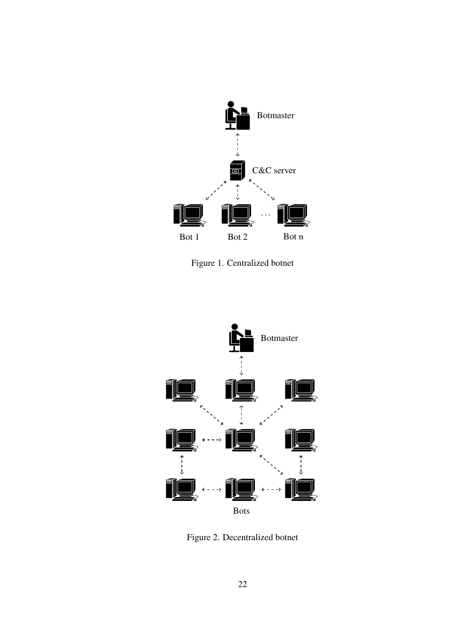

<span id="page-33-0"></span>Figure 1. Centralized botnet



<span id="page-33-1"></span>Figure 2. Decentralized botnet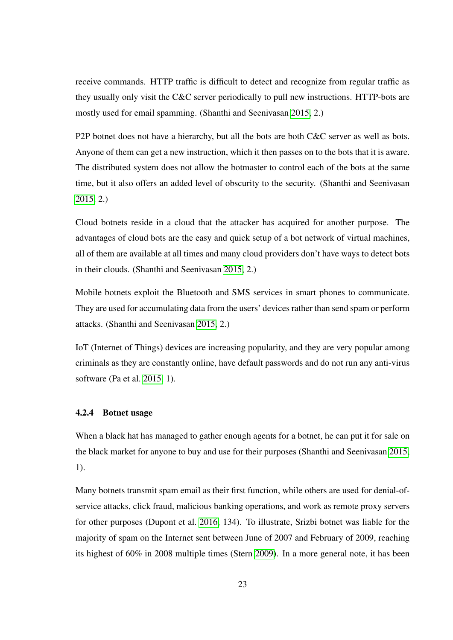receive commands. HTTP traffic is difficult to detect and recognize from regular traffic as they usually only visit the C&C server periodically to pull new instructions. HTTP-bots are mostly used for email spamming. (Shanthi and Seenivasan [2015,](#page-119-4) 2.)

P2P botnet does not have a hierarchy, but all the bots are both C&C server as well as bots. Anyone of them can get a new instruction, which it then passes on to the bots that it is aware. The distributed system does not allow the botmaster to control each of the bots at the same time, but it also offers an added level of obscurity to the security. (Shanthi and Seenivasan [2015,](#page-119-4) 2.)

Cloud botnets reside in a cloud that the attacker has acquired for another purpose. The advantages of cloud bots are the easy and quick setup of a bot network of virtual machines, all of them are available at all times and many cloud providers don't have ways to detect bots in their clouds. (Shanthi and Seenivasan [2015,](#page-119-4) 2.)

Mobile botnets exploit the Bluetooth and SMS services in smart phones to communicate. They are used for accumulating data from the users' devices rather than send spam or perform attacks. (Shanthi and Seenivasan [2015,](#page-119-4) 2.)

IoT (Internet of Things) devices are increasing popularity, and they are very popular among criminals as they are constantly online, have default passwords and do not run any anti-virus software (Pa et al. [2015,](#page-118-6) 1).

#### <span id="page-34-0"></span>4.2.4 Botnet usage

When a black hat has managed to gather enough agents for a botnet, he can put it for sale on the black market for anyone to buy and use for their purposes (Shanthi and Seenivasan [2015,](#page-119-4) 1).

Many botnets transmit spam email as their first function, while others are used for denial-ofservice attacks, click fraud, malicious banking operations, and work as remote proxy servers for other purposes (Dupont et al. [2016,](#page-113-3) 134). To illustrate, Srizbi botnet was liable for the majority of spam on the Internet sent between June of 2007 and February of 2009, reaching its highest of 60% in 2008 multiple times (Stern [2009\)](#page-120-3). In a more general note, it has been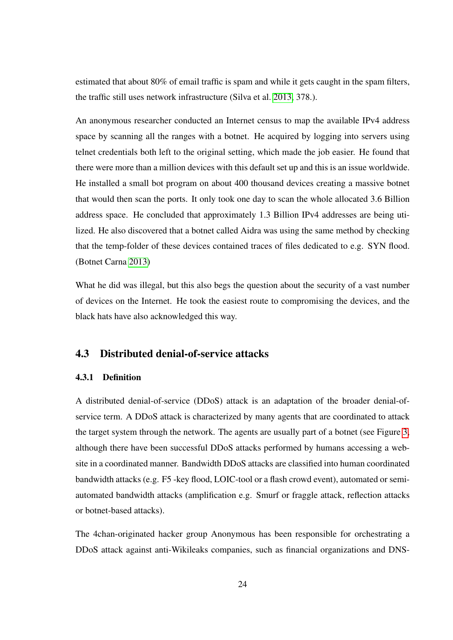estimated that about 80% of email traffic is spam and while it gets caught in the spam filters, the traffic still uses network infrastructure (Silva et al. [2013,](#page-119-3) 378.).

An anonymous researcher conducted an Internet census to map the available IPv4 address space by scanning all the ranges with a botnet. He acquired by logging into servers using telnet credentials both left to the original setting, which made the job easier. He found that there were more than a million devices with this default set up and this is an issue worldwide. He installed a small bot program on about 400 thousand devices creating a massive botnet that would then scan the ports. It only took one day to scan the whole allocated 3.6 Billion address space. He concluded that approximately 1.3 Billion IPv4 addresses are being utilized. He also discovered that a botnet called Aidra was using the same method by checking that the temp-folder of these devices contained traces of files dedicated to e.g. SYN flood. (Botnet Carna [2013\)](#page-112-6)

What he did was illegal, but this also begs the question about the security of a vast number of devices on the Internet. He took the easiest route to compromising the devices, and the black hats have also acknowledged this way.

#### <span id="page-35-1"></span><span id="page-35-0"></span>4.3 Distributed denial-of-service attacks

#### 4.3.1 Definition

A distributed denial-of-service (DDoS) attack is an adaptation of the broader denial-ofservice term. A DDoS attack is characterized by many agents that are coordinated to attack the target system through the network. The agents are usually part of a botnet (see Figure [3,](#page-36-0) although there have been successful DDoS attacks performed by humans accessing a website in a coordinated manner. Bandwidth DDoS attacks are classified into human coordinated bandwidth attacks (e.g. F5 -key flood, LOIC-tool or a flash crowd event), automated or semiautomated bandwidth attacks (amplification e.g. Smurf or fraggle attack, reflection attacks or botnet-based attacks).

The 4chan-originated hacker group Anonymous has been responsible for orchestrating a DDoS attack against anti-Wikileaks companies, such as financial organizations and DNS-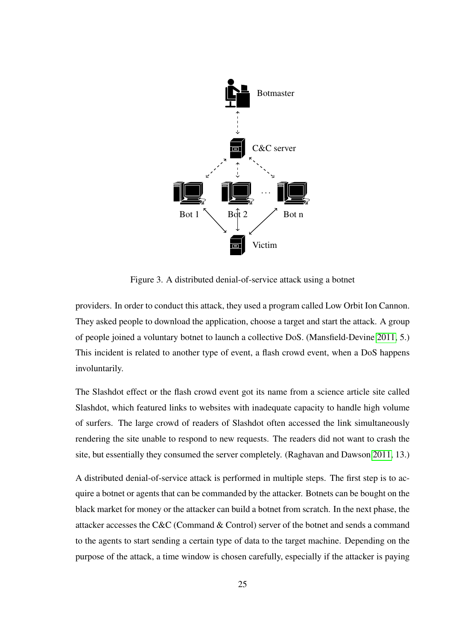

Figure 3. A distributed denial-of-service attack using a botnet

providers. In order to conduct this attack, they used a program called Low Orbit Ion Cannon. They asked people to download the application, choose a target and start the attack. A group of people joined a voluntary botnet to launch a collective DoS. (Mansfield-Devine [2011,](#page-117-0) 5.) This incident is related to another type of event, a flash crowd event, when a DoS happens involuntarily.

The Slashdot effect or the flash crowd event got its name from a science article site called Slashdot, which featured links to websites with inadequate capacity to handle high volume of surfers. The large crowd of readers of Slashdot often accessed the link simultaneously rendering the site unable to respond to new requests. The readers did not want to crash the site, but essentially they consumed the server completely. (Raghavan and Dawson [2011,](#page-118-0) 13.)

A distributed denial-of-service attack is performed in multiple steps. The first step is to acquire a botnet or agents that can be commanded by the attacker. Botnets can be bought on the black market for money or the attacker can build a botnet from scratch. In the next phase, the attacker accesses the C&C (Command & Control) server of the botnet and sends a command to the agents to start sending a certain type of data to the target machine. Depending on the purpose of the attack, a time window is chosen carefully, especially if the attacker is paying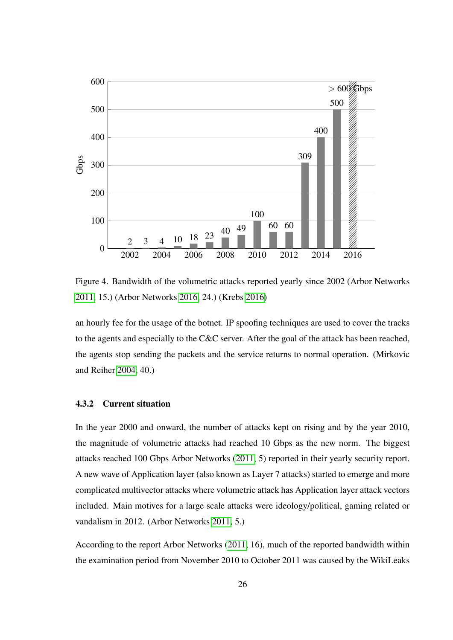

<span id="page-37-0"></span>Figure 4. Bandwidth of the volumetric attacks reported yearly since 2002 (Arbor Networks [2011,](#page-111-0) 15.) (Arbor Networks [2016,](#page-111-1) 24.) (Krebs [2016\)](#page-117-1)

an hourly fee for the usage of the botnet. IP spoofing techniques are used to cover the tracks to the agents and especially to the C&C server. After the goal of the attack has been reached, the agents stop sending the packets and the service returns to normal operation. (Mirkovic and Reiher [2004,](#page-117-2) 40.)

## 4.3.2 Current situation

In the year 2000 and onward, the number of attacks kept on rising and by the year 2010, the magnitude of volumetric attacks had reached 10 Gbps as the new norm. The biggest attacks reached 100 Gbps Arbor Networks [\(2011,](#page-111-0) 5) reported in their yearly security report. A new wave of Application layer (also known as Layer 7 attacks) started to emerge and more complicated multivector attacks where volumetric attack has Application layer attack vectors included. Main motives for a large scale attacks were ideology/political, gaming related or vandalism in 2012. (Arbor Networks [2011,](#page-111-0) 5.)

According to the report Arbor Networks [\(2011,](#page-111-0) 16), much of the reported bandwidth within the examination period from November 2010 to October 2011 was caused by the WikiLeaks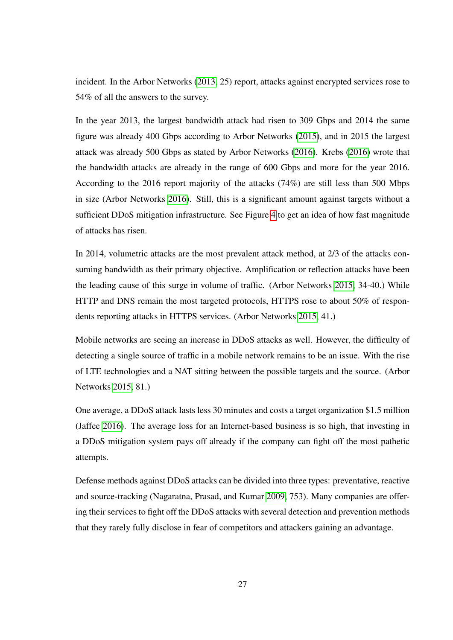incident. In the Arbor Networks [\(2013,](#page-111-2) 25) report, attacks against encrypted services rose to 54% of all the answers to the survey.

In the year 2013, the largest bandwidth attack had risen to 309 Gbps and 2014 the same figure was already 400 Gbps according to Arbor Networks [\(2015\)](#page-111-3), and in 2015 the largest attack was already 500 Gbps as stated by Arbor Networks [\(2016\)](#page-111-1). Krebs [\(2016\)](#page-117-1) wrote that the bandwidth attacks are already in the range of 600 Gbps and more for the year 2016. According to the 2016 report majority of the attacks (74%) are still less than 500 Mbps in size (Arbor Networks [2016\)](#page-111-1). Still, this is a significant amount against targets without a sufficient DDoS mitigation infrastructure. See Figure [4](#page-37-0) to get an idea of how fast magnitude of attacks has risen.

In 2014, volumetric attacks are the most prevalent attack method, at 2/3 of the attacks consuming bandwidth as their primary objective. Amplification or reflection attacks have been the leading cause of this surge in volume of traffic. (Arbor Networks [2015,](#page-111-3) 34-40.) While HTTP and DNS remain the most targeted protocols, HTTPS rose to about 50% of respondents reporting attacks in HTTPS services. (Arbor Networks [2015,](#page-111-3) 41.)

Mobile networks are seeing an increase in DDoS attacks as well. However, the difficulty of detecting a single source of traffic in a mobile network remains to be an issue. With the rise of LTE technologies and a NAT sitting between the possible targets and the source. (Arbor Networks [2015,](#page-111-3) 81.)

One average, a DDoS attack lasts less 30 minutes and costs a target organization \$1.5 million (Jaffee [2016\)](#page-116-0). The average loss for an Internet-based business is so high, that investing in a DDoS mitigation system pays off already if the company can fight off the most pathetic attempts.

Defense methods against DDoS attacks can be divided into three types: preventative, reactive and source-tracking (Nagaratna, Prasad, and Kumar [2009,](#page-118-1) 753). Many companies are offering their services to fight off the DDoS attacks with several detection and prevention methods that they rarely fully disclose in fear of competitors and attackers gaining an advantage.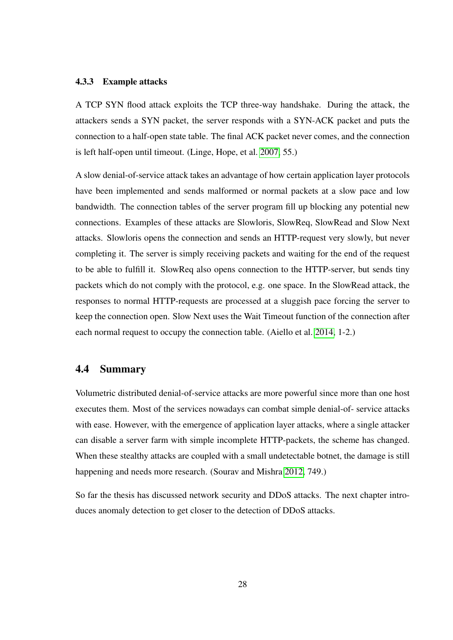#### 4.3.3 Example attacks

A TCP SYN flood attack exploits the TCP three-way handshake. During the attack, the attackers sends a SYN packet, the server responds with a SYN-ACK packet and puts the connection to a half-open state table. The final ACK packet never comes, and the connection is left half-open until timeout. (Linge, Hope, et al. [2007,](#page-117-3) 55.)

A slow denial-of-service attack takes an advantage of how certain application layer protocols have been implemented and sends malformed or normal packets at a slow pace and low bandwidth. The connection tables of the server program fill up blocking any potential new connections. Examples of these attacks are Slowloris, SlowReq, SlowRead and Slow Next attacks. Slowloris opens the connection and sends an HTTP-request very slowly, but never completing it. The server is simply receiving packets and waiting for the end of the request to be able to fulfill it. SlowReq also opens connection to the HTTP-server, but sends tiny packets which do not comply with the protocol, e.g. one space. In the SlowRead attack, the responses to normal HTTP-requests are processed at a sluggish pace forcing the server to keep the connection open. Slow Next uses the Wait Timeout function of the connection after each normal request to occupy the connection table. (Aiello et al. [2014,](#page-111-4) 1-2.)

### 4.4 Summary

Volumetric distributed denial-of-service attacks are more powerful since more than one host executes them. Most of the services nowadays can combat simple denial-of- service attacks with ease. However, with the emergence of application layer attacks, where a single attacker can disable a server farm with simple incomplete HTTP-packets, the scheme has changed. When these stealthy attacks are coupled with a small undetectable botnet, the damage is still happening and needs more research. (Sourav and Mishra [2012,](#page-119-0) 749.)

So far the thesis has discussed network security and DDoS attacks. The next chapter introduces anomaly detection to get closer to the detection of DDoS attacks.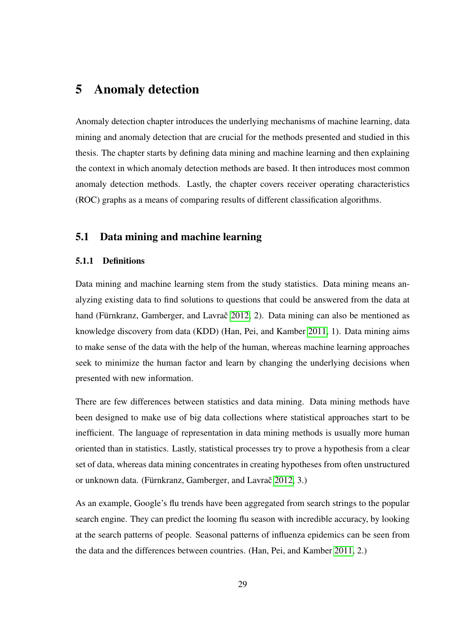# 5 Anomaly detection

Anomaly detection chapter introduces the underlying mechanisms of machine learning, data mining and anomaly detection that are crucial for the methods presented and studied in this thesis. The chapter starts by defining data mining and machine learning and then explaining the context in which anomaly detection methods are based. It then introduces most common anomaly detection methods. Lastly, the chapter covers receiver operating characteristics (ROC) graphs as a means of comparing results of different classification algorithms.

# 5.1 Data mining and machine learning

#### 5.1.1 Definitions

Data mining and machine learning stem from the study statistics. Data mining means analyzing existing data to find solutions to questions that could be answered from the data at hand (Fürnkranz, Gamberger, and Lavrač [2012,](#page-114-0) 2). Data mining can also be mentioned as knowledge discovery from data (KDD) (Han, Pei, and Kamber [2011,](#page-114-1) 1). Data mining aims to make sense of the data with the help of the human, whereas machine learning approaches seek to minimize the human factor and learn by changing the underlying decisions when presented with new information.

There are few differences between statistics and data mining. Data mining methods have been designed to make use of big data collections where statistical approaches start to be inefficient. The language of representation in data mining methods is usually more human oriented than in statistics. Lastly, statistical processes try to prove a hypothesis from a clear set of data, whereas data mining concentrates in creating hypotheses from often unstructured or unknown data. (Fürnkranz, Gamberger, and Lavrač [2012,](#page-114-0) 3.)

As an example, Google's flu trends have been aggregated from search strings to the popular search engine. They can predict the looming flu season with incredible accuracy, by looking at the search patterns of people. Seasonal patterns of influenza epidemics can be seen from the data and the differences between countries. (Han, Pei, and Kamber [2011,](#page-114-1) 2.)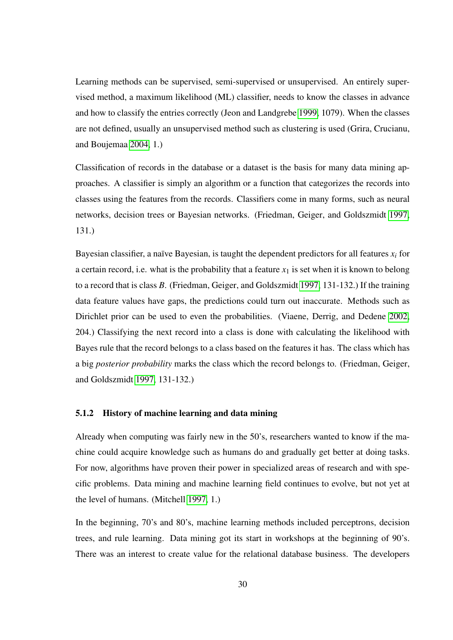Learning methods can be supervised, semi-supervised or unsupervised. An entirely supervised method, a maximum likelihood (ML) classifier, needs to know the classes in advance and how to classify the entries correctly (Jeon and Landgrebe [1999,](#page-116-1) 1079). When the classes are not defined, usually an unsupervised method such as clustering is used (Grira, Crucianu, and Boujemaa [2004,](#page-114-2) 1.)

Classification of records in the database or a dataset is the basis for many data mining approaches. A classifier is simply an algorithm or a function that categorizes the records into classes using the features from the records. Classifiers come in many forms, such as neural networks, decision trees or Bayesian networks. (Friedman, Geiger, and Goldszmidt [1997,](#page-114-3) 131.)

Bayesian classifier, a naïve Bayesian, is taught the dependent predictors for all features  $x_i$  for a certain record, i.e. what is the probability that a feature  $x_1$  is set when it is known to belong to a record that is class *B*. (Friedman, Geiger, and Goldszmidt [1997,](#page-114-3) 131-132.) If the training data feature values have gaps, the predictions could turn out inaccurate. Methods such as Dirichlet prior can be used to even the probabilities. (Viaene, Derrig, and Dedene [2002,](#page-120-0) 204.) Classifying the next record into a class is done with calculating the likelihood with Bayes rule that the record belongs to a class based on the features it has. The class which has a big *posterior probability* marks the class which the record belongs to. (Friedman, Geiger, and Goldszmidt [1997,](#page-114-3) 131-132.)

#### 5.1.2 History of machine learning and data mining

Already when computing was fairly new in the 50's, researchers wanted to know if the machine could acquire knowledge such as humans do and gradually get better at doing tasks. For now, algorithms have proven their power in specialized areas of research and with specific problems. Data mining and machine learning field continues to evolve, but not yet at the level of humans. (Mitchell [1997,](#page-117-4) 1.)

In the beginning, 70's and 80's, machine learning methods included perceptrons, decision trees, and rule learning. Data mining got its start in workshops at the beginning of 90's. There was an interest to create value for the relational database business. The developers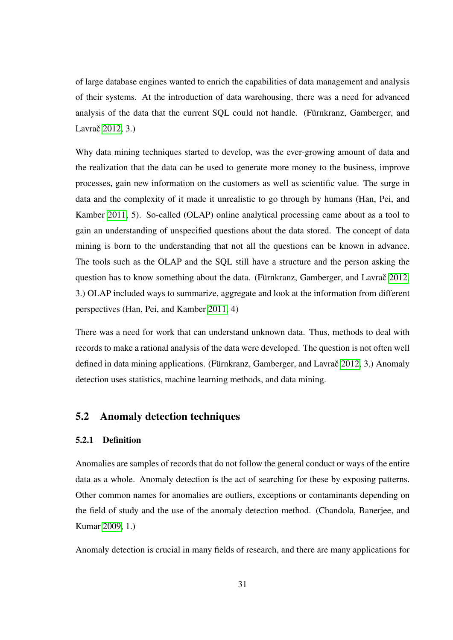of large database engines wanted to enrich the capabilities of data management and analysis of their systems. At the introduction of data warehousing, there was a need for advanced analysis of the data that the current SQL could not handle. (Fürnkranz, Gamberger, and Lavrač [2012,](#page-114-0) 3.)

Why data mining techniques started to develop, was the ever-growing amount of data and the realization that the data can be used to generate more money to the business, improve processes, gain new information on the customers as well as scientific value. The surge in data and the complexity of it made it unrealistic to go through by humans (Han, Pei, and Kamber [2011,](#page-114-1) 5). So-called (OLAP) online analytical processing came about as a tool to gain an understanding of unspecified questions about the data stored. The concept of data mining is born to the understanding that not all the questions can be known in advance. The tools such as the OLAP and the SQL still have a structure and the person asking the question has to know something about the data. (Fürnkranz, Gamberger, and Lavrač [2012,](#page-114-0) 3.) OLAP included ways to summarize, aggregate and look at the information from different perspectives (Han, Pei, and Kamber [2011,](#page-114-1) 4)

There was a need for work that can understand unknown data. Thus, methods to deal with records to make a rational analysis of the data were developed. The question is not often well defined in data mining applications. (Fürnkranz, Gamberger, and Lavrač [2012,](#page-114-0) 3.) Anomaly detection uses statistics, machine learning methods, and data mining.

## 5.2 Anomaly detection techniques

### 5.2.1 Definition

Anomalies are samples of records that do not follow the general conduct or ways of the entire data as a whole. Anomaly detection is the act of searching for these by exposing patterns. Other common names for anomalies are outliers, exceptions or contaminants depending on the field of study and the use of the anomaly detection method. (Chandola, Banerjee, and Kumar [2009,](#page-113-0) 1.)

Anomaly detection is crucial in many fields of research, and there are many applications for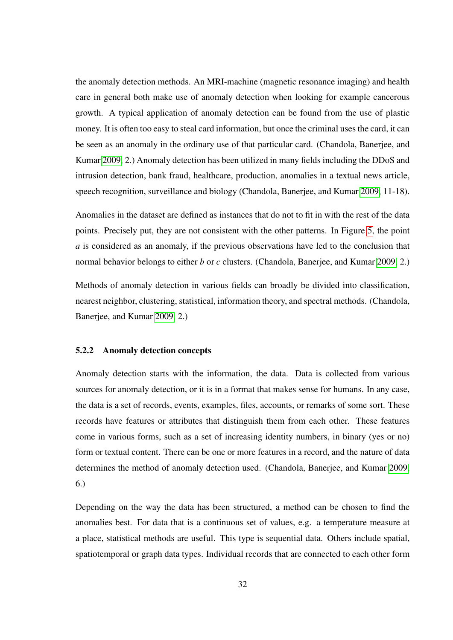the anomaly detection methods. An MRI-machine (magnetic resonance imaging) and health care in general both make use of anomaly detection when looking for example cancerous growth. A typical application of anomaly detection can be found from the use of plastic money. It is often too easy to steal card information, but once the criminal uses the card, it can be seen as an anomaly in the ordinary use of that particular card. (Chandola, Banerjee, and Kumar [2009,](#page-113-0) 2.) Anomaly detection has been utilized in many fields including the DDoS and intrusion detection, bank fraud, healthcare, production, anomalies in a textual news article, speech recognition, surveillance and biology (Chandola, Banerjee, and Kumar [2009,](#page-113-0) 11-18).

Anomalies in the dataset are defined as instances that do not to fit in with the rest of the data points. Precisely put, they are not consistent with the other patterns. In Figure [5,](#page-44-0) the point *a* is considered as an anomaly, if the previous observations have led to the conclusion that normal behavior belongs to either *b* or *c* clusters. (Chandola, Banerjee, and Kumar [2009,](#page-113-0) 2.)

Methods of anomaly detection in various fields can broadly be divided into classification, nearest neighbor, clustering, statistical, information theory, and spectral methods. (Chandola, Banerjee, and Kumar [2009,](#page-113-0) 2.)

#### <span id="page-43-0"></span>5.2.2 Anomaly detection concepts

Anomaly detection starts with the information, the data. Data is collected from various sources for anomaly detection, or it is in a format that makes sense for humans. In any case, the data is a set of records, events, examples, files, accounts, or remarks of some sort. These records have features or attributes that distinguish them from each other. These features come in various forms, such as a set of increasing identity numbers, in binary (yes or no) form or textual content. There can be one or more features in a record, and the nature of data determines the method of anomaly detection used. (Chandola, Banerjee, and Kumar [2009,](#page-113-0) 6.)

Depending on the way the data has been structured, a method can be chosen to find the anomalies best. For data that is a continuous set of values, e.g. a temperature measure at a place, statistical methods are useful. This type is sequential data. Others include spatial, spatiotemporal or graph data types. Individual records that are connected to each other form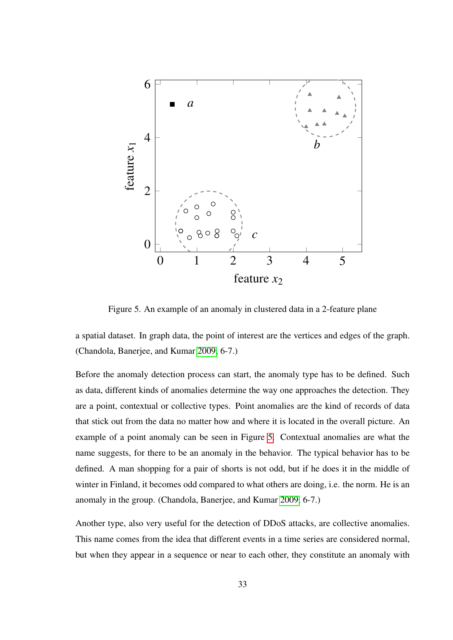

<span id="page-44-0"></span>Figure 5. An example of an anomaly in clustered data in a 2-feature plane

a spatial dataset. In graph data, the point of interest are the vertices and edges of the graph. (Chandola, Banerjee, and Kumar [2009,](#page-113-0) 6-7.)

Before the anomaly detection process can start, the anomaly type has to be defined. Such as data, different kinds of anomalies determine the way one approaches the detection. They are a point, contextual or collective types. Point anomalies are the kind of records of data that stick out from the data no matter how and where it is located in the overall picture. An example of a point anomaly can be seen in Figure [5.](#page-44-0) Contextual anomalies are what the name suggests, for there to be an anomaly in the behavior. The typical behavior has to be defined. A man shopping for a pair of shorts is not odd, but if he does it in the middle of winter in Finland, it becomes odd compared to what others are doing, i.e. the norm. He is an anomaly in the group. (Chandola, Banerjee, and Kumar [2009,](#page-113-0) 6-7.)

Another type, also very useful for the detection of DDoS attacks, are collective anomalies. This name comes from the idea that different events in a time series are considered normal, but when they appear in a sequence or near to each other, they constitute an anomaly with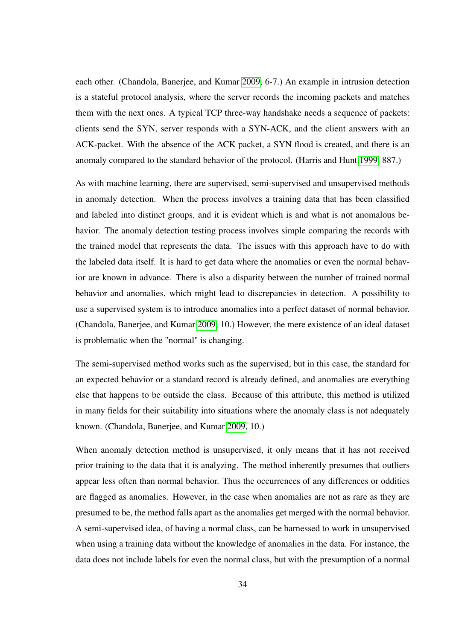each other. (Chandola, Banerjee, and Kumar [2009,](#page-113-0) 6-7.) An example in intrusion detection is a stateful protocol analysis, where the server records the incoming packets and matches them with the next ones. A typical TCP three-way handshake needs a sequence of packets: clients send the SYN, server responds with a SYN-ACK, and the client answers with an ACK-packet. With the absence of the ACK packet, a SYN flood is created, and there is an anomaly compared to the standard behavior of the protocol. (Harris and Hunt [1999,](#page-115-0) 887.)

As with machine learning, there are supervised, semi-supervised and unsupervised methods in anomaly detection. When the process involves a training data that has been classified and labeled into distinct groups, and it is evident which is and what is not anomalous behavior. The anomaly detection testing process involves simple comparing the records with the trained model that represents the data. The issues with this approach have to do with the labeled data itself. It is hard to get data where the anomalies or even the normal behavior are known in advance. There is also a disparity between the number of trained normal behavior and anomalies, which might lead to discrepancies in detection. A possibility to use a supervised system is to introduce anomalies into a perfect dataset of normal behavior. (Chandola, Banerjee, and Kumar [2009,](#page-113-0) 10.) However, the mere existence of an ideal dataset is problematic when the "normal" is changing.

The semi-supervised method works such as the supervised, but in this case, the standard for an expected behavior or a standard record is already defined, and anomalies are everything else that happens to be outside the class. Because of this attribute, this method is utilized in many fields for their suitability into situations where the anomaly class is not adequately known. (Chandola, Banerjee, and Kumar [2009,](#page-113-0) 10.)

When anomaly detection method is unsupervised, it only means that it has not received prior training to the data that it is analyzing. The method inherently presumes that outliers appear less often than normal behavior. Thus the occurrences of any differences or oddities are flagged as anomalies. However, in the case when anomalies are not as rare as they are presumed to be, the method falls apart as the anomalies get merged with the normal behavior. A semi-supervised idea, of having a normal class, can be harnessed to work in unsupervised when using a training data without the knowledge of anomalies in the data. For instance, the data does not include labels for even the normal class, but with the presumption of a normal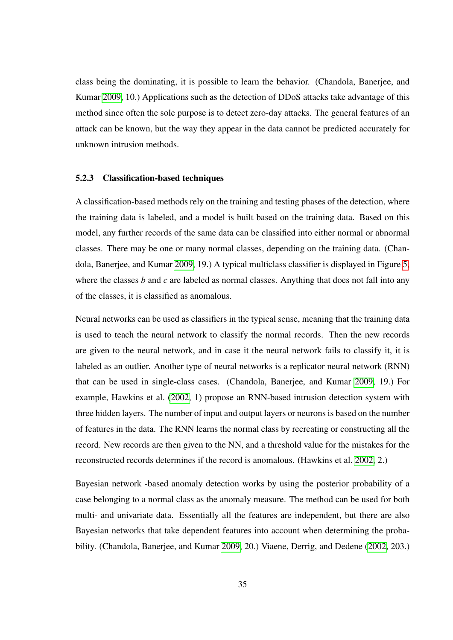class being the dominating, it is possible to learn the behavior. (Chandola, Banerjee, and Kumar [2009,](#page-113-0) 10.) Applications such as the detection of DDoS attacks take advantage of this method since often the sole purpose is to detect zero-day attacks. The general features of an attack can be known, but the way they appear in the data cannot be predicted accurately for unknown intrusion methods.

#### 5.2.3 Classification-based techniques

A classification-based methods rely on the training and testing phases of the detection, where the training data is labeled, and a model is built based on the training data. Based on this model, any further records of the same data can be classified into either normal or abnormal classes. There may be one or many normal classes, depending on the training data. (Chandola, Banerjee, and Kumar [2009,](#page-113-0) 19.) A typical multiclass classifier is displayed in Figure [5,](#page-44-0) where the classes *b* and *c* are labeled as normal classes. Anything that does not fall into any of the classes, it is classified as anomalous.

Neural networks can be used as classifiers in the typical sense, meaning that the training data is used to teach the neural network to classify the normal records. Then the new records are given to the neural network, and in case it the neural network fails to classify it, it is labeled as an outlier. Another type of neural networks is a replicator neural network (RNN) that can be used in single-class cases. (Chandola, Banerjee, and Kumar [2009,](#page-113-0) 19.) For example, Hawkins et al. [\(2002,](#page-115-1) 1) propose an RNN-based intrusion detection system with three hidden layers. The number of input and output layers or neurons is based on the number of features in the data. The RNN learns the normal class by recreating or constructing all the record. New records are then given to the NN, and a threshold value for the mistakes for the reconstructed records determines if the record is anomalous. (Hawkins et al. [2002,](#page-115-1) 2.)

Bayesian network -based anomaly detection works by using the posterior probability of a case belonging to a normal class as the anomaly measure. The method can be used for both multi- and univariate data. Essentially all the features are independent, but there are also Bayesian networks that take dependent features into account when determining the probability. (Chandola, Banerjee, and Kumar [2009,](#page-113-0) 20.) Viaene, Derrig, and Dedene [\(2002,](#page-120-0) 203.)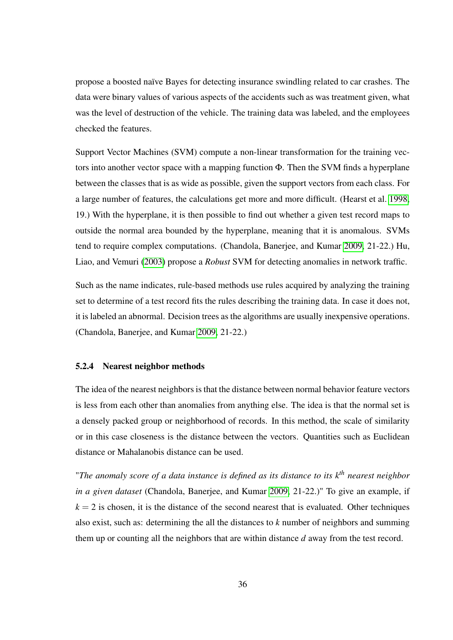propose a boosted naïve Bayes for detecting insurance swindling related to car crashes. The data were binary values of various aspects of the accidents such as was treatment given, what was the level of destruction of the vehicle. The training data was labeled, and the employees checked the features.

Support Vector Machines (SVM) compute a non-linear transformation for the training vectors into another vector space with a mapping function Φ. Then the SVM finds a hyperplane between the classes that is as wide as possible, given the support vectors from each class. For a large number of features, the calculations get more and more difficult. (Hearst et al. [1998,](#page-115-2) 19.) With the hyperplane, it is then possible to find out whether a given test record maps to outside the normal area bounded by the hyperplane, meaning that it is anomalous. SVMs tend to require complex computations. (Chandola, Banerjee, and Kumar [2009,](#page-113-0) 21-22.) Hu, Liao, and Vemuri [\(2003\)](#page-115-3) propose a *Robust* SVM for detecting anomalies in network traffic.

Such as the name indicates, rule-based methods use rules acquired by analyzing the training set to determine of a test record fits the rules describing the training data. In case it does not, it is labeled an abnormal. Decision trees as the algorithms are usually inexpensive operations. (Chandola, Banerjee, and Kumar [2009,](#page-113-0) 21-22.)

#### 5.2.4 Nearest neighbor methods

The idea of the nearest neighbors is that the distance between normal behavior feature vectors is less from each other than anomalies from anything else. The idea is that the normal set is a densely packed group or neighborhood of records. In this method, the scale of similarity or in this case closeness is the distance between the vectors. Quantities such as Euclidean distance or Mahalanobis distance can be used.

"*The anomaly score of a data instance is defined as its distance to its kth nearest neighbor in a given dataset* (Chandola, Banerjee, and Kumar [2009,](#page-113-0) 21-22.)" To give an example, if  $k = 2$  is chosen, it is the distance of the second nearest that is evaluated. Other techniques also exist, such as: determining the all the distances to *k* number of neighbors and summing them up or counting all the neighbors that are within distance *d* away from the test record.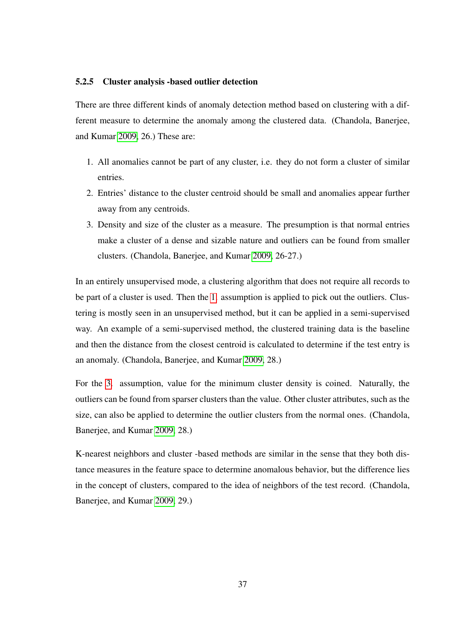#### 5.2.5 Cluster analysis -based outlier detection

There are three different kinds of anomaly detection method based on clustering with a different measure to determine the anomaly among the clustered data. (Chandola, Banerjee, and Kumar [2009,](#page-113-0) 26.) These are:

- <span id="page-48-0"></span>1. All anomalies cannot be part of any cluster, i.e. they do not form a cluster of similar entries.
- 2. Entries' distance to the cluster centroid should be small and anomalies appear further away from any centroids.
- <span id="page-48-1"></span>3. Density and size of the cluster as a measure. The presumption is that normal entries make a cluster of a dense and sizable nature and outliers can be found from smaller clusters. (Chandola, Banerjee, and Kumar [2009,](#page-113-0) 26-27.)

In an entirely unsupervised mode, a clustering algorithm that does not require all records to be part of a cluster is used. Then the [1.](#page-48-0) assumption is applied to pick out the outliers. Clustering is mostly seen in an unsupervised method, but it can be applied in a semi-supervised way. An example of a semi-supervised method, the clustered training data is the baseline and then the distance from the closest centroid is calculated to determine if the test entry is an anomaly. (Chandola, Banerjee, and Kumar [2009,](#page-113-0) 28.)

For the [3.](#page-48-1) assumption, value for the minimum cluster density is coined. Naturally, the outliers can be found from sparser clusters than the value. Other cluster attributes, such as the size, can also be applied to determine the outlier clusters from the normal ones. (Chandola, Banerjee, and Kumar [2009,](#page-113-0) 28.)

K-nearest neighbors and cluster -based methods are similar in the sense that they both distance measures in the feature space to determine anomalous behavior, but the difference lies in the concept of clusters, compared to the idea of neighbors of the test record. (Chandola, Banerjee, and Kumar [2009,](#page-113-0) 29.)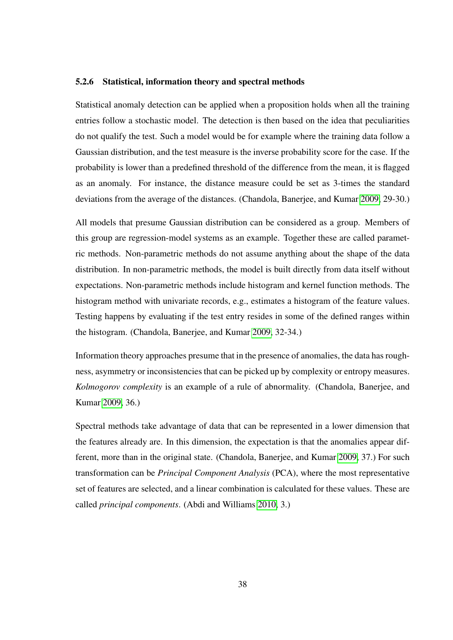#### 5.2.6 Statistical, information theory and spectral methods

Statistical anomaly detection can be applied when a proposition holds when all the training entries follow a stochastic model. The detection is then based on the idea that peculiarities do not qualify the test. Such a model would be for example where the training data follow a Gaussian distribution, and the test measure is the inverse probability score for the case. If the probability is lower than a predefined threshold of the difference from the mean, it is flagged as an anomaly. For instance, the distance measure could be set as 3-times the standard deviations from the average of the distances. (Chandola, Banerjee, and Kumar [2009,](#page-113-0) 29-30.)

All models that presume Gaussian distribution can be considered as a group. Members of this group are regression-model systems as an example. Together these are called parametric methods. Non-parametric methods do not assume anything about the shape of the data distribution. In non-parametric methods, the model is built directly from data itself without expectations. Non-parametric methods include histogram and kernel function methods. The histogram method with univariate records, e.g., estimates a histogram of the feature values. Testing happens by evaluating if the test entry resides in some of the defined ranges within the histogram. (Chandola, Banerjee, and Kumar [2009,](#page-113-0) 32-34.)

Information theory approaches presume that in the presence of anomalies, the data has roughness, asymmetry or inconsistencies that can be picked up by complexity or entropy measures. *Kolmogorov complexity* is an example of a rule of abnormality. (Chandola, Banerjee, and Kumar [2009,](#page-113-0) 36.)

Spectral methods take advantage of data that can be represented in a lower dimension that the features already are. In this dimension, the expectation is that the anomalies appear different, more than in the original state. (Chandola, Banerjee, and Kumar [2009,](#page-113-0) 37.) For such transformation can be *Principal Component Analysis* (PCA), where the most representative set of features are selected, and a linear combination is calculated for these values. These are called *principal components*. (Abdi and Williams [2010,](#page-111-5) 3.)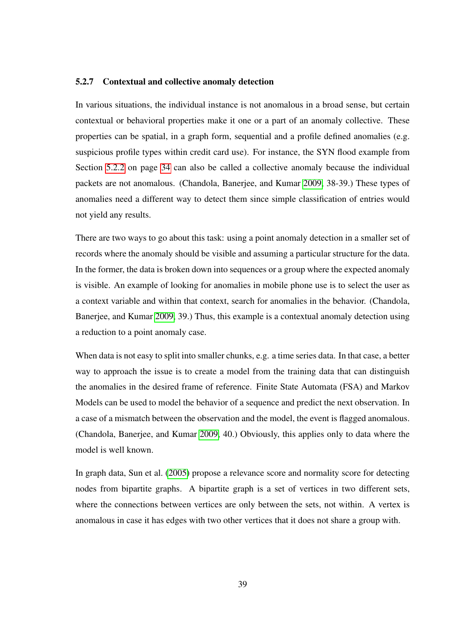#### 5.2.7 Contextual and collective anomaly detection

In various situations, the individual instance is not anomalous in a broad sense, but certain contextual or behavioral properties make it one or a part of an anomaly collective. These properties can be spatial, in a graph form, sequential and a profile defined anomalies (e.g. suspicious profile types within credit card use). For instance, the SYN flood example from Section [5.2.2](#page-43-0) on page [34](#page-43-0) can also be called a collective anomaly because the individual packets are not anomalous. (Chandola, Banerjee, and Kumar [2009,](#page-113-0) 38-39.) These types of anomalies need a different way to detect them since simple classification of entries would not yield any results.

There are two ways to go about this task: using a point anomaly detection in a smaller set of records where the anomaly should be visible and assuming a particular structure for the data. In the former, the data is broken down into sequences or a group where the expected anomaly is visible. An example of looking for anomalies in mobile phone use is to select the user as a context variable and within that context, search for anomalies in the behavior. (Chandola, Banerjee, and Kumar [2009,](#page-113-0) 39.) Thus, this example is a contextual anomaly detection using a reduction to a point anomaly case.

When data is not easy to split into smaller chunks, e.g. a time series data. In that case, a better way to approach the issue is to create a model from the training data that can distinguish the anomalies in the desired frame of reference. Finite State Automata (FSA) and Markov Models can be used to model the behavior of a sequence and predict the next observation. In a case of a mismatch between the observation and the model, the event is flagged anomalous. (Chandola, Banerjee, and Kumar [2009,](#page-113-0) 40.) Obviously, this applies only to data where the model is well known.

In graph data, Sun et al. [\(2005\)](#page-120-1) propose a relevance score and normality score for detecting nodes from bipartite graphs. A bipartite graph is a set of vertices in two different sets, where the connections between vertices are only between the sets, not within. A vertex is anomalous in case it has edges with two other vertices that it does not share a group with.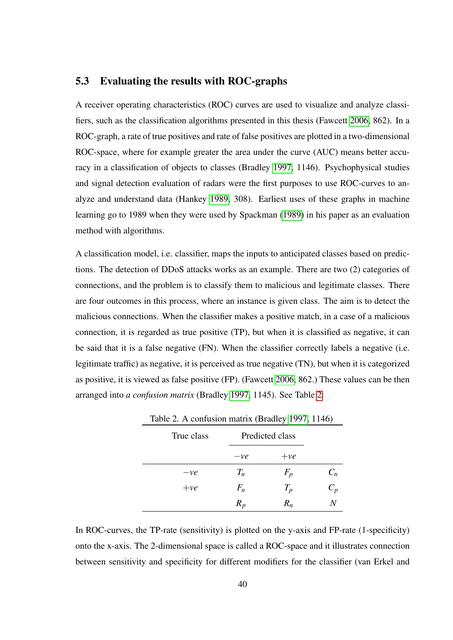# 5.3 Evaluating the results with ROC-graphs

A receiver operating characteristics (ROC) curves are used to visualize and analyze classifiers, such as the classification algorithms presented in this thesis (Fawcett [2006,](#page-114-4) 862). In a ROC-graph, a rate of true positives and rate of false positives are plotted in a two-dimensional ROC-space, where for example greater the area under the curve (AUC) means better accuracy in a classification of objects to classes (Bradley [1997,](#page-112-0) 1146). Psychophysical studies and signal detection evaluation of radars were the first purposes to use ROC-curves to analyze and understand data (Hankey [1989,](#page-115-4) 308). Earliest uses of these graphs in machine learning go to 1989 when they were used by Spackman [\(1989\)](#page-120-2) in his paper as an evaluation method with algorithms.

A classification model, i.e. classifier, maps the inputs to anticipated classes based on predictions. The detection of DDoS attacks works as an example. There are two (2) categories of connections, and the problem is to classify them to malicious and legitimate classes. There are four outcomes in this process, where an instance is given class. The aim is to detect the malicious connections. When the classifier makes a positive match, in a case of a malicious connection, it is regarded as true positive (TP), but when it is classified as negative, it can be said that it is a false negative (FN). When the classifier correctly labels a negative (i.e. legitimate traffic) as negative, it is perceived as true negative (TN), but when it is categorized as positive, it is viewed as false positive (FP). (Fawcett [2006,](#page-114-4) 862.) These values can be then arranged into *a confusion matrix* (Bradley [1997,](#page-112-0) 1145). See Table [2.](#page-51-0)

<span id="page-51-0"></span>

| True class |       | Predicted class |       |
|------------|-------|-----------------|-------|
|            | $-ve$ | $+ve$           |       |
| $-ve$      | $T_n$ | $F_p$           | $C_n$ |
| $+ve$      | $F_n$ | $T_p$           | $C_p$ |
|            | $R_p$ | $R_n$           |       |

Table 2. A confusion matrix (Bradley [1997,](#page-112-0) 1146)

In ROC-curves, the TP-rate (sensitivity) is plotted on the y-axis and FP-rate (1-specificity) onto the x-axis. The 2-dimensional space is called a ROC-space and it illustrates connection between sensitivity and specificity for different modifiers for the classifier (van Erkel and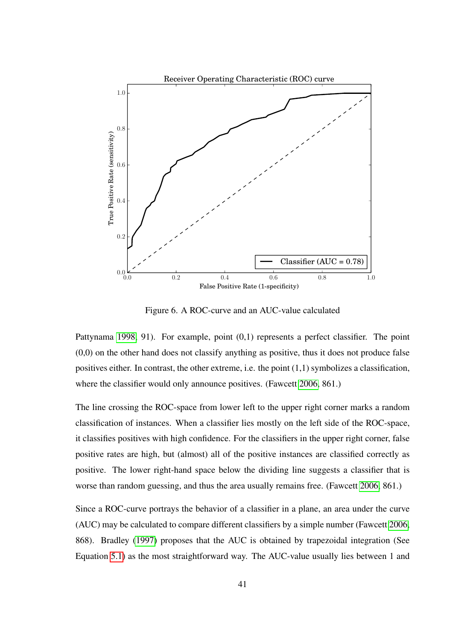

Figure 6. A ROC-curve and an AUC-value calculated

Pattynama [1998,](#page-120-3) 91). For example, point  $(0,1)$  represents a perfect classifier. The point (0,0) on the other hand does not classify anything as positive, thus it does not produce false positives either. In contrast, the other extreme, i.e. the point (1,1) symbolizes a classification, where the classifier would only announce positives. (Fawcett [2006,](#page-114-4) 861.)

The line crossing the ROC-space from lower left to the upper right corner marks a random classification of instances. When a classifier lies mostly on the left side of the ROC-space, it classifies positives with high confidence. For the classifiers in the upper right corner, false positive rates are high, but (almost) all of the positive instances are classified correctly as positive. The lower right-hand space below the dividing line suggests a classifier that is worse than random guessing, and thus the area usually remains free. (Fawcett [2006,](#page-114-4) 861.)

Since a ROC-curve portrays the behavior of a classifier in a plane, an area under the curve (AUC) may be calculated to compare different classifiers by a simple number (Fawcett [2006,](#page-114-4) 868). Bradley [\(1997\)](#page-112-0) proposes that the AUC is obtained by trapezoidal integration (See Equation [5.1\)](#page-53-0) as the most straightforward way. The AUC-value usually lies between 1 and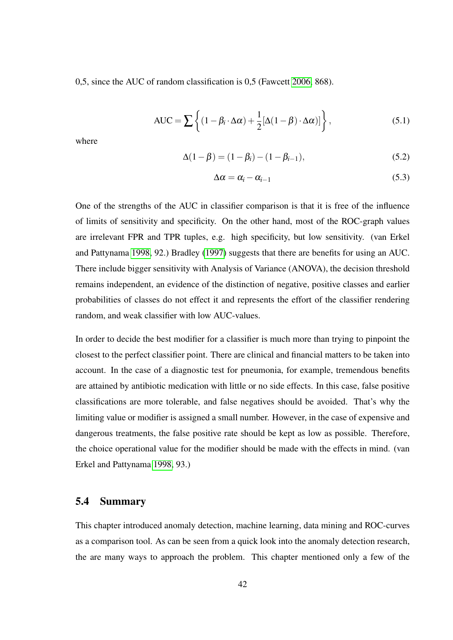0,5, since the AUC of random classification is 0,5 (Fawcett [2006,](#page-114-4) 868).

<span id="page-53-0"></span>
$$
AUC = \sum \left\{ (1 - \beta_i \cdot \Delta \alpha) + \frac{1}{2} [\Delta (1 - \beta) \cdot \Delta \alpha)] \right\},\tag{5.1}
$$

where

$$
\Delta(1 - \beta) = (1 - \beta_i) - (1 - \beta_{i-1}),
$$
\n(5.2)

$$
\Delta \alpha = \alpha_i - \alpha_{i-1} \tag{5.3}
$$

One of the strengths of the AUC in classifier comparison is that it is free of the influence of limits of sensitivity and specificity. On the other hand, most of the ROC-graph values are irrelevant FPR and TPR tuples, e.g. high specificity, but low sensitivity. (van Erkel and Pattynama [1998,](#page-120-3) 92.) Bradley [\(1997\)](#page-112-0) suggests that there are benefits for using an AUC. There include bigger sensitivity with Analysis of Variance (ANOVA), the decision threshold remains independent, an evidence of the distinction of negative, positive classes and earlier probabilities of classes do not effect it and represents the effort of the classifier rendering random, and weak classifier with low AUC-values.

In order to decide the best modifier for a classifier is much more than trying to pinpoint the closest to the perfect classifier point. There are clinical and financial matters to be taken into account. In the case of a diagnostic test for pneumonia, for example, tremendous benefits are attained by antibiotic medication with little or no side effects. In this case, false positive classifications are more tolerable, and false negatives should be avoided. That's why the limiting value or modifier is assigned a small number. However, in the case of expensive and dangerous treatments, the false positive rate should be kept as low as possible. Therefore, the choice operational value for the modifier should be made with the effects in mind. (van Erkel and Pattynama [1998,](#page-120-3) 93.)

# 5.4 Summary

This chapter introduced anomaly detection, machine learning, data mining and ROC-curves as a comparison tool. As can be seen from a quick look into the anomaly detection research, the are many ways to approach the problem. This chapter mentioned only a few of the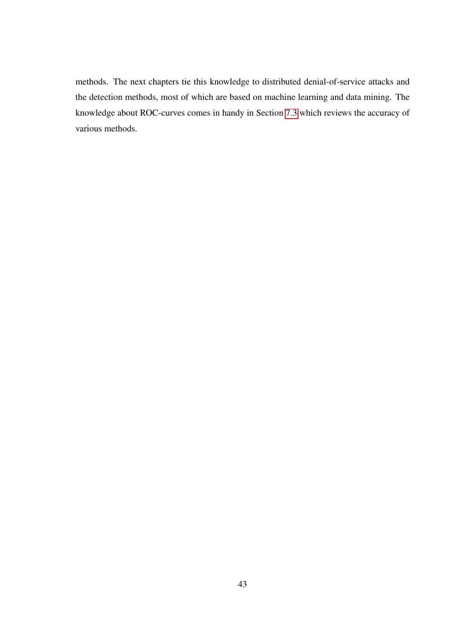methods. The next chapters tie this knowledge to distributed denial-of-service attacks and the detection methods, most of which are based on machine learning and data mining. The knowledge about ROC-curves comes in handy in Section [7.3](#page-98-0) which reviews the accuracy of various methods.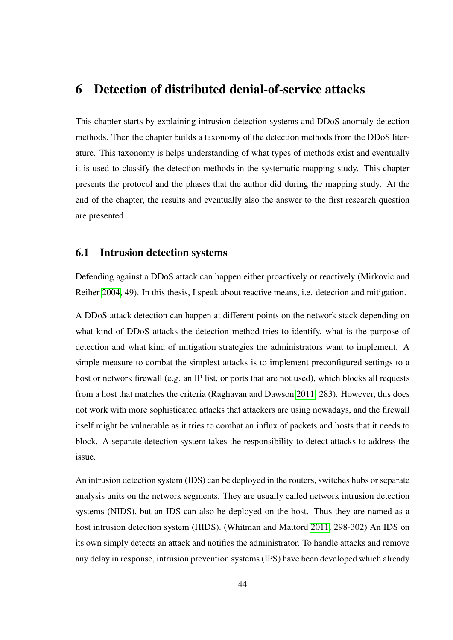# 6 Detection of distributed denial-of-service attacks

This chapter starts by explaining intrusion detection systems and DDoS anomaly detection methods. Then the chapter builds a taxonomy of the detection methods from the DDoS literature. This taxonomy is helps understanding of what types of methods exist and eventually it is used to classify the detection methods in the systematic mapping study. This chapter presents the protocol and the phases that the author did during the mapping study. At the end of the chapter, the results and eventually also the answer to the first research question are presented.

## 6.1 Intrusion detection systems

Defending against a DDoS attack can happen either proactively or reactively (Mirkovic and Reiher [2004,](#page-117-2) 49). In this thesis, I speak about reactive means, i.e. detection and mitigation.

A DDoS attack detection can happen at different points on the network stack depending on what kind of DDoS attacks the detection method tries to identify, what is the purpose of detection and what kind of mitigation strategies the administrators want to implement. A simple measure to combat the simplest attacks is to implement preconfigured settings to a host or network firewall (e.g. an IP list, or ports that are not used), which blocks all requests from a host that matches the criteria (Raghavan and Dawson [2011,](#page-118-0) 283). However, this does not work with more sophisticated attacks that attackers are using nowadays, and the firewall itself might be vulnerable as it tries to combat an influx of packets and hosts that it needs to block. A separate detection system takes the responsibility to detect attacks to address the issue.

An intrusion detection system (IDS) can be deployed in the routers, switches hubs or separate analysis units on the network segments. They are usually called network intrusion detection systems (NIDS), but an IDS can also be deployed on the host. Thus they are named as a host intrusion detection system (HIDS). (Whitman and Mattord [2011,](#page-121-0) 298-302) An IDS on its own simply detects an attack and notifies the administrator. To handle attacks and remove any delay in response, intrusion prevention systems (IPS) have been developed which already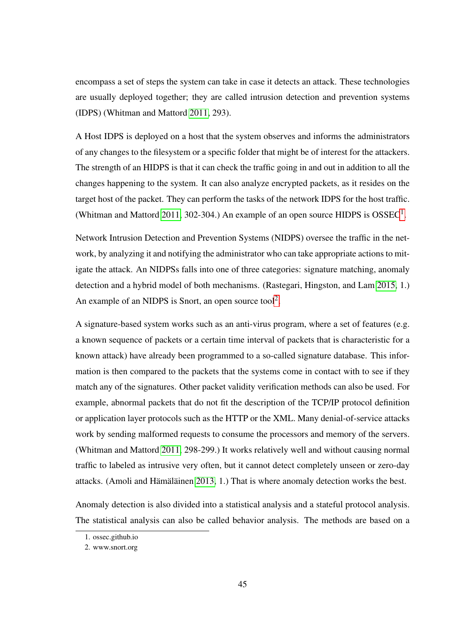encompass a set of steps the system can take in case it detects an attack. These technologies are usually deployed together; they are called intrusion detection and prevention systems (IDPS) (Whitman and Mattord [2011,](#page-121-0) 293).

A Host IDPS is deployed on a host that the system observes and informs the administrators of any changes to the filesystem or a specific folder that might be of interest for the attackers. The strength of an HIDPS is that it can check the traffic going in and out in addition to all the changes happening to the system. It can also analyze encrypted packets, as it resides on the target host of the packet. They can perform the tasks of the network IDPS for the host traffic. (Whitman and Mattord [2011,](#page-121-0) 302-304.) An example of an open source HIDPS is  $OSSEC<sup>1</sup>$  $OSSEC<sup>1</sup>$  $OSSEC<sup>1</sup>$ .

Network Intrusion Detection and Prevention Systems (NIDPS) oversee the traffic in the network, by analyzing it and notifying the administrator who can take appropriate actions to mitigate the attack. An NIDPSs falls into one of three categories: signature matching, anomaly detection and a hybrid model of both mechanisms. (Rastegari, Hingston, and Lam [2015,](#page-119-1) 1.) An example of an NIDPS is Snort, an open source tool<sup>[2](#page-56-1)</sup>.

A signature-based system works such as an anti-virus program, where a set of features (e.g. a known sequence of packets or a certain time interval of packets that is characteristic for a known attack) have already been programmed to a so-called signature database. This information is then compared to the packets that the systems come in contact with to see if they match any of the signatures. Other packet validity verification methods can also be used. For example, abnormal packets that do not fit the description of the TCP/IP protocol definition or application layer protocols such as the HTTP or the XML. Many denial-of-service attacks work by sending malformed requests to consume the processors and memory of the servers. (Whitman and Mattord [2011,](#page-121-0) 298-299.) It works relatively well and without causing normal traffic to labeled as intrusive very often, but it cannot detect completely unseen or zero-day attacks. (Amoli and Hämäläinen [2013,](#page-111-6) 1.) That is where anomaly detection works the best.

Anomaly detection is also divided into a statistical analysis and a stateful protocol analysis. The statistical analysis can also be called behavior analysis. The methods are based on a

<span id="page-56-1"></span><span id="page-56-0"></span><sup>1.</sup> ossec.github.io

<sup>2.</sup> www.snort.org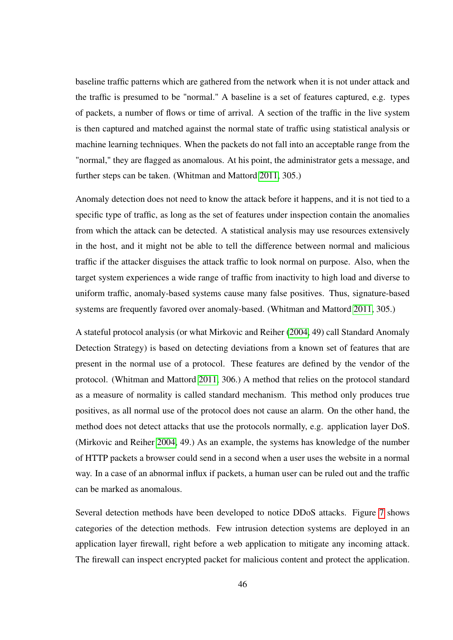baseline traffic patterns which are gathered from the network when it is not under attack and the traffic is presumed to be "normal." A baseline is a set of features captured, e.g. types of packets, a number of flows or time of arrival. A section of the traffic in the live system is then captured and matched against the normal state of traffic using statistical analysis or machine learning techniques. When the packets do not fall into an acceptable range from the "normal," they are flagged as anomalous. At his point, the administrator gets a message, and further steps can be taken. (Whitman and Mattord [2011,](#page-121-0) 305.)

Anomaly detection does not need to know the attack before it happens, and it is not tied to a specific type of traffic, as long as the set of features under inspection contain the anomalies from which the attack can be detected. A statistical analysis may use resources extensively in the host, and it might not be able to tell the difference between normal and malicious traffic if the attacker disguises the attack traffic to look normal on purpose. Also, when the target system experiences a wide range of traffic from inactivity to high load and diverse to uniform traffic, anomaly-based systems cause many false positives. Thus, signature-based systems are frequently favored over anomaly-based. (Whitman and Mattord [2011,](#page-121-0) 305.)

A stateful protocol analysis (or what Mirkovic and Reiher [\(2004,](#page-117-2) 49) call Standard Anomaly Detection Strategy) is based on detecting deviations from a known set of features that are present in the normal use of a protocol. These features are defined by the vendor of the protocol. (Whitman and Mattord [2011,](#page-121-0) 306.) A method that relies on the protocol standard as a measure of normality is called standard mechanism. This method only produces true positives, as all normal use of the protocol does not cause an alarm. On the other hand, the method does not detect attacks that use the protocols normally, e.g. application layer DoS. (Mirkovic and Reiher [2004,](#page-117-2) 49.) As an example, the systems has knowledge of the number of HTTP packets a browser could send in a second when a user uses the website in a normal way. In a case of an abnormal influx if packets, a human user can be ruled out and the traffic can be marked as anomalous.

Several detection methods have been developed to notice DDoS attacks. Figure [7](#page-58-0) shows categories of the detection methods. Few intrusion detection systems are deployed in an application layer firewall, right before a web application to mitigate any incoming attack. The firewall can inspect encrypted packet for malicious content and protect the application.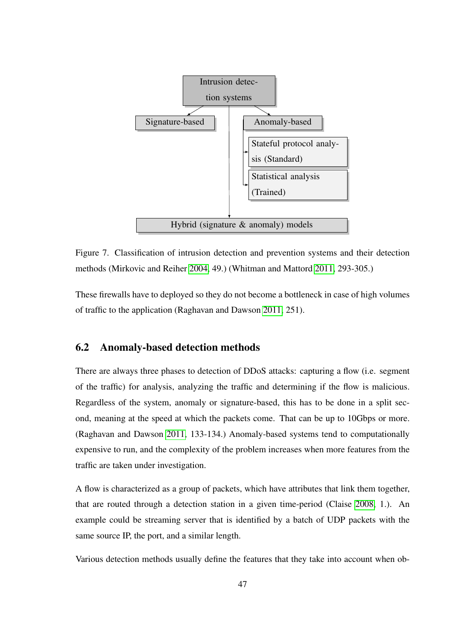<span id="page-58-0"></span>

Figure 7. Classification of intrusion detection and prevention systems and their detection methods (Mirkovic and Reiher [2004,](#page-117-2) 49.) (Whitman and Mattord [2011,](#page-121-0) 293-305.)

These firewalls have to deployed so they do not become a bottleneck in case of high volumes of traffic to the application (Raghavan and Dawson [2011,](#page-118-0) 251).

# 6.2 Anomaly-based detection methods

There are always three phases to detection of DDoS attacks: capturing a flow (i.e. segment of the traffic) for analysis, analyzing the traffic and determining if the flow is malicious. Regardless of the system, anomaly or signature-based, this has to be done in a split second, meaning at the speed at which the packets come. That can be up to 10Gbps or more. (Raghavan and Dawson [2011,](#page-118-0) 133-134.) Anomaly-based systems tend to computationally expensive to run, and the complexity of the problem increases when more features from the traffic are taken under investigation.

A flow is characterized as a group of packets, which have attributes that link them together, that are routed through a detection station in a given time-period (Claise [2008,](#page-113-1) 1.). An example could be streaming server that is identified by a batch of UDP packets with the same source IP, the port, and a similar length.

Various detection methods usually define the features that they take into account when ob-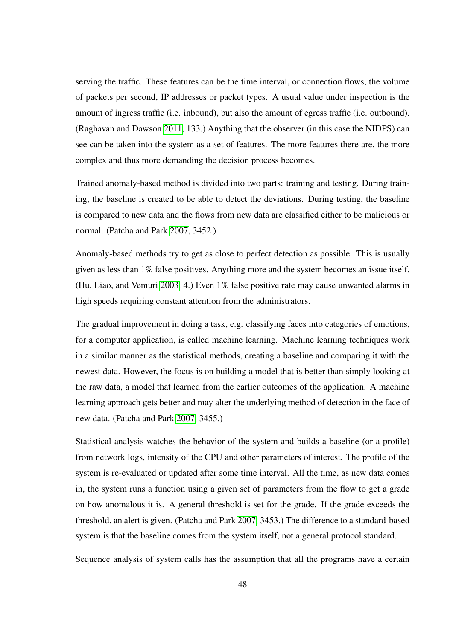serving the traffic. These features can be the time interval, or connection flows, the volume of packets per second, IP addresses or packet types. A usual value under inspection is the amount of ingress traffic (i.e. inbound), but also the amount of egress traffic (i.e. outbound). (Raghavan and Dawson [2011,](#page-118-0) 133.) Anything that the observer (in this case the NIDPS) can see can be taken into the system as a set of features. The more features there are, the more complex and thus more demanding the decision process becomes.

Trained anomaly-based method is divided into two parts: training and testing. During training, the baseline is created to be able to detect the deviations. During testing, the baseline is compared to new data and the flows from new data are classified either to be malicious or normal. (Patcha and Park [2007,](#page-118-2) 3452.)

Anomaly-based methods try to get as close to perfect detection as possible. This is usually given as less than 1% false positives. Anything more and the system becomes an issue itself. (Hu, Liao, and Vemuri [2003,](#page-115-3) 4.) Even 1% false positive rate may cause unwanted alarms in high speeds requiring constant attention from the administrators.

The gradual improvement in doing a task, e.g. classifying faces into categories of emotions, for a computer application, is called machine learning. Machine learning techniques work in a similar manner as the statistical methods, creating a baseline and comparing it with the newest data. However, the focus is on building a model that is better than simply looking at the raw data, a model that learned from the earlier outcomes of the application. A machine learning approach gets better and may alter the underlying method of detection in the face of new data. (Patcha and Park [2007,](#page-118-2) 3455.)

Statistical analysis watches the behavior of the system and builds a baseline (or a profile) from network logs, intensity of the CPU and other parameters of interest. The profile of the system is re-evaluated or updated after some time interval. All the time, as new data comes in, the system runs a function using a given set of parameters from the flow to get a grade on how anomalous it is. A general threshold is set for the grade. If the grade exceeds the threshold, an alert is given. (Patcha and Park [2007,](#page-118-2) 3453.) The difference to a standard-based system is that the baseline comes from the system itself, not a general protocol standard.

Sequence analysis of system calls has the assumption that all the programs have a certain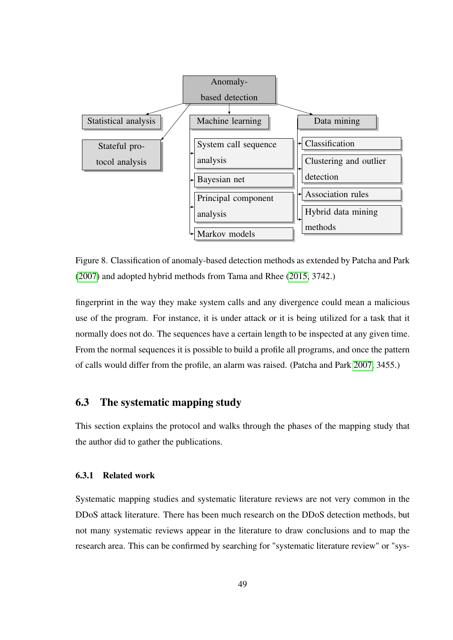

<span id="page-60-0"></span>Figure 8. Classification of anomaly-based detection methods as extended by Patcha and Park [\(2007\)](#page-118-2) and adopted hybrid methods from Tama and Rhee [\(2015,](#page-120-4) 3742.)

fingerprint in the way they make system calls and any divergence could mean a malicious use of the program. For instance, it is under attack or it is being utilized for a task that it normally does not do. The sequences have a certain length to be inspected at any given time. From the normal sequences it is possible to build a profile all programs, and once the pattern of calls would differ from the profile, an alarm was raised. (Patcha and Park [2007,](#page-118-2) 3455.)

# 6.3 The systematic mapping study

This section explains the protocol and walks through the phases of the mapping study that the author did to gather the publications.

#### 6.3.1 Related work

Systematic mapping studies and systematic literature reviews are not very common in the DDoS attack literature. There has been much research on the DDoS detection methods, but not many systematic reviews appear in the literature to draw conclusions and to map the research area. This can be confirmed by searching for "systematic literature review" or "sys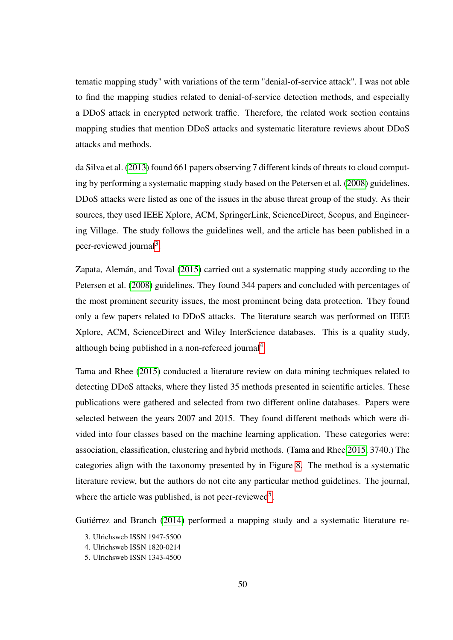tematic mapping study" with variations of the term "denial-of-service attack". I was not able to find the mapping studies related to denial-of-service detection methods, and especially a DDoS attack in encrypted network traffic. Therefore, the related work section contains mapping studies that mention DDoS attacks and systematic literature reviews about DDoS attacks and methods.

da Silva et al. [\(2013\)](#page-113-2) found 661 papers observing 7 different kinds of threats to cloud computing by performing a systematic mapping study based on the Petersen et al. [\(2008\)](#page-118-3) guidelines. DDoS attacks were listed as one of the issues in the abuse threat group of the study. As their sources, they used IEEE Xplore, ACM, SpringerLink, ScienceDirect, Scopus, and Engineering Village. The study follows the guidelines well, and the article has been published in a peer-reviewed journal<sup>[3](#page-61-0)</sup>.

Zapata, Alemán, and Toval [\(2015\)](#page-121-1) carried out a systematic mapping study according to the Petersen et al. [\(2008\)](#page-118-3) guidelines. They found 344 papers and concluded with percentages of the most prominent security issues, the most prominent being data protection. They found only a few papers related to DDoS attacks. The literature search was performed on IEEE Xplore, ACM, ScienceDirect and Wiley InterScience databases. This is a quality study, although being published in a non-refereed journal<sup>[4](#page-61-1)</sup>.

Tama and Rhee [\(2015\)](#page-120-4) conducted a literature review on data mining techniques related to detecting DDoS attacks, where they listed 35 methods presented in scientific articles. These publications were gathered and selected from two different online databases. Papers were selected between the years 2007 and 2015. They found different methods which were divided into four classes based on the machine learning application. These categories were: association, classification, clustering and hybrid methods. (Tama and Rhee [2015,](#page-120-4) 3740.) The categories align with the taxonomy presented by in Figure [8.](#page-60-0) The method is a systematic literature review, but the authors do not cite any particular method guidelines. The journal, where the article was published, is not peer-reviewed<sup>[5](#page-61-2)</sup>.

Gutiérrez and Branch [\(2014\)](#page-114-5) performed a mapping study and a systematic literature re-

<span id="page-61-1"></span><span id="page-61-0"></span><sup>3.</sup> Ulrichsweb ISSN 1947-5500

<span id="page-61-2"></span><sup>4.</sup> Ulrichsweb ISSN 1820-0214

<sup>5.</sup> Ulrichsweb ISSN 1343-4500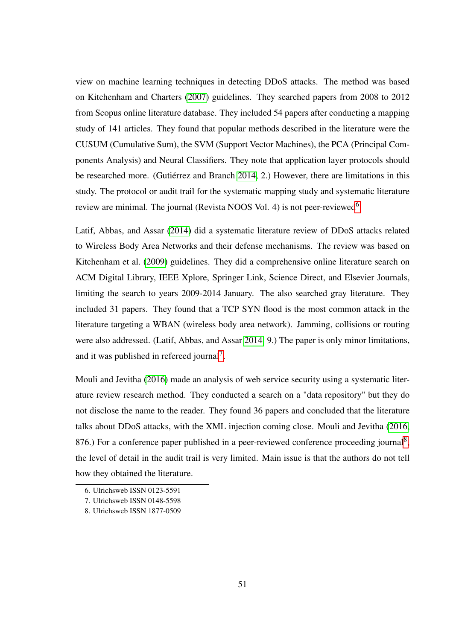view on machine learning techniques in detecting DDoS attacks. The method was based on Kitchenham and Charters [\(2007\)](#page-116-2) guidelines. They searched papers from 2008 to 2012 from Scopus online literature database. They included 54 papers after conducting a mapping study of 141 articles. They found that popular methods described in the literature were the CUSUM (Cumulative Sum), the SVM (Support Vector Machines), the PCA (Principal Components Analysis) and Neural Classifiers. They note that application layer protocols should be researched more. (Gutiérrez and Branch [2014,](#page-114-5) 2.) However, there are limitations in this study. The protocol or audit trail for the systematic mapping study and systematic literature review are minimal. The journal (Revista NOOS Vol. 4) is not peer-reviewed<sup>[6](#page-62-0)</sup>.

Latif, Abbas, and Assar [\(2014\)](#page-117-5) did a systematic literature review of DDoS attacks related to Wireless Body Area Networks and their defense mechanisms. The review was based on Kitchenham et al. [\(2009\)](#page-116-3) guidelines. They did a comprehensive online literature search on ACM Digital Library, IEEE Xplore, Springer Link, Science Direct, and Elsevier Journals, limiting the search to years 2009-2014 January. The also searched gray literature. They included 31 papers. They found that a TCP SYN flood is the most common attack in the literature targeting a WBAN (wireless body area network). Jamming, collisions or routing were also addressed. (Latif, Abbas, and Assar [2014,](#page-117-5) 9.) The paper is only minor limitations, and it was published in refereed journal<sup>[7](#page-62-1)</sup>.

Mouli and Jevitha [\(2016\)](#page-118-4) made an analysis of web service security using a systematic literature review research method. They conducted a search on a "data repository" but they do not disclose the name to the reader. They found 36 papers and concluded that the literature talks about DDoS attacks, with the XML injection coming close. Mouli and Jevitha [\(2016,](#page-118-4) [8](#page-62-2)76.) For a conference paper published in a peer-reviewed conference proceeding journal<sup>8</sup>, the level of detail in the audit trail is very limited. Main issue is that the authors do not tell how they obtained the literature.

<span id="page-62-1"></span><span id="page-62-0"></span><sup>6.</sup> Ulrichsweb ISSN 0123-5591

<span id="page-62-2"></span><sup>7.</sup> Ulrichsweb ISSN 0148-5598

<sup>8.</sup> Ulrichsweb ISSN 1877-0509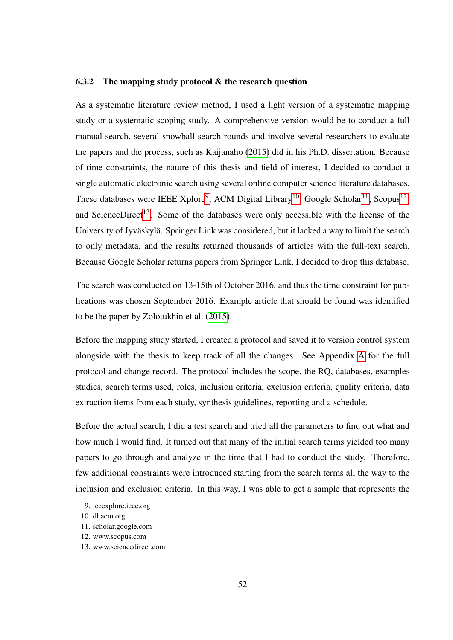#### 6.3.2 The mapping study protocol & the research question

As a systematic literature review method, I used a light version of a systematic mapping study or a systematic scoping study. A comprehensive version would be to conduct a full manual search, several snowball search rounds and involve several researchers to evaluate the papers and the process, such as Kaijanaho [\(2015\)](#page-116-4) did in his Ph.D. dissertation. Because of time constraints, the nature of this thesis and field of interest, I decided to conduct a single automatic electronic search using several online computer science literature databases. These databases were IEEE Xplore<sup>[9](#page-63-0)</sup>, ACM Digital Library<sup>[10](#page-63-1)</sup>, Google Scholar<sup>[11](#page-63-2)</sup>, Scopus<sup>[12](#page-63-3)</sup>, and ScienceDirect<sup>[13](#page-63-4)</sup>. Some of the databases were only accessible with the license of the University of Jyväskylä. Springer Link was considered, but it lacked a way to limit the search to only metadata, and the results returned thousands of articles with the full-text search. Because Google Scholar returns papers from Springer Link, I decided to drop this database.

The search was conducted on 13-15th of October 2016, and thus the time constraint for publications was chosen September 2016. Example article that should be found was identified to be the paper by Zolotukhin et al. [\(2015\)](#page-121-2).

Before the mapping study started, I created a protocol and saved it to version control system alongside with the thesis to keep track of all the changes. See Appendix [A](#page-122-0) for the full protocol and change record. The protocol includes the scope, the RQ, databases, examples studies, search terms used, roles, inclusion criteria, exclusion criteria, quality criteria, data extraction items from each study, synthesis guidelines, reporting and a schedule.

Before the actual search, I did a test search and tried all the parameters to find out what and how much I would find. It turned out that many of the initial search terms yielded too many papers to go through and analyze in the time that I had to conduct the study. Therefore, few additional constraints were introduced starting from the search terms all the way to the inclusion and exclusion criteria. In this way, I was able to get a sample that represents the

<span id="page-63-1"></span><span id="page-63-0"></span><sup>9.</sup> ieeexplore.ieee.org

<span id="page-63-2"></span><sup>10.</sup> dl.acm.org

<span id="page-63-3"></span><sup>11.</sup> scholar.google.com

<span id="page-63-4"></span><sup>12.</sup> www.scopus.com

<sup>13.</sup> www.sciencedirect.com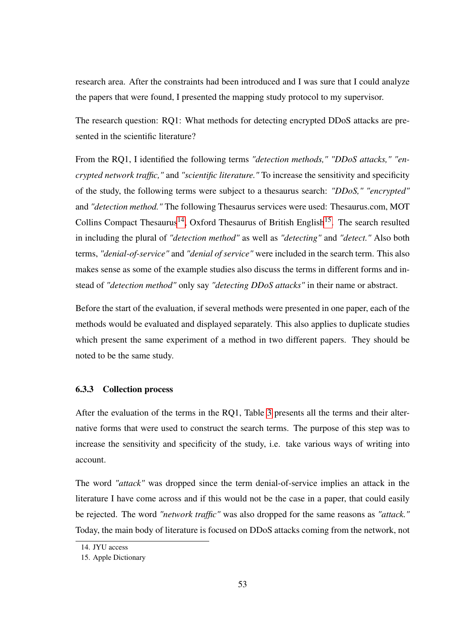research area. After the constraints had been introduced and I was sure that I could analyze the papers that were found, I presented the mapping study protocol to my supervisor.

The research question: RQ1: What methods for detecting encrypted DDoS attacks are presented in the scientific literature?

From the RQ1, I identified the following terms *"detection methods," "DDoS attacks," "encrypted network traffic,"* and *"scientific literature."* To increase the sensitivity and specificity of the study, the following terms were subject to a thesaurus search: *"DDoS," "encrypted"* and *"detection method."* The following Thesaurus services were used: Thesaurus.com, MOT Collins Compact Thesaurus<sup>[14](#page-64-0)</sup>, Oxford Thesaurus of British English<sup>[15](#page-64-1)</sup>. The search resulted in including the plural of *"detection method"* as well as *"detecting"* and *"detect."* Also both terms, *"denial-of-service"* and *"denial of service"* were included in the search term. This also makes sense as some of the example studies also discuss the terms in different forms and instead of *"detection method"* only say *"detecting DDoS attacks"* in their name or abstract.

Before the start of the evaluation, if several methods were presented in one paper, each of the methods would be evaluated and displayed separately. This also applies to duplicate studies which present the same experiment of a method in two different papers. They should be noted to be the same study.

### 6.3.3 Collection process

After the evaluation of the terms in the RQ1, Table [3](#page-65-0) presents all the terms and their alternative forms that were used to construct the search terms. The purpose of this step was to increase the sensitivity and specificity of the study, i.e. take various ways of writing into account.

The word *"attack"* was dropped since the term denial-of-service implies an attack in the literature I have come across and if this would not be the case in a paper, that could easily be rejected. The word *"network traffic"* was also dropped for the same reasons as *"attack."* Today, the main body of literature is focused on DDoS attacks coming from the network, not

<span id="page-64-1"></span><span id="page-64-0"></span><sup>14.</sup> **IYU** access

<sup>15.</sup> Apple Dictionary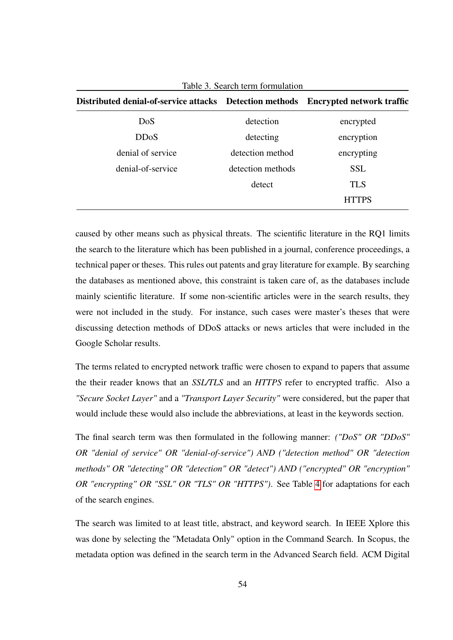<span id="page-65-0"></span>

| Distributed denial-of-service attacks Detection methods Encrypted network traffic |                   |            |
|-----------------------------------------------------------------------------------|-------------------|------------|
| Do <sub>S</sub>                                                                   | detection         | encrypted  |
| <b>DDoS</b>                                                                       | detecting         | encryption |
| denial of service                                                                 | detection method  | encrypting |
| denial-of-service                                                                 | detection methods | <b>SSL</b> |
|                                                                                   | detect            | TLS        |
|                                                                                   |                   | TPS        |

Table 3. Search term formulation

caused by other means such as physical threats. The scientific literature in the RQ1 limits the search to the literature which has been published in a journal, conference proceedings, a technical paper or theses. This rules out patents and gray literature for example. By searching the databases as mentioned above, this constraint is taken care of, as the databases include mainly scientific literature. If some non-scientific articles were in the search results, they were not included in the study. For instance, such cases were master's theses that were discussing detection methods of DDoS attacks or news articles that were included in the Google Scholar results.

The terms related to encrypted network traffic were chosen to expand to papers that assume the their reader knows that an *SSL/TLS* and an *HTTPS* refer to encrypted traffic. Also a *"Secure Socket Layer"* and a *"Transport Layer Security"* were considered, but the paper that would include these would also include the abbreviations, at least in the keywords section.

The final search term was then formulated in the following manner: *("DoS" OR "DDoS" OR "denial of service" OR "denial-of-service") AND ("detection method" OR "detection methods" OR "detecting" OR "detection" OR "detect") AND ("encrypted" OR "encryption" OR "encrypting" OR "SSL" OR "TLS" OR "HTTPS")*. See Table [4](#page-67-0) for adaptations for each of the search engines.

The search was limited to at least title, abstract, and keyword search. In IEEE Xplore this was done by selecting the "Metadata Only" option in the Command Search. In Scopus, the metadata option was defined in the search term in the Advanced Search field. ACM Digital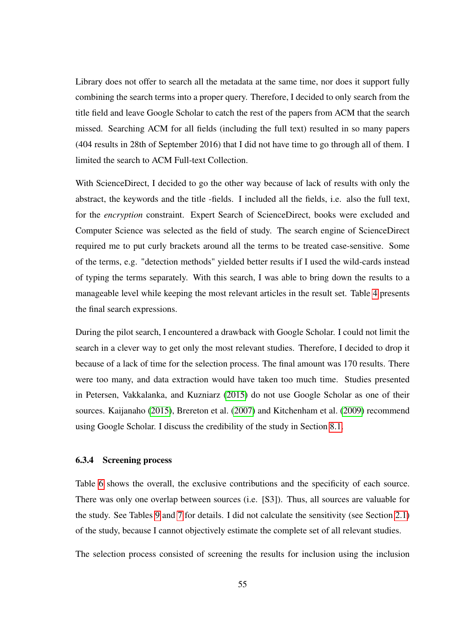Library does not offer to search all the metadata at the same time, nor does it support fully combining the search terms into a proper query. Therefore, I decided to only search from the title field and leave Google Scholar to catch the rest of the papers from ACM that the search missed. Searching ACM for all fields (including the full text) resulted in so many papers (404 results in 28th of September 2016) that I did not have time to go through all of them. I limited the search to ACM Full-text Collection.

With ScienceDirect, I decided to go the other way because of lack of results with only the abstract, the keywords and the title -fields. I included all the fields, i.e. also the full text, for the *encryption* constraint. Expert Search of ScienceDirect, books were excluded and Computer Science was selected as the field of study. The search engine of ScienceDirect required me to put curly brackets around all the terms to be treated case-sensitive. Some of the terms, e.g. "detection methods" yielded better results if I used the wild-cards instead of typing the terms separately. With this search, I was able to bring down the results to a manageable level while keeping the most relevant articles in the result set. Table [4](#page-67-0) presents the final search expressions.

During the pilot search, I encountered a drawback with Google Scholar. I could not limit the search in a clever way to get only the most relevant studies. Therefore, I decided to drop it because of a lack of time for the selection process. The final amount was 170 results. There were too many, and data extraction would have taken too much time. Studies presented in Petersen, Vakkalanka, and Kuzniarz [\(2015\)](#page-118-5) do not use Google Scholar as one of their sources. Kaijanaho [\(2015\)](#page-116-4), Brereton et al. [\(2007\)](#page-112-1) and Kitchenham et al. [\(2009\)](#page-116-3) recommend using Google Scholar. I discuss the credibility of the study in Section [8.1.](#page-103-0)

#### 6.3.4 Screening process

Table [6](#page-68-0) shows the overall, the exclusive contributions and the specificity of each source. There was only one overlap between sources (i.e. [S3]). Thus, all sources are valuable for the study. See Tables [9](#page-74-0) and [7](#page-68-1) for details. I did not calculate the sensitivity (see Section [2.1\)](#page-17-0) of the study, because I cannot objectively estimate the complete set of all relevant studies.

The selection process consisted of screening the results for inclusion using the inclusion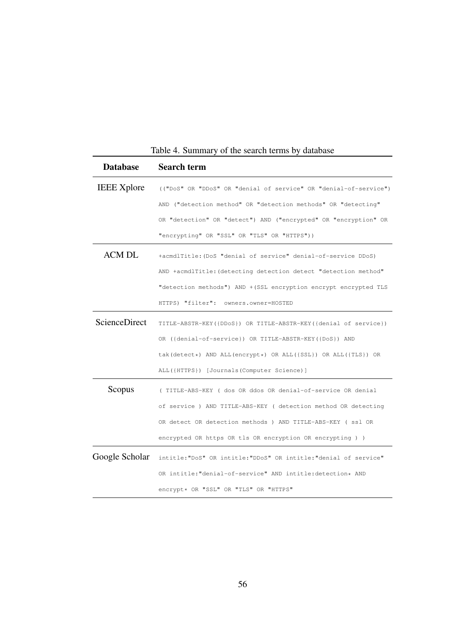<span id="page-67-0"></span>

| Table 4. Summary of the search terms by database |                                                                   |  |  |
|--------------------------------------------------|-------------------------------------------------------------------|--|--|
| <b>Database</b>                                  | <b>Search term</b>                                                |  |  |
| <b>IEEE</b> Xplore                               | (("DoS" OR "DDoS" OR "denial of service" OR "denial-of-service")  |  |  |
|                                                  | AND ("detection method" OR "detection methods" OR "detecting"     |  |  |
|                                                  | OR "detection" OR "detect") AND ("encrypted" OR "encryption" OR   |  |  |
|                                                  | "encrypting" OR "SSL" OR "TLS" OR "HTTPS"))                       |  |  |
| <b>ACM DL</b>                                    | +acmdlTitle: (DoS "denial of service" denial-of-service DDoS)     |  |  |
|                                                  | AND +acmdlTitle: (detecting detection detect "detection method"   |  |  |
|                                                  | "detection methods") AND + (SSL encryption encrypt encrypted TLS  |  |  |
|                                                  | HTTPS) "filter": owners.owner=HOSTED                              |  |  |
| ScienceDirect                                    | TITLE-ABSTR-KEY({DDoS}) OR TITLE-ABSTR-KEY({denial of service})   |  |  |
|                                                  | OR ({denial-of-service}) OR TITLE-ABSTR-KEY({DoS}) AND            |  |  |
|                                                  | tak (detect*) AND ALL (encrypt*) OR ALL ({SSL}) OR ALL ({TLS}) OR |  |  |
|                                                  | ALL({HTTPS}) [Journals(Computer Science)]                         |  |  |
| Scopus                                           | ( TITLE-ABS-KEY ( dos OR ddos OR denial-of-service OR denial      |  |  |
|                                                  | of service ) AND TITLE-ABS-KEY ( detection method OR detecting    |  |  |
|                                                  | OR detect OR detection methods ) AND TITLE-ABS-KEY ( ssl OR       |  |  |
|                                                  | encrypted OR https OR tls OR encryption OR encrypting ) )         |  |  |
| Google Scholar                                   | intitle: "DoS" OR intitle: "DDoS" OR intitle: "denial of service" |  |  |
|                                                  | OR intitle: "denial-of-service" AND intitle: detection* AND       |  |  |
|                                                  | encrypt* OR "SSL" OR "TLS" OR "HTTPS"                             |  |  |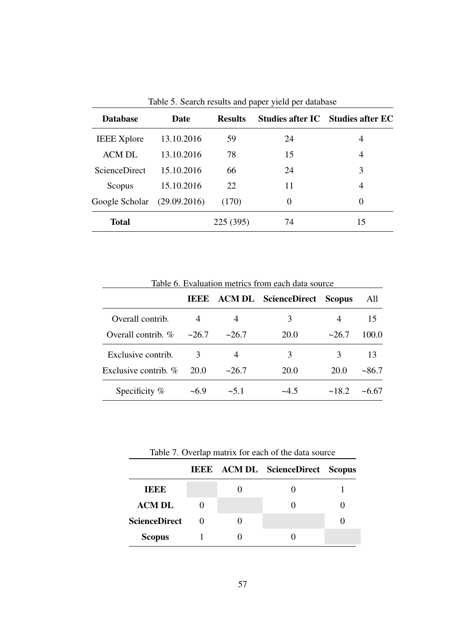<span id="page-68-2"></span>

| <b>Database</b>      | Date         | <b>Results</b> |          | Studies after IC Studies after EC |
|----------------------|--------------|----------------|----------|-----------------------------------|
| <b>IEEE</b> Xplore   | 13.10.2016   | 59             | 24       | 4                                 |
| <b>ACM DL</b>        | 13.10.2016   | 78             | 15       | 4                                 |
| <b>ScienceDirect</b> | 15.10.2016   | 66             | 24       | 3                                 |
| Scopus               | 15.10.2016   | 22             | 11       | 4                                 |
| Google Scholar       | (29.09.2016) | (170)          | $\theta$ | $\Omega$                          |
| <b>Total</b>         |              | 225 (395)      | 74       | 15                                |

Table 5. Search results and paper yield per database

<span id="page-68-0"></span>

| Table 6. Evaluation metrics from each data source. |             |         |                             |               |        |
|----------------------------------------------------|-------------|---------|-----------------------------|---------------|--------|
|                                                    | <b>IEEE</b> |         | <b>ACM DL</b> ScienceDirect | <b>Scopus</b> | All    |
| Overall contrib.                                   |             | 4       | 3                           | 4             | 15     |
| Overall contrib. %                                 | ~26.7       | ~26.7   | <b>20.0</b>                 | ~26.7         | 100.0  |
| Exclusive contrib.                                 | 3           | 4       | 3                           | 3             | 13     |
| Exclusive contrib. $\%$                            | 20.0        | $-26.7$ | 20.0                        | 20.0          | ~186.7 |
| Specificity $%$                                    | $-69$       | $-5.1$  | $-45$                       | ~18.2         | ~6.67  |

Table 7. Overlap matrix for each of the data source

<span id="page-68-1"></span>

|                      |          | <b>IEEE ACM DL ScienceDirect Scopus</b> |  |
|----------------------|----------|-----------------------------------------|--|
| TEEE                 |          |                                         |  |
| <b>ACM DL</b>        |          |                                         |  |
| <b>ScienceDirect</b> | $\theta$ |                                         |  |
| <b>Scopus</b>        |          |                                         |  |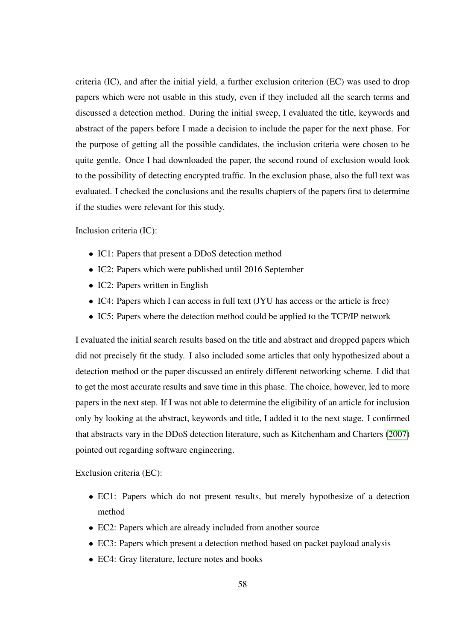criteria (IC), and after the initial yield, a further exclusion criterion (EC) was used to drop papers which were not usable in this study, even if they included all the search terms and discussed a detection method. During the initial sweep, I evaluated the title, keywords and abstract of the papers before I made a decision to include the paper for the next phase. For the purpose of getting all the possible candidates, the inclusion criteria were chosen to be quite gentle. Once I had downloaded the paper, the second round of exclusion would look to the possibility of detecting encrypted traffic. In the exclusion phase, also the full text was evaluated. I checked the conclusions and the results chapters of the papers first to determine if the studies were relevant for this study.

Inclusion criteria (IC):

- IC1: Papers that present a DDoS detection method
- IC2: Papers which were published until 2016 September
- IC2: Papers written in English
- IC4: Papers which I can access in full text (JYU has access or the article is free)
- IC5: Papers where the detection method could be applied to the TCP/IP network

I evaluated the initial search results based on the title and abstract and dropped papers which did not precisely fit the study. I also included some articles that only hypothesized about a detection method or the paper discussed an entirely different networking scheme. I did that to get the most accurate results and save time in this phase. The choice, however, led to more papers in the next step. If I was not able to determine the eligibility of an article for inclusion only by looking at the abstract, keywords and title, I added it to the next stage. I confirmed that abstracts vary in the DDoS detection literature, such as Kitchenham and Charters [\(2007\)](#page-116-2) pointed out regarding software engineering.

Exclusion criteria (EC):

- EC1: Papers which do not present results, but merely hypothesize of a detection method
- EC2: Papers which are already included from another source
- EC3: Papers which present a detection method based on packet payload analysis
- EC4: Gray literature, lecture notes and books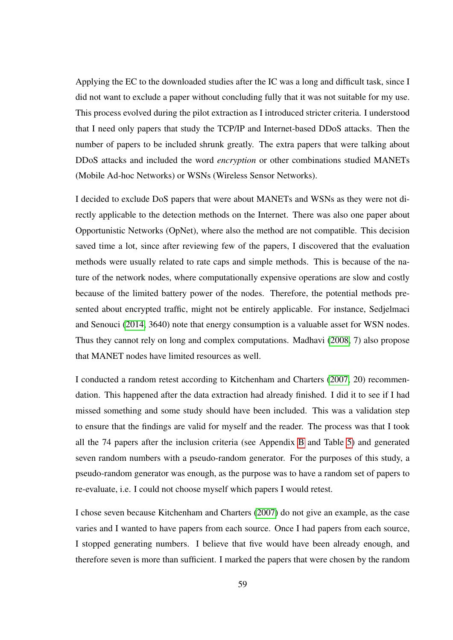Applying the EC to the downloaded studies after the IC was a long and difficult task, since I did not want to exclude a paper without concluding fully that it was not suitable for my use. This process evolved during the pilot extraction as I introduced stricter criteria. I understood that I need only papers that study the TCP/IP and Internet-based DDoS attacks. Then the number of papers to be included shrunk greatly. The extra papers that were talking about DDoS attacks and included the word *encryption* or other combinations studied MANETs (Mobile Ad-hoc Networks) or WSNs (Wireless Sensor Networks).

I decided to exclude DoS papers that were about MANETs and WSNs as they were not directly applicable to the detection methods on the Internet. There was also one paper about Opportunistic Networks (OpNet), where also the method are not compatible. This decision saved time a lot, since after reviewing few of the papers, I discovered that the evaluation methods were usually related to rate caps and simple methods. This is because of the nature of the network nodes, where computationally expensive operations are slow and costly because of the limited battery power of the nodes. Therefore, the potential methods presented about encrypted traffic, might not be entirely applicable. For instance, Sedjelmaci and Senouci [\(2014,](#page-119-2) 3640) note that energy consumption is a valuable asset for WSN nodes. Thus they cannot rely on long and complex computations. Madhavi [\(2008,](#page-117-6) 7) also propose that MANET nodes have limited resources as well.

I conducted a random retest according to Kitchenham and Charters [\(2007,](#page-116-2) 20) recommendation. This happened after the data extraction had already finished. I did it to see if I had missed something and some study should have been included. This was a validation step to ensure that the findings are valid for myself and the reader. The process was that I took all the 74 papers after the inclusion criteria (see Appendix [B](#page-127-0) and Table [5\)](#page-68-2) and generated seven random numbers with a pseudo-random generator. For the purposes of this study, a pseudo-random generator was enough, as the purpose was to have a random set of papers to re-evaluate, i.e. I could not choose myself which papers I would retest.

I chose seven because Kitchenham and Charters [\(2007\)](#page-116-2) do not give an example, as the case varies and I wanted to have papers from each source. Once I had papers from each source, I stopped generating numbers. I believe that five would have been already enough, and therefore seven is more than sufficient. I marked the papers that were chosen by the random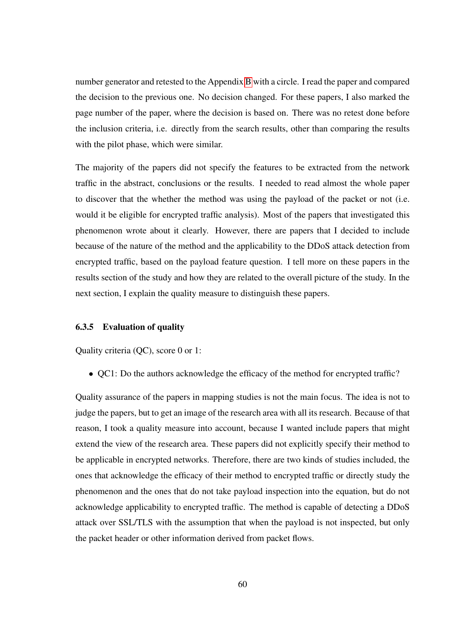number generator and retested to the Appendix [B](#page-127-0) with a circle. I read the paper and compared the decision to the previous one. No decision changed. For these papers, I also marked the page number of the paper, where the decision is based on. There was no retest done before the inclusion criteria, i.e. directly from the search results, other than comparing the results with the pilot phase, which were similar.

The majority of the papers did not specify the features to be extracted from the network traffic in the abstract, conclusions or the results. I needed to read almost the whole paper to discover that the whether the method was using the payload of the packet or not (i.e. would it be eligible for encrypted traffic analysis). Most of the papers that investigated this phenomenon wrote about it clearly. However, there are papers that I decided to include because of the nature of the method and the applicability to the DDoS attack detection from encrypted traffic, based on the payload feature question. I tell more on these papers in the results section of the study and how they are related to the overall picture of the study. In the next section, I explain the quality measure to distinguish these papers.

#### 6.3.5 Evaluation of quality

Quality criteria (QC), score 0 or 1:

• QC1: Do the authors acknowledge the efficacy of the method for encrypted traffic?

Quality assurance of the papers in mapping studies is not the main focus. The idea is not to judge the papers, but to get an image of the research area with all its research. Because of that reason, I took a quality measure into account, because I wanted include papers that might extend the view of the research area. These papers did not explicitly specify their method to be applicable in encrypted networks. Therefore, there are two kinds of studies included, the ones that acknowledge the efficacy of their method to encrypted traffic or directly study the phenomenon and the ones that do not take payload inspection into the equation, but do not acknowledge applicability to encrypted traffic. The method is capable of detecting a DDoS attack over SSL/TLS with the assumption that when the payload is not inspected, but only the packet header or other information derived from packet flows.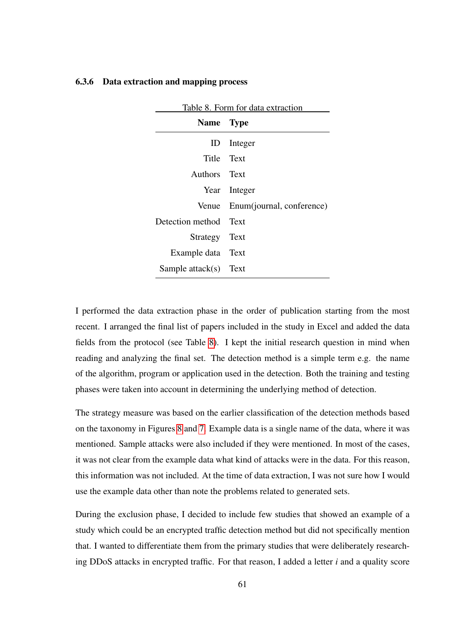| Name Type                         |
|-----------------------------------|
| Integer                           |
| Title Text                        |
| Authors Text                      |
| Year Integer                      |
| Venue Enum(journal, conference)   |
| Detection method Text             |
| Strategy Text                     |
| Example data Text                 |
| Sample attack $(s)$ Text          |
| Table 8. Form for data extraction |

#### <span id="page-72-0"></span>6.3.6 Data extraction and mapping process

I performed the data extraction phase in the order of publication starting from the most recent. I arranged the final list of papers included in the study in Excel and added the data fields from the protocol (see Table [8\)](#page-72-0). I kept the initial research question in mind when reading and analyzing the final set. The detection method is a simple term e.g. the name of the algorithm, program or application used in the detection. Both the training and testing phases were taken into account in determining the underlying method of detection.

The strategy measure was based on the earlier classification of the detection methods based on the taxonomy in Figures [8](#page-60-0) and [7.](#page-58-0) Example data is a single name of the data, where it was mentioned. Sample attacks were also included if they were mentioned. In most of the cases, it was not clear from the example data what kind of attacks were in the data. For this reason, this information was not included. At the time of data extraction, I was not sure how I would use the example data other than note the problems related to generated sets.

During the exclusion phase, I decided to include few studies that showed an example of a study which could be an encrypted traffic detection method but did not specifically mention that. I wanted to differentiate them from the primary studies that were deliberately researching DDoS attacks in encrypted traffic. For that reason, I added a letter *i* and a quality score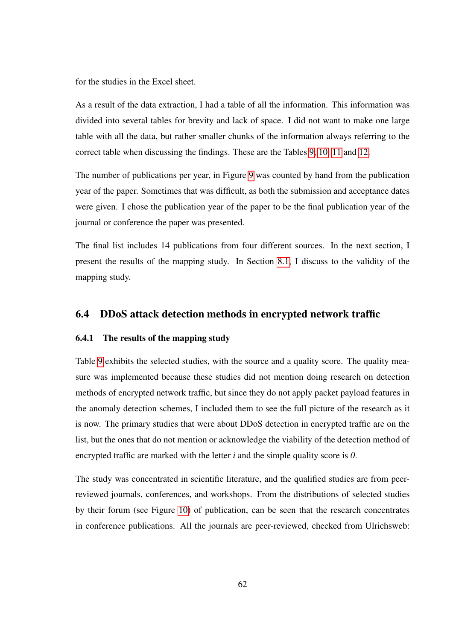for the studies in the Excel sheet.

As a result of the data extraction, I had a table of all the information. This information was divided into several tables for brevity and lack of space. I did not want to make one large table with all the data, but rather smaller chunks of the information always referring to the correct table when discussing the findings. These are the Tables [9,](#page-74-0) [10,](#page-76-0) [11](#page-78-0) and [12.](#page-79-0)

The number of publications per year, in Figure [9](#page-77-0) was counted by hand from the publication year of the paper. Sometimes that was difficult, as both the submission and acceptance dates were given. I chose the publication year of the paper to be the final publication year of the journal or conference the paper was presented.

The final list includes 14 publications from four different sources. In the next section, I present the results of the mapping study. In Section [8.1,](#page-103-0) I discuss to the validity of the mapping study.

#### <span id="page-73-0"></span>6.4 DDoS attack detection methods in encrypted network traffic

#### 6.4.1 The results of the mapping study

Table [9](#page-74-0) exhibits the selected studies, with the source and a quality score. The quality measure was implemented because these studies did not mention doing research on detection methods of encrypted network traffic, but since they do not apply packet payload features in the anomaly detection schemes, I included them to see the full picture of the research as it is now. The primary studies that were about DDoS detection in encrypted traffic are on the list, but the ones that do not mention or acknowledge the viability of the detection method of encrypted traffic are marked with the letter *i* and the simple quality score is *0*.

The study was concentrated in scientific literature, and the qualified studies are from peerreviewed journals, conferences, and workshops. From the distributions of selected studies by their forum (see Figure [10\)](#page-79-1) of publication, can be seen that the research concentrates in conference publications. All the journals are peer-reviewed, checked from Ulrichsweb: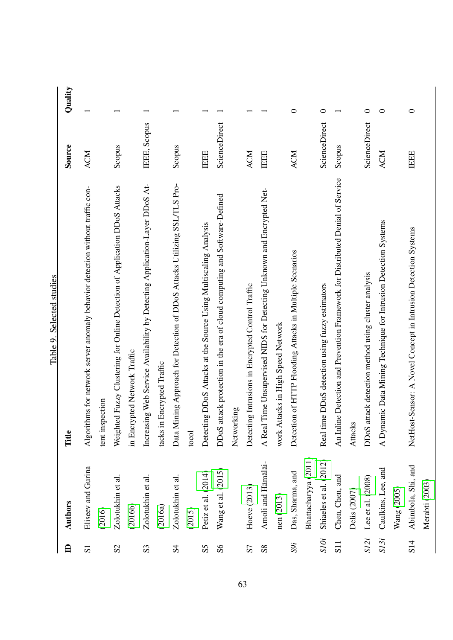<span id="page-74-0"></span>

|                  |                        | Table 9. Selected studies                                                      |               |         |
|------------------|------------------------|--------------------------------------------------------------------------------|---------------|---------|
| 白                | <b>Authors</b>         | Title                                                                          | Source        | Quality |
| $\overline{S}$   | Eliseev and Gurina     | Algorithms for network server anomaly behavior detection without traffic con-  | <b>ACM</b>    |         |
|                  | (2016)                 | spection<br>tent ins                                                           |               |         |
| S <sub>2</sub>   | Zolotukhin et al.      | Weighted Fuzzy Clustering for Online Detection of Application DDoS Attacks     | Scopus        |         |
|                  | (2016b)                | in Encrypted Network Traffic                                                   |               |         |
| S <sub>3</sub>   | Zolotukhin et al.      | Increasing Web Service Availability by Detecting Application-Layer DDoS At-    | IEEE, Scopus  |         |
|                  | (2016a)                | tacks in Encrypted Traffic                                                     |               |         |
| S <sub>4</sub>   | Zolotukhin et al.      | Data Mining Approach for Detection of DDoS Attacks Utilizing SSL/TLS Pro-      | Scopus        |         |
|                  | (2015)                 | tocol                                                                          |               |         |
| SS               | Petiz et al. (2014)    | Detecting DDoS Attacks at the Source Using Multiscaling Analysis               | <b>IEEE</b>   |         |
| $\mathcal{S}$    | Wang et al. $(2015)$   | DDoS attack protection in the era of cloud computing and Software-Defined      | ScienceDirect |         |
|                  |                        | Networking                                                                     |               |         |
| S7               | Hoeve (2013)           | Detecting Intrusions in Encrypted Control Traffic                              | <b>ACM</b>    |         |
| 88               | Amoli and Hämäläi-     | Time Unsupervised NIDS for Detecting Unknown and Encrypted Net-<br>A Real      | <b>TEEE</b>   |         |
|                  | nen (2013)             | ttacks in High Speed Network<br>work A                                         |               |         |
| S9i              | Das, Sharma, and       | Detection of HTTP Flooding Attacks in Multiple Scenarios                       | <b>ACM</b>    | $\circ$ |
|                  | Bhattacharyya (2011)   |                                                                                |               |         |
| S10i             | Shiaeles et al. (2012) | Real time DDoS detection using fuzzy estimators                                | ScienceDirect | 0       |
| S <sub>11</sub>  | Chen, Chen, and        | An Inline Detection and Prevention Framework for Distributed Denial of Service | Scopus        |         |
|                  | Delis (2007)           | Attacks                                                                        |               |         |
| S12i             | Lee et al. (2008)      | DDoS attack detection method using cluster analysis                            | ScienceDirect | $\circ$ |
| S <sub>13i</sub> | Caulkins, Lee, and     | A Dynamic Data Mining Technique for Intrusion Detection Systems                | <b>ACM</b>    | $\circ$ |
|                  | Wang (2005)            |                                                                                |               |         |
| S <sub>14</sub>  | Abimbola, Shi, and     | NetHost-Sensor: A Novel Concept in Intrusion Detection Systems                 | <b>IEEE</b>   | $\circ$ |
|                  | Merabti (2003)         |                                                                                |               |         |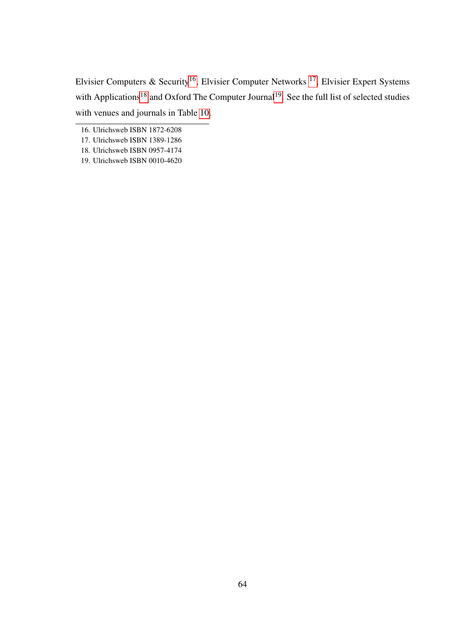Elvisier Computers & Security[16](#page-75-0), Elvisier Computer Networks [17](#page-75-1), Elvisier Expert Systems with Applications<sup>[18](#page-75-2)</sup> and Oxford The Computer Journal<sup>[19](#page-75-3)</sup>. See the full list of selected studies with venues and journals in Table [10.](#page-76-0)

- <span id="page-75-3"></span>18. Ulrichsweb ISBN 0957-4174
- 19. Ulrichsweb ISBN 0010-4620

<span id="page-75-0"></span><sup>16.</sup> Ulrichsweb ISBN 1872-6208

<span id="page-75-2"></span><span id="page-75-1"></span><sup>17.</sup> Ulrichsweb ISBN 1389-1286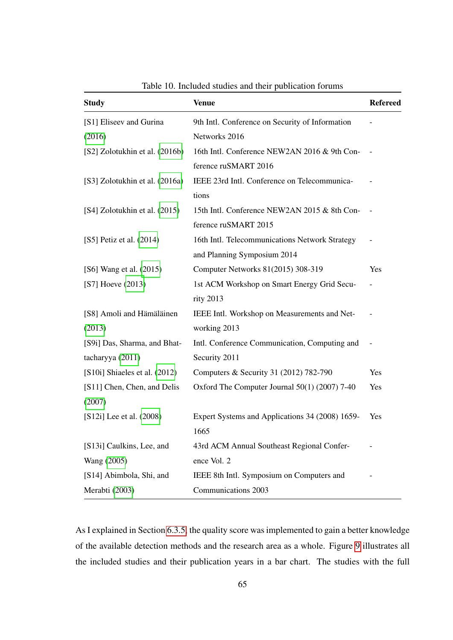<span id="page-76-0"></span>

| <b>Study</b>                   | <b>Venue</b>                                    | <b>Refereed</b> |
|--------------------------------|-------------------------------------------------|-----------------|
| [S1] Eliseev and Gurina        | 9th Intl. Conference on Security of Information |                 |
| (2016)                         | Networks 2016                                   |                 |
| [S2] Zolotukhin et al. (2016b) | 16th Intl. Conference NEW2AN 2016 & 9th Con-    |                 |
|                                | ference ruSMART 2016                            |                 |
| [S3] Zolotukhin et al. (2016a) | IEEE 23rd Intl. Conference on Telecommunica-    |                 |
|                                | tions                                           |                 |
| [S4] Zolotukhin et al. (2015)  | 15th Intl. Conference NEW2AN 2015 & 8th Con-    |                 |
|                                | ference ruSMART 2015                            |                 |
| [S5] Petiz et al. $(2014)$     | 16th Intl. Telecommunications Network Strategy  |                 |
|                                | and Planning Symposium 2014                     |                 |
| [S6] Wang et al. (2015)        | Computer Networks 81(2015) 308-319              | Yes             |
| [S7] Hoeve (2013)              | 1st ACM Workshop on Smart Energy Grid Secu-     |                 |
|                                | rity 2013                                       |                 |
| [S8] Amoli and Hämäläinen      | IEEE Intl. Workshop on Measurements and Net-    |                 |
| (2013)                         | working 2013                                    |                 |
| [S9i] Das, Sharma, and Bhat-   | Intl. Conference Communication, Computing and   |                 |
| tacharyya (2011)               | Security 2011                                   |                 |
| [S10i] Shiaeles et al. (2012)  | Computers & Security 31 (2012) 782-790          | Yes             |
| [S11] Chen, Chen, and Delis    | Oxford The Computer Journal 50(1) (2007) 7-40   | Yes             |
| (2007)                         |                                                 |                 |
| [S12i] Lee et al. (2008)       | Expert Systems and Applications 34 (2008) 1659- | Yes             |
|                                | 1665                                            |                 |
| [S13i] Caulkins, Lee, and      | 43rd ACM Annual Southeast Regional Confer-      |                 |
| Wang (2005)                    | ence Vol. 2                                     |                 |
| [S14] Abimbola, Shi, and       | IEEE 8th Intl. Symposium on Computers and       |                 |
| Merabti (2003)                 | Communications 2003                             |                 |

Table 10. Included studies and their publication forums

As I explained in Section [6.3.5,](#page-71-0) the quality score was implemented to gain a better knowledge of the available detection methods and the research area as a whole. Figure [9](#page-77-0) illustrates all the included studies and their publication years in a bar chart. The studies with the full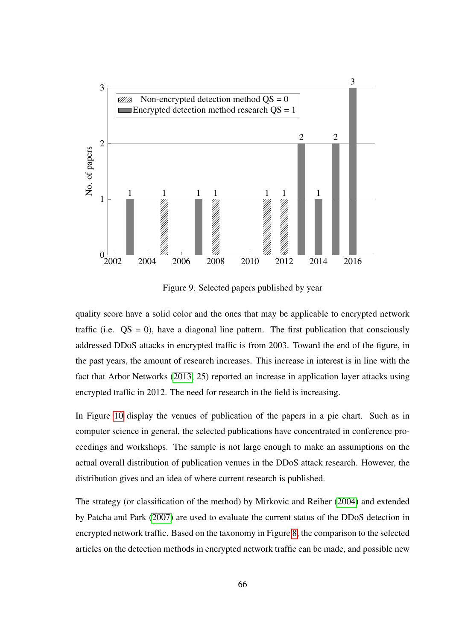

<span id="page-77-0"></span>Figure 9. Selected papers published by year

quality score have a solid color and the ones that may be applicable to encrypted network traffic (i.e.  $QS = 0$ ), have a diagonal line pattern. The first publication that consciously addressed DDoS attacks in encrypted traffic is from 2003. Toward the end of the figure, in the past years, the amount of research increases. This increase in interest is in line with the fact that Arbor Networks [\(2013,](#page-111-2) 25) reported an increase in application layer attacks using encrypted traffic in 2012. The need for research in the field is increasing.

In Figure [10](#page-79-1) display the venues of publication of the papers in a pie chart. Such as in computer science in general, the selected publications have concentrated in conference proceedings and workshops. The sample is not large enough to make an assumptions on the actual overall distribution of publication venues in the DDoS attack research. However, the distribution gives and an idea of where current research is published.

The strategy (or classification of the method) by Mirkovic and Reiher [\(2004\)](#page-117-1) and extended by Patcha and Park [\(2007\)](#page-118-1) are used to evaluate the current status of the DDoS detection in encrypted network traffic. Based on the taxonomy in Figure [8,](#page-60-0) the comparison to the selected articles on the detection methods in encrypted network traffic can be made, and possible new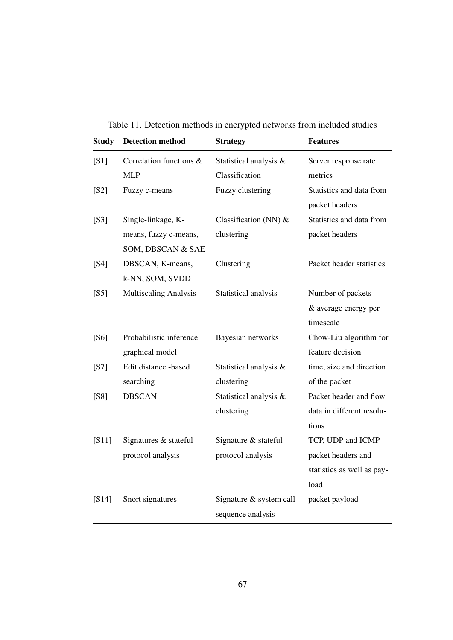<span id="page-78-0"></span>

| <b>Study</b> | <b>Detection method</b>      | <b>Strategy</b>         | <b>Features</b>            |
|--------------|------------------------------|-------------------------|----------------------------|
| [S1]         | Correlation functions &      | Statistical analysis &  | Server response rate       |
|              | <b>MLP</b>                   | Classification          | metrics                    |
| [S2]         | Fuzzy c-means                | Fuzzy clustering        | Statistics and data from   |
|              |                              |                         | packet headers             |
| [S3]         | Single-linkage, K-           | Classification (NN) $&$ | Statistics and data from   |
|              | means, fuzzy c-means,        | clustering              | packet headers             |
|              | SOM, DBSCAN & SAE            |                         |                            |
| [S4]         | DBSCAN, K-means,             | Clustering              | Packet header statistics   |
|              | k-NN, SOM, SVDD              |                         |                            |
| [S5]         | <b>Multiscaling Analysis</b> | Statistical analysis    | Number of packets          |
|              |                              |                         | & average energy per       |
|              |                              |                         | timescale                  |
| [S6]         | Probabilistic inference      | Bayesian networks       | Chow-Liu algorithm for     |
|              | graphical model              |                         | feature decision           |
| [S7]         | Edit distance -based         | Statistical analysis &  | time, size and direction   |
|              | searching                    | clustering              | of the packet              |
| [S8]         | <b>DBSCAN</b>                | Statistical analysis &  | Packet header and flow     |
|              |                              | clustering              | data in different resolu-  |
|              |                              |                         | tions                      |
| [S11]        | Signatures & stateful        | Signature & stateful    | TCP, UDP and ICMP          |
|              | protocol analysis            | protocol analysis       | packet headers and         |
|              |                              |                         | statistics as well as pay- |
|              |                              |                         | load                       |
| $[S14]$      | Snort signatures             | Signature & system call | packet payload             |
|              |                              | sequence analysis       |                            |

Table 11. Detection methods in encrypted networks from included studies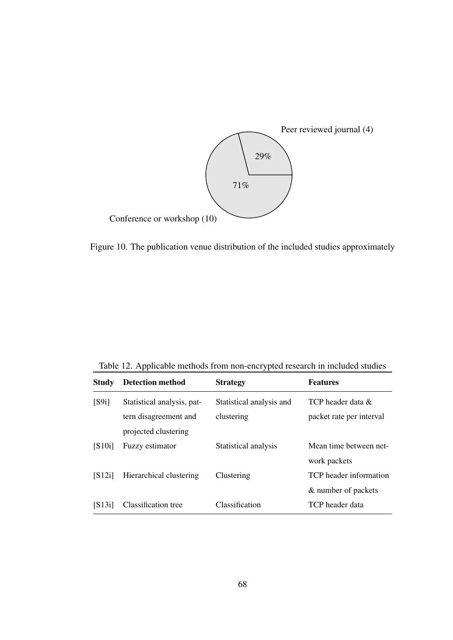

<span id="page-79-1"></span>Figure 10. The publication venue distribution of the included studies approximately

<span id="page-79-0"></span>Table 12. Applicable methods from non-encrypted research in included studies

| <b>Study</b> | Detection method           | <b>Strategy</b>          | <b>Features</b>          |
|--------------|----------------------------|--------------------------|--------------------------|
| [S9i]        | Statistical analysis, pat- | Statistical analysis and | TCP header data $\&$     |
|              | tern disagreement and      | clustering               | packet rate per interval |
|              | projected clustering       |                          |                          |
| [S10i]       | Fuzzy estimator            | Statistical analysis     | Mean time between net-   |
|              |                            |                          | work packets             |
| [S12i]       | Hierarchical clustering    | Clustering               | TCP header information   |
|              |                            |                          | & number of packets      |
| [S13i]       | Classification tree        | Classification           | TCP header data          |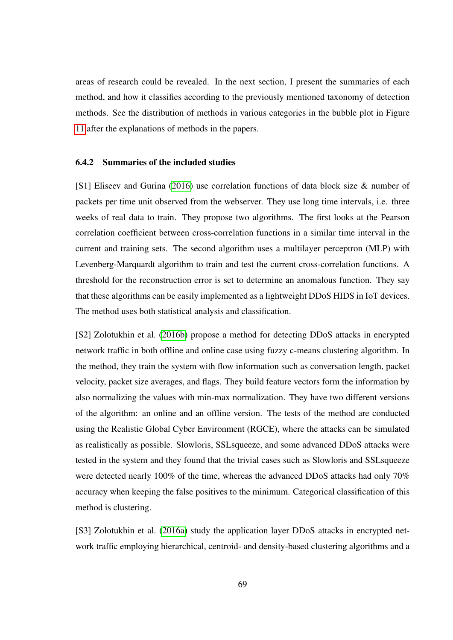areas of research could be revealed. In the next section, I present the summaries of each method, and how it classifies according to the previously mentioned taxonomy of detection methods. See the distribution of methods in various categories in the bubble plot in Figure [11](#page-85-0) after the explanations of methods in the papers.

#### <span id="page-80-0"></span>6.4.2 Summaries of the included studies

[S1] Eliseev and Gurina [\(2016\)](#page-114-0) use correlation functions of data block size & number of packets per time unit observed from the webserver. They use long time intervals, i.e. three weeks of real data to train. They propose two algorithms. The first looks at the Pearson correlation coefficient between cross-correlation functions in a similar time interval in the current and training sets. The second algorithm uses a multilayer perceptron (MLP) with Levenberg-Marquardt algorithm to train and test the current cross-correlation functions. A threshold for the reconstruction error is set to determine an anomalous function. They say that these algorithms can be easily implemented as a lightweight DDoS HIDS in IoT devices. The method uses both statistical analysis and classification.

[S2] Zolotukhin et al. [\(2016b\)](#page-121-0) propose a method for detecting DDoS attacks in encrypted network traffic in both offline and online case using fuzzy c-means clustering algorithm. In the method, they train the system with flow information such as conversation length, packet velocity, packet size averages, and flags. They build feature vectors form the information by also normalizing the values with min-max normalization. They have two different versions of the algorithm: an online and an offline version. The tests of the method are conducted using the Realistic Global Cyber Environment (RGCE), where the attacks can be simulated as realistically as possible. Slowloris, SSLsqueeze, and some advanced DDoS attacks were tested in the system and they found that the trivial cases such as Slowloris and SSLsqueeze were detected nearly 100% of the time, whereas the advanced DDoS attacks had only 70% accuracy when keeping the false positives to the minimum. Categorical classification of this method is clustering.

[S3] Zolotukhin et al. [\(2016a\)](#page-121-1) study the application layer DDoS attacks in encrypted network traffic employing hierarchical, centroid- and density-based clustering algorithms and a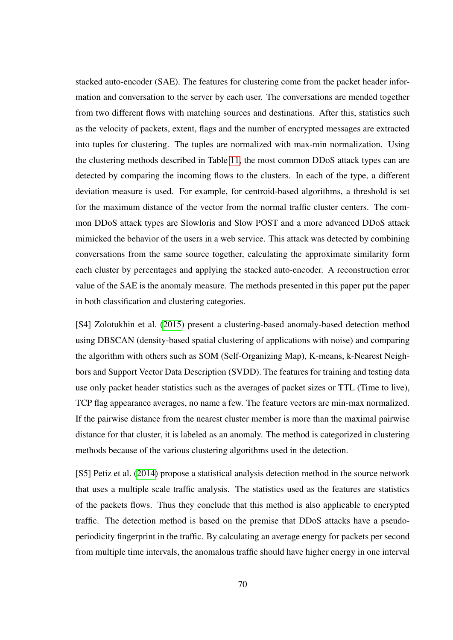stacked auto-encoder (SAE). The features for clustering come from the packet header information and conversation to the server by each user. The conversations are mended together from two different flows with matching sources and destinations. After this, statistics such as the velocity of packets, extent, flags and the number of encrypted messages are extracted into tuples for clustering. The tuples are normalized with max-min normalization. Using the clustering methods described in Table [11,](#page-78-0) the most common DDoS attack types can are detected by comparing the incoming flows to the clusters. In each of the type, a different deviation measure is used. For example, for centroid-based algorithms, a threshold is set for the maximum distance of the vector from the normal traffic cluster centers. The common DDoS attack types are Slowloris and Slow POST and a more advanced DDoS attack mimicked the behavior of the users in a web service. This attack was detected by combining conversations from the same source together, calculating the approximate similarity form each cluster by percentages and applying the stacked auto-encoder. A reconstruction error value of the SAE is the anomaly measure. The methods presented in this paper put the paper in both classification and clustering categories.

[S4] Zolotukhin et al. [\(2015\)](#page-121-2) present a clustering-based anomaly-based detection method using DBSCAN (density-based spatial clustering of applications with noise) and comparing the algorithm with others such as SOM (Self-Organizing Map), K-means, k-Nearest Neighbors and Support Vector Data Description (SVDD). The features for training and testing data use only packet header statistics such as the averages of packet sizes or TTL (Time to live), TCP flag appearance averages, no name a few. The feature vectors are min-max normalized. If the pairwise distance from the nearest cluster member is more than the maximal pairwise distance for that cluster, it is labeled as an anomaly. The method is categorized in clustering methods because of the various clustering algorithms used in the detection.

[S5] Petiz et al. [\(2014\)](#page-118-0) propose a statistical analysis detection method in the source network that uses a multiple scale traffic analysis. The statistics used as the features are statistics of the packets flows. Thus they conclude that this method is also applicable to encrypted traffic. The detection method is based on the premise that DDoS attacks have a pseudoperiodicity fingerprint in the traffic. By calculating an average energy for packets per second from multiple time intervals, the anomalous traffic should have higher energy in one interval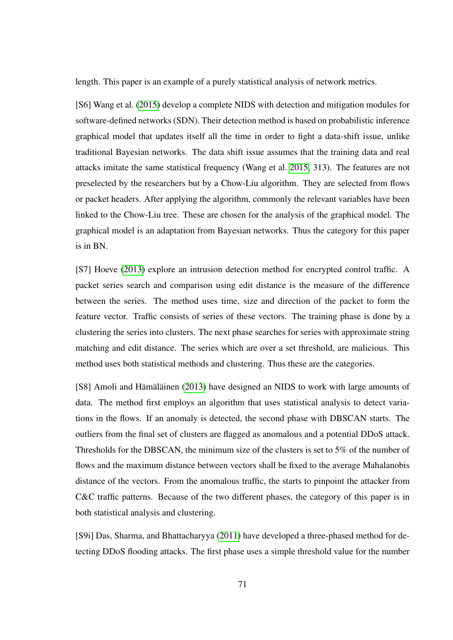length. This paper is an example of a purely statistical analysis of network metrics.

[S6] Wang et al. [\(2015\)](#page-121-3) develop a complete NIDS with detection and mitigation modules for software-defined networks (SDN). Their detection method is based on probabilistic inference graphical model that updates itself all the time in order to fight a data-shift issue, unlike traditional Bayesian networks. The data shift issue assumes that the training data and real attacks imitate the same statistical frequency (Wang et al. [2015,](#page-121-3) 313). The features are not preselected by the researchers but by a Chow-Liu algorithm. They are selected from flows or packet headers. After applying the algorithm, commonly the relevant variables have been linked to the Chow-Liu tree. These are chosen for the analysis of the graphical model. The graphical model is an adaptation from Bayesian networks. Thus the category for this paper is in BN.

[S7] Hoeve [\(2013\)](#page-115-0) explore an intrusion detection method for encrypted control traffic. A packet series search and comparison using edit distance is the measure of the difference between the series. The method uses time, size and direction of the packet to form the feature vector. Traffic consists of series of these vectors. The training phase is done by a clustering the series into clusters. The next phase searches for series with approximate string matching and edit distance. The series which are over a set threshold, are malicious. This method uses both statistical methods and clustering. Thus these are the categories.

[S8] Amoli and Hämäläinen [\(2013\)](#page-111-0) have designed an NIDS to work with large amounts of data. The method first employs an algorithm that uses statistical analysis to detect variations in the flows. If an anomaly is detected, the second phase with DBSCAN starts. The outliers from the final set of clusters are flagged as anomalous and a potential DDoS attack. Thresholds for the DBSCAN, the minimum size of the clusters is set to 5% of the number of flows and the maximum distance between vectors shall be fixed to the average Mahalanobis distance of the vectors. From the anomalous traffic, the starts to pinpoint the attacker from C&C traffic patterns. Because of the two different phases, the category of this paper is in both statistical analysis and clustering.

[S9i] Das, Sharma, and Bhattacharyya [\(2011\)](#page-113-0) have developed a three-phased method for detecting DDoS flooding attacks. The first phase uses a simple threshold value for the number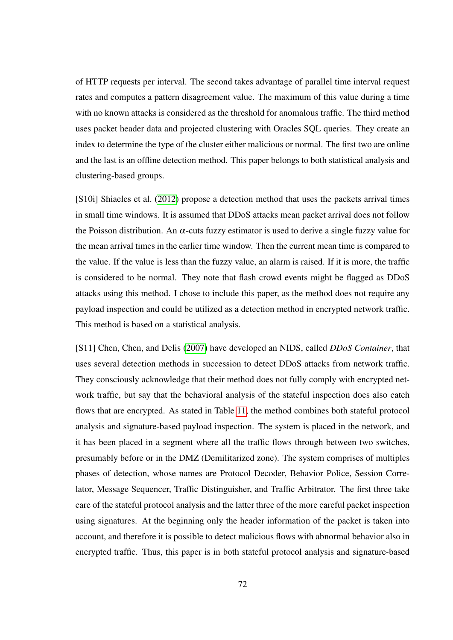of HTTP requests per interval. The second takes advantage of parallel time interval request rates and computes a pattern disagreement value. The maximum of this value during a time with no known attacks is considered as the threshold for anomalous traffic. The third method uses packet header data and projected clustering with Oracles SQL queries. They create an index to determine the type of the cluster either malicious or normal. The first two are online and the last is an offline detection method. This paper belongs to both statistical analysis and clustering-based groups.

[S10i] Shiaeles et al. [\(2012\)](#page-119-0) propose a detection method that uses the packets arrival times in small time windows. It is assumed that DDoS attacks mean packet arrival does not follow the Poisson distribution. An  $\alpha$ -cuts fuzzy estimator is used to derive a single fuzzy value for the mean arrival times in the earlier time window. Then the current mean time is compared to the value. If the value is less than the fuzzy value, an alarm is raised. If it is more, the traffic is considered to be normal. They note that flash crowd events might be flagged as DDoS attacks using this method. I chose to include this paper, as the method does not require any payload inspection and could be utilized as a detection method in encrypted network traffic. This method is based on a statistical analysis.

[S11] Chen, Chen, and Delis [\(2007\)](#page-113-1) have developed an NIDS, called *DDoS Container*, that uses several detection methods in succession to detect DDoS attacks from network traffic. They consciously acknowledge that their method does not fully comply with encrypted network traffic, but say that the behavioral analysis of the stateful inspection does also catch flows that are encrypted. As stated in Table [11,](#page-78-0) the method combines both stateful protocol analysis and signature-based payload inspection. The system is placed in the network, and it has been placed in a segment where all the traffic flows through between two switches, presumably before or in the DMZ (Demilitarized zone). The system comprises of multiples phases of detection, whose names are Protocol Decoder, Behavior Police, Session Correlator, Message Sequencer, Traffic Distinguisher, and Traffic Arbitrator. The first three take care of the stateful protocol analysis and the latter three of the more careful packet inspection using signatures. At the beginning only the header information of the packet is taken into account, and therefore it is possible to detect malicious flows with abnormal behavior also in encrypted traffic. Thus, this paper is in both stateful protocol analysis and signature-based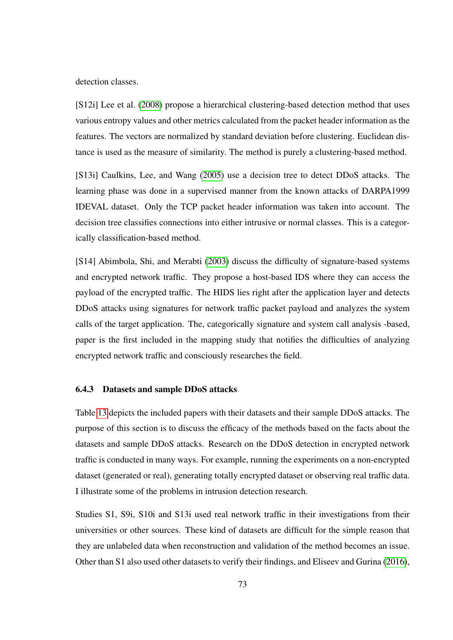detection classes.

[S12i] Lee et al. [\(2008\)](#page-117-0) propose a hierarchical clustering-based detection method that uses various entropy values and other metrics calculated from the packet header information as the features. The vectors are normalized by standard deviation before clustering. Euclidean distance is used as the measure of similarity. The method is purely a clustering-based method.

[S13i] Caulkins, Lee, and Wang [\(2005\)](#page-112-0) use a decision tree to detect DDoS attacks. The learning phase was done in a supervised manner from the known attacks of DARPA1999 IDEVAL dataset. Only the TCP packet header information was taken into account. The decision tree classifies connections into either intrusive or normal classes. This is a categorically classification-based method.

[S14] Abimbola, Shi, and Merabti [\(2003\)](#page-111-1) discuss the difficulty of signature-based systems and encrypted network traffic. They propose a host-based IDS where they can access the payload of the encrypted traffic. The HIDS lies right after the application layer and detects DDoS attacks using signatures for network traffic packet payload and analyzes the system calls of the target application. The, categorically signature and system call analysis -based, paper is the first included in the mapping study that notifies the difficulties of analyzing encrypted network traffic and consciously researches the field.

#### 6.4.3 Datasets and sample DDoS attacks

Table [13](#page-86-0) depicts the included papers with their datasets and their sample DDoS attacks. The purpose of this section is to discuss the efficacy of the methods based on the facts about the datasets and sample DDoS attacks. Research on the DDoS detection in encrypted network traffic is conducted in many ways. For example, running the experiments on a non-encrypted dataset (generated or real), generating totally encrypted dataset or observing real traffic data. I illustrate some of the problems in intrusion detection research.

Studies S1, S9i, S10i and S13i used real network traffic in their investigations from their universities or other sources. These kind of datasets are difficult for the simple reason that they are unlabeled data when reconstruction and validation of the method becomes an issue. Other than S1 also used other datasets to verify their findings, and Eliseev and Gurina [\(2016\)](#page-114-0),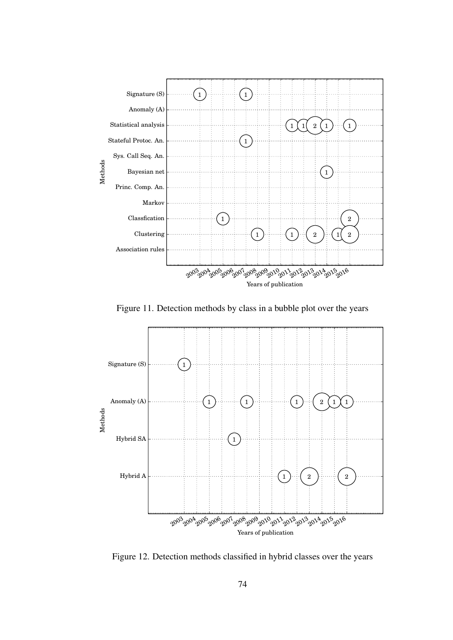

<span id="page-85-0"></span>Figure 11. Detection methods by class in a bubble plot over the years



Figure 12. Detection methods classified in hybrid classes over the years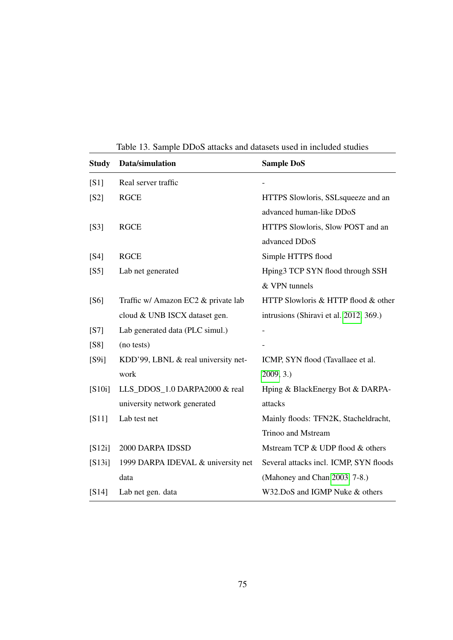<span id="page-86-0"></span>

| Data/simulation                     | <b>Sample DoS</b>                      |
|-------------------------------------|----------------------------------------|
| Real server traffic                 |                                        |
| <b>RGCE</b>                         | HTTPS Slowloris, SSL squeeze and an    |
|                                     | advanced human-like DDoS               |
| <b>RGCE</b>                         | HTTPS Slowloris, Slow POST and an      |
|                                     | advanced DDoS                          |
| <b>RGCE</b>                         | Simple HTTPS flood                     |
| Lab net generated                   | Hping3 TCP SYN flood through SSH       |
|                                     | & VPN tunnels                          |
| Traffic w/ Amazon EC2 & private lab | HTTP Slowloris & HTTP flood & other    |
| cloud & UNB ISCX dataset gen.       | intrusions (Shiravi et al. 2012, 369.) |
| Lab generated data (PLC simul.)     |                                        |
| (no tests)                          |                                        |
| KDD'99, LBNL & real university net- | ICMP, SYN flood (Tavallaee et al.      |
| work                                | 2009, 3.)                              |
| LLS_DDOS_1.0 DARPA2000 & real       | Hping & BlackEnergy Bot & DARPA-       |
| university network generated        | attacks                                |
| Lab test net                        | Mainly floods: TFN2K, Stacheldracht,   |
|                                     | Trinoo and Mstream                     |
| 2000 DARPA IDSSD                    | Mstream TCP & UDP flood & others       |
| 1999 DARPA IDEVAL & university net  | Several attacks incl. ICMP, SYN floods |
| data                                | (Mahoney and Chan 2003, 7-8.)          |
| Lab net gen. data                   | W32.DoS and IGMP Nuke & others         |
|                                     |                                        |

Table 13. Sample DDoS attacks and datasets used in included studies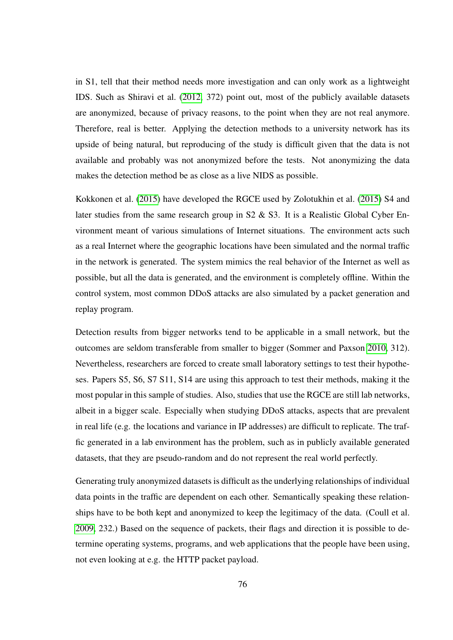in S1, tell that their method needs more investigation and can only work as a lightweight IDS. Such as Shiravi et al. [\(2012,](#page-119-1) 372) point out, most of the publicly available datasets are anonymized, because of privacy reasons, to the point when they are not real anymore. Therefore, real is better. Applying the detection methods to a university network has its upside of being natural, but reproducing of the study is difficult given that the data is not available and probably was not anonymized before the tests. Not anonymizing the data makes the detection method be as close as a live NIDS as possible.

Kokkonen et al. [\(2015\)](#page-116-0) have developed the RGCE used by Zolotukhin et al. [\(2015\)](#page-121-2) S4 and later studies from the same research group in S2 & S3. It is a Realistic Global Cyber Environment meant of various simulations of Internet situations. The environment acts such as a real Internet where the geographic locations have been simulated and the normal traffic in the network is generated. The system mimics the real behavior of the Internet as well as possible, but all the data is generated, and the environment is completely offline. Within the control system, most common DDoS attacks are also simulated by a packet generation and replay program.

Detection results from bigger networks tend to be applicable in a small network, but the outcomes are seldom transferable from smaller to bigger (Sommer and Paxson [2010,](#page-119-2) 312). Nevertheless, researchers are forced to create small laboratory settings to test their hypotheses. Papers S5, S6, S7 S11, S14 are using this approach to test their methods, making it the most popular in this sample of studies. Also, studies that use the RGCE are still lab networks, albeit in a bigger scale. Especially when studying DDoS attacks, aspects that are prevalent in real life (e.g. the locations and variance in IP addresses) are difficult to replicate. The traffic generated in a lab environment has the problem, such as in publicly available generated datasets, that they are pseudo-random and do not represent the real world perfectly.

Generating truly anonymized datasets is difficult as the underlying relationships of individual data points in the traffic are dependent on each other. Semantically speaking these relationships have to be both kept and anonymized to keep the legitimacy of the data. (Coull et al. [2009,](#page-113-2) 232.) Based on the sequence of packets, their flags and direction it is possible to determine operating systems, programs, and web applications that the people have been using, not even looking at e.g. the HTTP packet payload.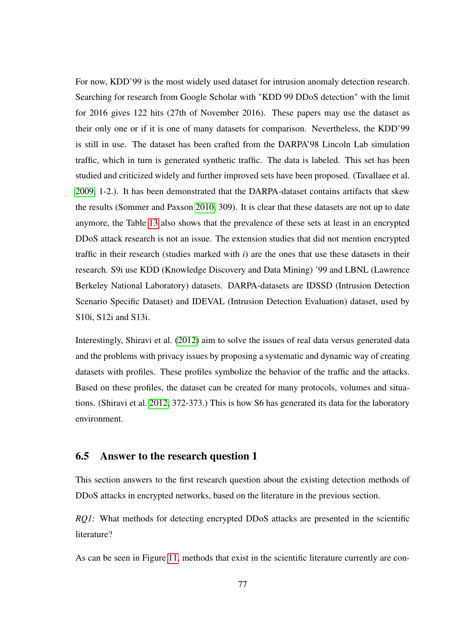For now, KDD'99 is the most widely used dataset for intrusion anomaly detection research. Searching for research from Google Scholar with "KDD 99 DDoS detection" with the limit for 2016 gives 122 hits (27th of November 2016). These papers may use the dataset as their only one or if it is one of many datasets for comparison. Nevertheless, the KDD'99 is still in use. The dataset has been crafted from the DARPA'98 Lincoln Lab simulation traffic, which in turn is generated synthetic traffic. The data is labeled. This set has been studied and criticized widely and further improved sets have been proposed. (Tavallaee et al. [2009,](#page-120-0) 1-2.). It has been demonstrated that the DARPA-dataset contains artifacts that skew the results (Sommer and Paxson [2010,](#page-119-2) 309). It is clear that these datasets are not up to date anymore, the Table [13](#page-86-0) also shows that the prevalence of these sets at least in an encrypted DDoS attack research is not an issue. The extension studies that did not mention encrypted traffic in their research (studies marked with *i*) are the ones that use these datasets in their research. S9i use KDD (Knowledge Discovery and Data Mining) '99 and LBNL (Lawrence Berkeley National Laboratory) datasets. DARPA-datasets are IDSSD (Intrusion Detection Scenario Specific Dataset) and IDEVAL (Intrusion Detection Evaluation) dataset, used by S10i, S12i and S13i.

Interestingly, Shiravi et al. [\(2012\)](#page-119-1) aim to solve the issues of real data versus generated data and the problems with privacy issues by proposing a systematic and dynamic way of creating datasets with profiles. These profiles symbolize the behavior of the traffic and the attacks. Based on these profiles, the dataset can be created for many protocols, volumes and situations. (Shiravi et al. [2012,](#page-119-1) 372-373.) This is how S6 has generated its data for the laboratory environment.

## 6.5 Answer to the research question 1

This section answers to the first research question about the existing detection methods of DDoS attacks in encrypted networks, based on the literature in the previous section.

*RQ1*: What methods for detecting encrypted DDoS attacks are presented in the scientific literature?

As can be seen in Figure [11,](#page-85-0) methods that exist in the scientific literature currently are con-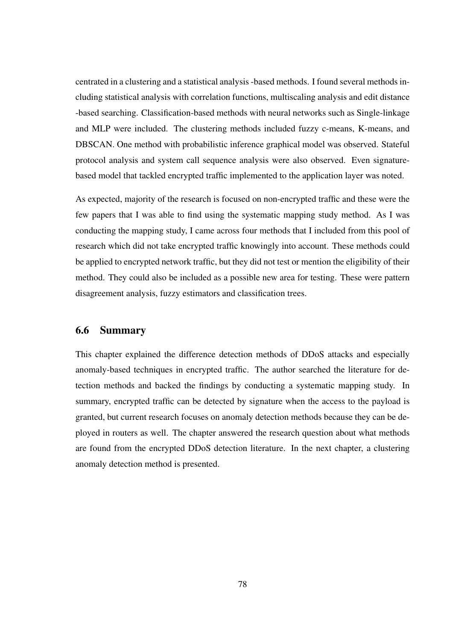centrated in a clustering and a statistical analysis -based methods. I found several methods including statistical analysis with correlation functions, multiscaling analysis and edit distance -based searching. Classification-based methods with neural networks such as Single-linkage and MLP were included. The clustering methods included fuzzy c-means, K-means, and DBSCAN. One method with probabilistic inference graphical model was observed. Stateful protocol analysis and system call sequence analysis were also observed. Even signaturebased model that tackled encrypted traffic implemented to the application layer was noted.

As expected, majority of the research is focused on non-encrypted traffic and these were the few papers that I was able to find using the systematic mapping study method. As I was conducting the mapping study, I came across four methods that I included from this pool of research which did not take encrypted traffic knowingly into account. These methods could be applied to encrypted network traffic, but they did not test or mention the eligibility of their method. They could also be included as a possible new area for testing. These were pattern disagreement analysis, fuzzy estimators and classification trees.

### 6.6 Summary

This chapter explained the difference detection methods of DDoS attacks and especially anomaly-based techniques in encrypted traffic. The author searched the literature for detection methods and backed the findings by conducting a systematic mapping study. In summary, encrypted traffic can be detected by signature when the access to the payload is granted, but current research focuses on anomaly detection methods because they can be deployed in routers as well. The chapter answered the research question about what methods are found from the encrypted DDoS detection literature. In the next chapter, a clustering anomaly detection method is presented.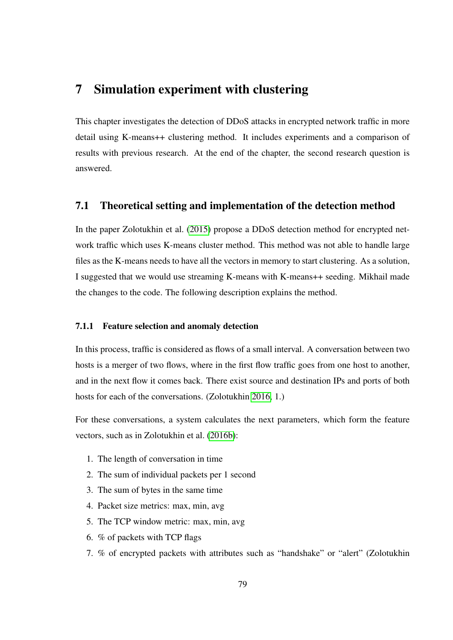## 7 Simulation experiment with clustering

This chapter investigates the detection of DDoS attacks in encrypted network traffic in more detail using K-means++ clustering method. It includes experiments and a comparison of results with previous research. At the end of the chapter, the second research question is answered.

## 7.1 Theoretical setting and implementation of the detection method

In the paper Zolotukhin et al. [\(2015\)](#page-121-2) propose a DDoS detection method for encrypted network traffic which uses K-means cluster method. This method was not able to handle large files as the K-means needs to have all the vectors in memory to start clustering. As a solution, I suggested that we would use streaming K-means with K-means++ seeding. Mikhail made the changes to the code. The following description explains the method.

#### 7.1.1 Feature selection and anomaly detection

In this process, traffic is considered as flows of a small interval. A conversation between two hosts is a merger of two flows, where in the first flow traffic goes from one host to another, and in the next flow it comes back. There exist source and destination IPs and ports of both hosts for each of the conversations. (Zolotukhin [2016,](#page-121-4) 1.)

For these conversations, a system calculates the next parameters, which form the feature vectors, such as in Zolotukhin et al. [\(2016b\)](#page-121-0):

- 1. The length of conversation in time
- 2. The sum of individual packets per 1 second
- 3. The sum of bytes in the same time
- 4. Packet size metrics: max, min, avg
- 5. The TCP window metric: max, min, avg
- 6. % of packets with TCP flags
- 7. % of encrypted packets with attributes such as "handshake" or "alert" (Zolotukhin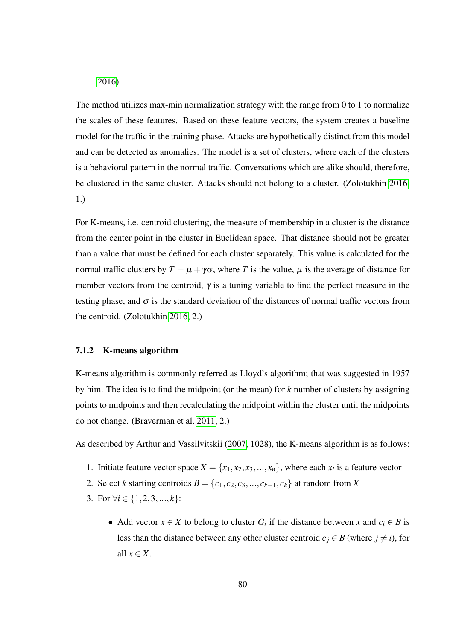#### [2016\)](#page-121-4)

The method utilizes max-min normalization strategy with the range from 0 to 1 to normalize the scales of these features. Based on these feature vectors, the system creates a baseline model for the traffic in the training phase. Attacks are hypothetically distinct from this model and can be detected as anomalies. The model is a set of clusters, where each of the clusters is a behavioral pattern in the normal traffic. Conversations which are alike should, therefore, be clustered in the same cluster. Attacks should not belong to a cluster. (Zolotukhin [2016,](#page-121-4) 1.)

For K-means, i.e. centroid clustering, the measure of membership in a cluster is the distance from the center point in the cluster in Euclidean space. That distance should not be greater than a value that must be defined for each cluster separately. This value is calculated for the normal traffic clusters by  $T = \mu + \gamma \sigma$ , where *T* is the value,  $\mu$  is the average of distance for member vectors from the centroid,  $\gamma$  is a tuning variable to find the perfect measure in the testing phase, and  $\sigma$  is the standard deviation of the distances of normal traffic vectors from the centroid. (Zolotukhin [2016,](#page-121-4) 2.)

#### 7.1.2 K-means algorithm

K-means algorithm is commonly referred as Lloyd's algorithm; that was suggested in 1957 by him. The idea is to find the midpoint (or the mean) for *k* number of clusters by assigning points to midpoints and then recalculating the midpoint within the cluster until the midpoints do not change. (Braverman et al. [2011,](#page-112-1) 2.)

As described by Arthur and Vassilvitskii [\(2007,](#page-111-3) 1028), the K-means algorithm is as follows:

- 1. Initiate feature vector space  $X = \{x_1, x_2, x_3, ..., x_n\}$ , where each  $x_i$  is a feature vector
- 2. Select *k* starting centroids  $B = \{c_1, c_2, c_3, ..., c_{k-1}, c_k\}$  at random from *X*
- 3. For  $\forall i \in \{1, 2, 3, ..., k\}$ :
	- Add vector  $x \in X$  to belong to cluster  $G_i$  if the distance between  $x$  and  $c_i \in B$  is less than the distance between any other cluster centroid  $c_j \in B$  (where  $j \neq i$ ), for all  $x \in X$ .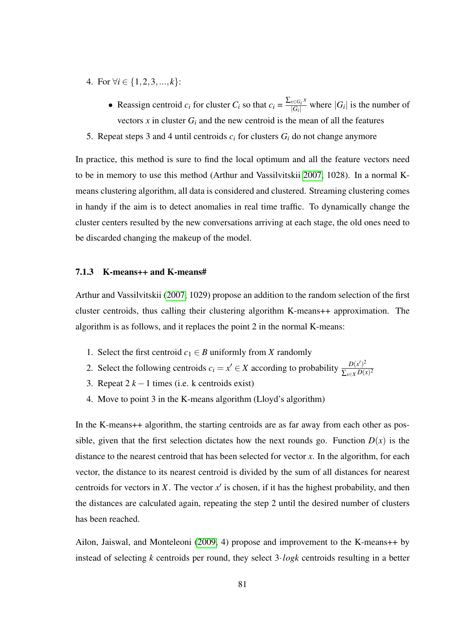- 4. For  $\forall i \in \{1, 2, 3, ..., k\}$ :
	- Reassign centroid  $c_i$  for cluster  $C_i$  so that  $c_i = \frac{\sum_{x \in G_i} x_i}{|G_i|}$  $\frac{x \in G_i}{|G_i|}$  where  $|G_i|$  is the number of vectors  $x$  in cluster  $G_i$  and the new centroid is the mean of all the features
- 5. Repeat steps 3 and 4 until centroids  $c_i$  for clusters  $G_i$  do not change anymore

In practice, this method is sure to find the local optimum and all the feature vectors need to be in memory to use this method (Arthur and Vassilvitskii [2007,](#page-111-3) 1028). In a normal Kmeans clustering algorithm, all data is considered and clustered. Streaming clustering comes in handy if the aim is to detect anomalies in real time traffic. To dynamically change the cluster centers resulted by the new conversations arriving at each stage, the old ones need to be discarded changing the makeup of the model.

#### 7.1.3 K-means++ and K-means#

Arthur and Vassilvitskii [\(2007,](#page-111-3) 1029) propose an addition to the random selection of the first cluster centroids, thus calling their clustering algorithm K-means++ approximation. The algorithm is as follows, and it replaces the point 2 in the normal K-means:

- 1. Select the first centroid  $c_1 \in B$  uniformly from *X* randomly
- 2. Select the following centroids  $c_i = x' \in X$  according to probability  $\frac{D(x')^2}{\sum x D(x')}$  $\sum_{x \in X} D(x)^2$
- 3. Repeat  $2 k 1$  times (i.e. k centroids exist)
- 4. Move to point 3 in the K-means algorithm (Lloyd's algorithm)

In the K-means++ algorithm, the starting centroids are as far away from each other as possible, given that the first selection dictates how the next rounds go. Function  $D(x)$  is the distance to the nearest centroid that has been selected for vector *x*. In the algorithm, for each vector, the distance to its nearest centroid is divided by the sum of all distances for nearest centroids for vectors in *X*. The vector  $x'$  is chosen, if it has the highest probability, and then the distances are calculated again, repeating the step 2 until the desired number of clusters has been reached.

Ailon, Jaiswal, and Monteleoni [\(2009,](#page-111-4) 4) propose and improvement to the K-means++ by instead of selecting *k* centroids per round, they select 3·*logk* centroids resulting in a better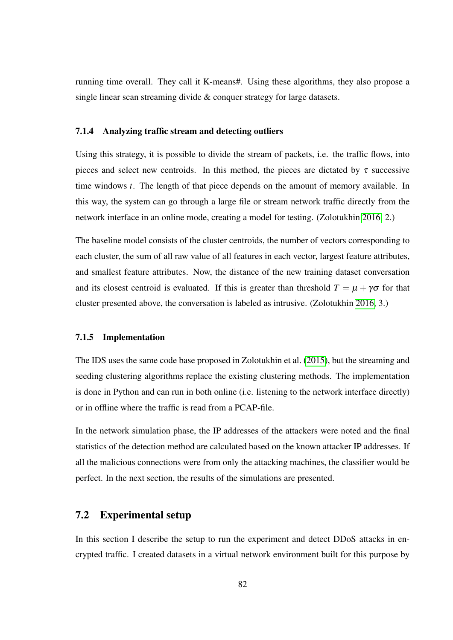running time overall. They call it K-means#. Using these algorithms, they also propose a single linear scan streaming divide & conquer strategy for large datasets.

#### 7.1.4 Analyzing traffic stream and detecting outliers

Using this strategy, it is possible to divide the stream of packets, i.e. the traffic flows, into pieces and select new centroids. In this method, the pieces are dictated by  $\tau$  successive time windows *t*. The length of that piece depends on the amount of memory available. In this way, the system can go through a large file or stream network traffic directly from the network interface in an online mode, creating a model for testing. (Zolotukhin [2016,](#page-121-4) 2.)

The baseline model consists of the cluster centroids, the number of vectors corresponding to each cluster, the sum of all raw value of all features in each vector, largest feature attributes, and smallest feature attributes. Now, the distance of the new training dataset conversation and its closest centroid is evaluated. If this is greater than threshold  $T = \mu + \gamma \sigma$  for that cluster presented above, the conversation is labeled as intrusive. (Zolotukhin [2016,](#page-121-4) 3.)

#### 7.1.5 Implementation

The IDS uses the same code base proposed in Zolotukhin et al. [\(2015\)](#page-121-2), but the streaming and seeding clustering algorithms replace the existing clustering methods. The implementation is done in Python and can run in both online (i.e. listening to the network interface directly) or in offline where the traffic is read from a PCAP-file.

In the network simulation phase, the IP addresses of the attackers were noted and the final statistics of the detection method are calculated based on the known attacker IP addresses. If all the malicious connections were from only the attacking machines, the classifier would be perfect. In the next section, the results of the simulations are presented.

### 7.2 Experimental setup

In this section I describe the setup to run the experiment and detect DDoS attacks in encrypted traffic. I created datasets in a virtual network environment built for this purpose by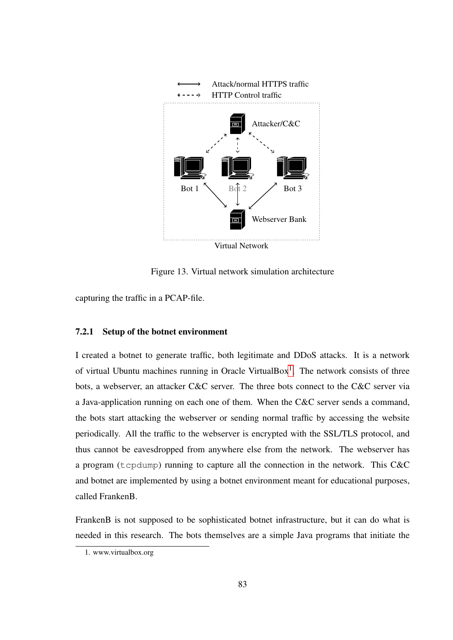

Figure 13. Virtual network simulation architecture

capturing the traffic in a PCAP-file.

#### 7.2.1 Setup of the botnet environment

I created a botnet to generate traffic, both legitimate and DDoS attacks. It is a network of virtual Ubuntu machines running in Oracle VirtualBox<sup>[1](#page-94-0)</sup>. The network consists of three bots, a webserver, an attacker C&C server. The three bots connect to the C&C server via a Java-application running on each one of them. When the C&C server sends a command, the bots start attacking the webserver or sending normal traffic by accessing the website periodically. All the traffic to the webserver is encrypted with the SSL/TLS protocol, and thus cannot be eavesdropped from anywhere else from the network. The webserver has a program (tcpdump) running to capture all the connection in the network. This C&C and botnet are implemented by using a botnet environment meant for educational purposes, called FrankenB.

FrankenB is not supposed to be sophisticated botnet infrastructure, but it can do what is needed in this research. The bots themselves are a simple Java programs that initiate the

<span id="page-94-0"></span><sup>1.</sup> www.virtualbox.org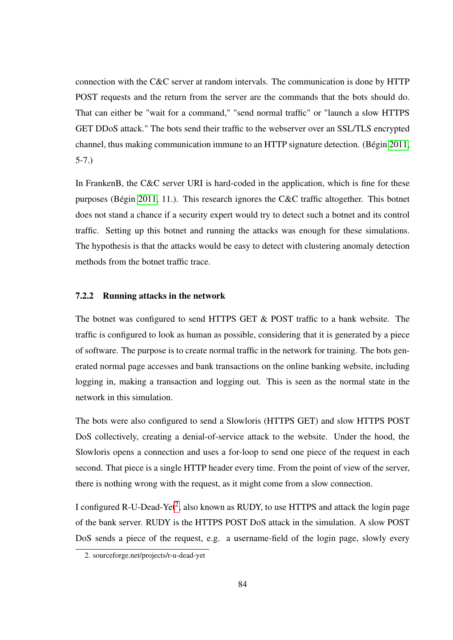connection with the C&C server at random intervals. The communication is done by HTTP POST requests and the return from the server are the commands that the bots should do. That can either be "wait for a command," "send normal traffic" or "launch a slow HTTPS GET DDoS attack." The bots send their traffic to the webserver over an SSL/TLS encrypted channel, thus making communication immune to an HTTP signature detection. (Bégin [2011,](#page-112-2) 5-7.)

In FrankenB, the C&C server URI is hard-coded in the application, which is fine for these purposes (Bégin [2011,](#page-112-2) 11.). This research ignores the C&C traffic altogether. This botnet does not stand a chance if a security expert would try to detect such a botnet and its control traffic. Setting up this botnet and running the attacks was enough for these simulations. The hypothesis is that the attacks would be easy to detect with clustering anomaly detection methods from the botnet traffic trace.

#### 7.2.2 Running attacks in the network

The botnet was configured to send HTTPS GET & POST traffic to a bank website. The traffic is configured to look as human as possible, considering that it is generated by a piece of software. The purpose is to create normal traffic in the network for training. The bots generated normal page accesses and bank transactions on the online banking website, including logging in, making a transaction and logging out. This is seen as the normal state in the network in this simulation.

The bots were also configured to send a Slowloris (HTTPS GET) and slow HTTPS POST DoS collectively, creating a denial-of-service attack to the website. Under the hood, the Slowloris opens a connection and uses a for-loop to send one piece of the request in each second. That piece is a single HTTP header every time. From the point of view of the server, there is nothing wrong with the request, as it might come from a slow connection.

I configured R-U-Dead-Yet<sup>[2](#page-95-0)</sup>, also known as RUDY, to use HTTPS and attack the login page of the bank server. RUDY is the HTTPS POST DoS attack in the simulation. A slow POST DoS sends a piece of the request, e.g. a username-field of the login page, slowly every

<span id="page-95-0"></span><sup>2.</sup> sourceforge.net/projects/r-u-dead-yet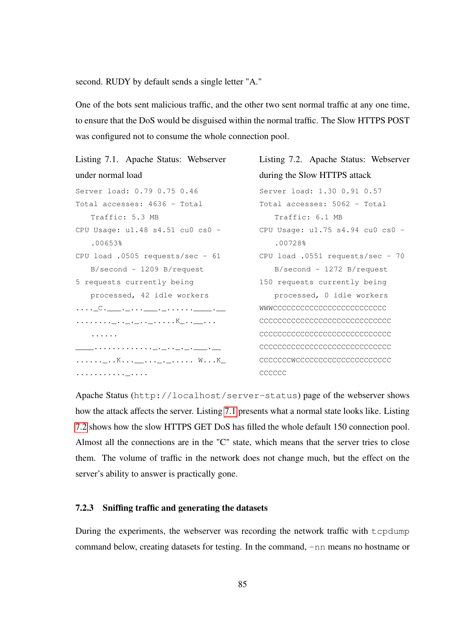second. RUDY by default sends a single letter "A."

One of the bots sent malicious traffic, and the other two sent normal traffic at any one time, to ensure that the DoS would be disguised within the normal traffic. The Slow HTTPS POST was configured not to consume the whole connection pool.

<span id="page-96-0"></span>Listing 7.1. Apache Status: Webserver under normal load Server load: 0.79 0.75 0.46 Total accesses: 4636 - Total Traffic: 5.3 MB CPU Usage:  $ul.48 s4.51 cu0 cs0 -$ .00653% CPU load  $.0505$  requests/sec -  $61$  $B/second - 1209 B/request$ 5 requests currently being processed, 42 idle workers  $\ldots$ .  $\mathbb{C}$  . \_\_\_\_\_ . \_\_ . . \_\_\_\_ . \_\_ . . . . . \_\_\_\_ . \_\_\_ . \_\_\_ ........\_..\_.\_..\_.....K\_..\_\_... ...... \_\_\_. . . . . . . . . . . . . <u>.</u> . <u>\_</u>. <u>. . . . . . . . . \_</u>. <u>\_\_</u> ......\_..K...\_\_...\_.\_..... W...K\_ ...........\_....

<span id="page-96-1"></span>Listing 7.2. Apache Status: Webserver during the Slow HTTPS attack Server load: 1.30 0.91 0.57 Total accesses: 5062 - Total Traffic: 6.1 MB CPU Usage: u1.75 s4.94 cu0 cs0 - .00728% CPU load .0551 requests/sec - 70 B/second - 1272 B/request 150 requests currently being processed, 0 idle workers WWWCCCCCCCCCCCCCCCCCCCCCCCCC CCCCCCCCCCCCCCCCCCCCCCCCCCCCC CCCCCCCCCCCCCCCCCCCCCCCCCCCCC CCCCCCCCCCCCCCCCCCCCCCCCCCC CCCCCCCWCCCCCCCCCCCCCCCCCCCCC **CCCCCC** 

Apache Status (http://localhost/server-status) page of the webserver shows how the attack affects the server. Listing [7.1](#page-96-0) presents what a normal state looks like. Listing [7.2](#page-96-1) shows how the slow HTTPS GET DoS has filled the whole default 150 connection pool. Almost all the connections are in the "C" state, which means that the server tries to close them. The volume of traffic in the network does not change much, but the effect on the server's ability to answer is practically gone.

#### 7.2.3 Sniffing traffic and generating the datasets

During the experiments, the webserver was recording the network traffic with tcpdump command below, creating datasets for testing. In the command, -nn means no hostname or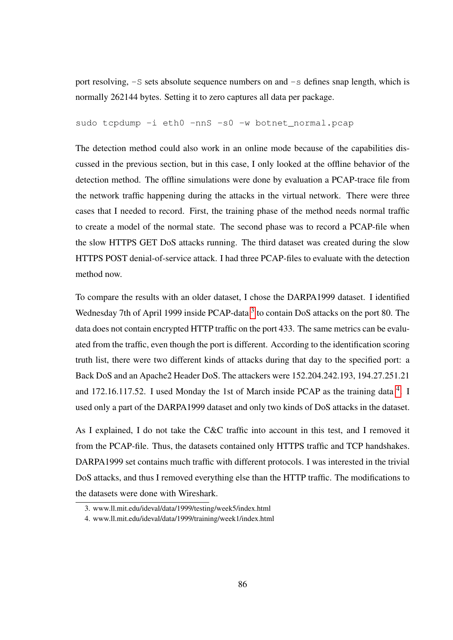port resolving, -S sets absolute sequence numbers on and -s defines snap length, which is normally 262144 bytes. Setting it to zero captures all data per package.

sudo tcpdump -i eth0 -nnS -s0 -w botnet normal.pcap

The detection method could also work in an online mode because of the capabilities discussed in the previous section, but in this case, I only looked at the offline behavior of the detection method. The offline simulations were done by evaluation a PCAP-trace file from the network traffic happening during the attacks in the virtual network. There were three cases that I needed to record. First, the training phase of the method needs normal traffic to create a model of the normal state. The second phase was to record a PCAP-file when the slow HTTPS GET DoS attacks running. The third dataset was created during the slow HTTPS POST denial-of-service attack. I had three PCAP-files to evaluate with the detection method now.

To compare the results with an older dataset, I chose the DARPA1999 dataset. I identified Wednesday 7th of April 1999 inside PCAP-data<sup>[3](#page-97-0)</sup> to contain DoS attacks on the port 80. The data does not contain encrypted HTTP traffic on the port 433. The same metrics can be evaluated from the traffic, even though the port is different. According to the identification scoring truth list, there were two different kinds of attacks during that day to the specified port: a Back DoS and an Apache2 Header DoS. The attackers were 152.204.242.193, 194.27.251.21 and 172.16.117.52. I used Monday the 1st of March inside PCAP as the training data  $4$ . I used only a part of the DARPA1999 dataset and only two kinds of DoS attacks in the dataset.

As I explained, I do not take the C&C traffic into account in this test, and I removed it from the PCAP-file. Thus, the datasets contained only HTTPS traffic and TCP handshakes. DARPA1999 set contains much traffic with different protocols. I was interested in the trivial DoS attacks, and thus I removed everything else than the HTTP traffic. The modifications to the datasets were done with Wireshark.

<span id="page-97-1"></span><span id="page-97-0"></span><sup>3.</sup> www.ll.mit.edu/ideval/data/1999/testing/week5/index.html

<sup>4.</sup> www.ll.mit.edu/ideval/data/1999/training/week1/index.html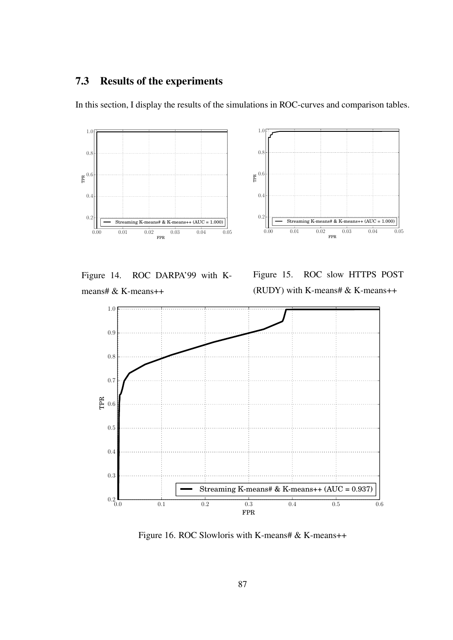# 7.3 Results of the experiments

In this section, I display the results of the simulations in ROC-curves and comparison tables.



<span id="page-98-2"></span>Figure 14. ROC DARPA'99 with Kmeans# & K-means++

<span id="page-98-0"></span>Figure 15. ROC slow HTTPS POST (RUDY) with K-means# & K-means++



<span id="page-98-1"></span>Figure 16. ROC Slowloris with K-means# & K-means++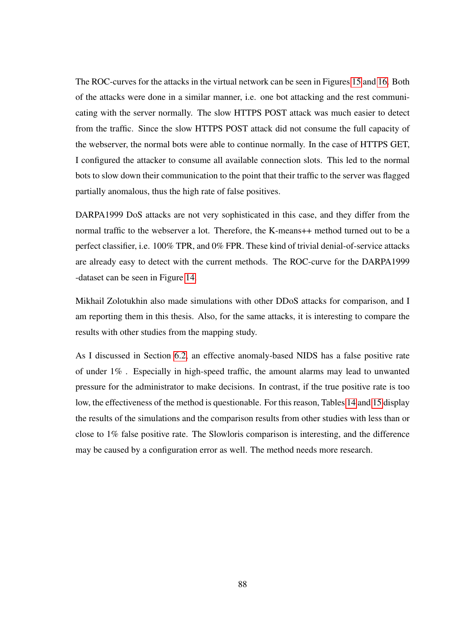The ROC-curves for the attacks in the virtual network can be seen in Figures [15](#page-98-0) and [16.](#page-98-1) Both of the attacks were done in a similar manner, i.e. one bot attacking and the rest communicating with the server normally. The slow HTTPS POST attack was much easier to detect from the traffic. Since the slow HTTPS POST attack did not consume the full capacity of the webserver, the normal bots were able to continue normally. In the case of HTTPS GET, I configured the attacker to consume all available connection slots. This led to the normal bots to slow down their communication to the point that their traffic to the server was flagged partially anomalous, thus the high rate of false positives.

DARPA1999 DoS attacks are not very sophisticated in this case, and they differ from the normal traffic to the webserver a lot. Therefore, the K-means++ method turned out to be a perfect classifier, i.e. 100% TPR, and 0% FPR. These kind of trivial denial-of-service attacks are already easy to detect with the current methods. The ROC-curve for the DARPA1999 -dataset can be seen in Figure [14.](#page-98-2)

Mikhail Zolotukhin also made simulations with other DDoS attacks for comparison, and I am reporting them in this thesis. Also, for the same attacks, it is interesting to compare the results with other studies from the mapping study.

As I discussed in Section [6.2,](#page-58-1) an effective anomaly-based NIDS has a false positive rate of under 1% . Especially in high-speed traffic, the amount alarms may lead to unwanted pressure for the administrator to make decisions. In contrast, if the true positive rate is too low, the effectiveness of the method is questionable. For this reason, Tables [14](#page-100-0) and [15](#page-100-1) display the results of the simulations and the comparison results from other studies with less than or close to 1% false positive rate. The Slowloris comparison is interesting, and the difference may be caused by a configuration error as well. The method needs more research.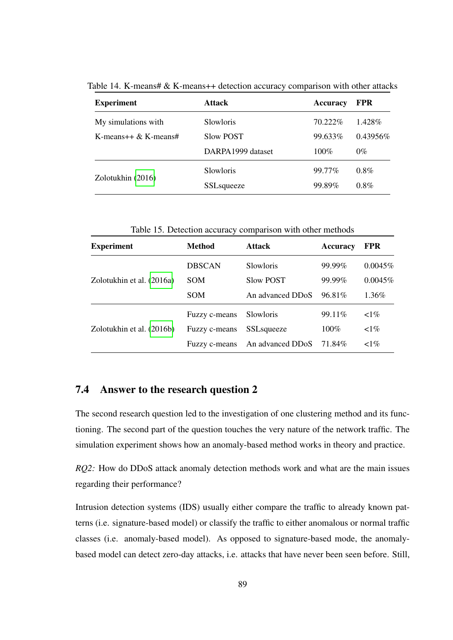| <b>Experiment</b>       | <b>Attack</b>      | <b>Accuracy</b> | <b>FPR</b>  |
|-------------------------|--------------------|-----------------|-------------|
| My simulations with     | <b>Slowloris</b>   | 70.222%         | 1.428\%     |
| K-means++ $\&$ K-means# | Slow POST          | 99.633%         | $0.43956\%$ |
|                         | DARPA1999 dataset  | $100\%$         | $0\%$       |
|                         | Slowloris          | 99.77%          | $0.8\%$     |
| Zolotukhin (2016)       | <b>SSL</b> squeeze | 99.89%          | $0.8\%$     |

<span id="page-100-0"></span>Table 14. K-means# & K-means++ detection accuracy comparison with other attacks

Table 15. Detection accuracy comparison with other methods

<span id="page-100-1"></span>

| <b>Experiment</b>         | <b>Method</b> | <b>Attack</b>    | Accuracy | <b>FPR</b>    |
|---------------------------|---------------|------------------|----------|---------------|
|                           | <b>DBSCAN</b> | <b>Slowloris</b> | 99.99%   | 0.0045%       |
| Zolotukhin et al. (2016a) | <b>SOM</b>    | Slow POST        | 99.99%   | 0.0045%       |
|                           | <b>SOM</b>    | An advanced DDoS | 96.81\%  | 1.36%         |
| Zolotukhin et al. (2016b) | Fuzzy c-means | Slowloris        | 99.11%   | $\langle 1\%$ |
|                           | Fuzzy c-means | SSLsqueeze       | $100\%$  | $\langle 1\%$ |
|                           | Fuzzy c-means | An advanced DDoS | 71.84%   | $\leq 1\%$    |

## 7.4 Answer to the research question 2

The second research question led to the investigation of one clustering method and its functioning. The second part of the question touches the very nature of the network traffic. The simulation experiment shows how an anomaly-based method works in theory and practice.

*RQ2:* How do DDoS attack anomaly detection methods work and what are the main issues regarding their performance?

Intrusion detection systems (IDS) usually either compare the traffic to already known patterns (i.e. signature-based model) or classify the traffic to either anomalous or normal traffic classes (i.e. anomaly-based model). As opposed to signature-based mode, the anomalybased model can detect zero-day attacks, i.e. attacks that have never been seen before. Still,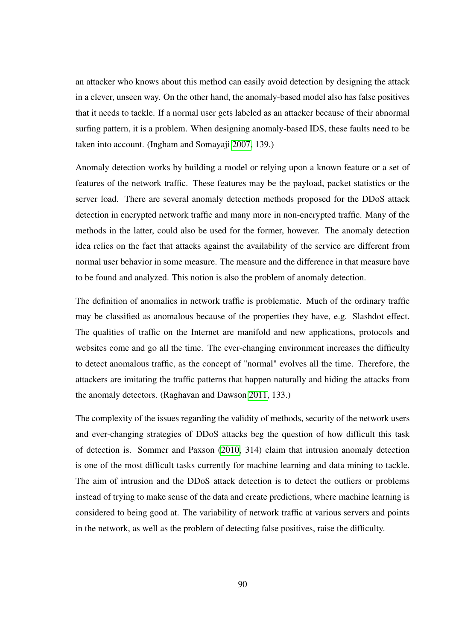an attacker who knows about this method can easily avoid detection by designing the attack in a clever, unseen way. On the other hand, the anomaly-based model also has false positives that it needs to tackle. If a normal user gets labeled as an attacker because of their abnormal surfing pattern, it is a problem. When designing anomaly-based IDS, these faults need to be taken into account. (Ingham and Somayaji [2007,](#page-115-1) 139.)

Anomaly detection works by building a model or relying upon a known feature or a set of features of the network traffic. These features may be the payload, packet statistics or the server load. There are several anomaly detection methods proposed for the DDoS attack detection in encrypted network traffic and many more in non-encrypted traffic. Many of the methods in the latter, could also be used for the former, however. The anomaly detection idea relies on the fact that attacks against the availability of the service are different from normal user behavior in some measure. The measure and the difference in that measure have to be found and analyzed. This notion is also the problem of anomaly detection.

The definition of anomalies in network traffic is problematic. Much of the ordinary traffic may be classified as anomalous because of the properties they have, e.g. Slashdot effect. The qualities of traffic on the Internet are manifold and new applications, protocols and websites come and go all the time. The ever-changing environment increases the difficulty to detect anomalous traffic, as the concept of "normal" evolves all the time. Therefore, the attackers are imitating the traffic patterns that happen naturally and hiding the attacks from the anomaly detectors. (Raghavan and Dawson [2011,](#page-118-2) 133.)

The complexity of the issues regarding the validity of methods, security of the network users and ever-changing strategies of DDoS attacks beg the question of how difficult this task of detection is. Sommer and Paxson [\(2010,](#page-119-2) 314) claim that intrusion anomaly detection is one of the most difficult tasks currently for machine learning and data mining to tackle. The aim of intrusion and the DDoS attack detection is to detect the outliers or problems instead of trying to make sense of the data and create predictions, where machine learning is considered to being good at. The variability of network traffic at various servers and points in the network, as well as the problem of detecting false positives, raise the difficulty.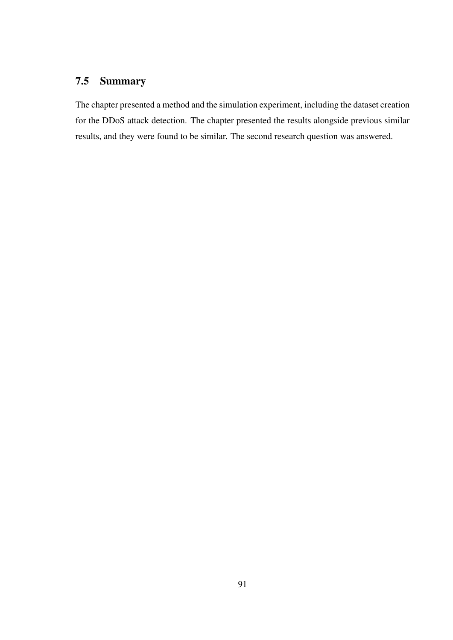# 7.5 Summary

The chapter presented a method and the simulation experiment, including the dataset creation for the DDoS attack detection. The chapter presented the results alongside previous similar results, and they were found to be similar. The second research question was answered.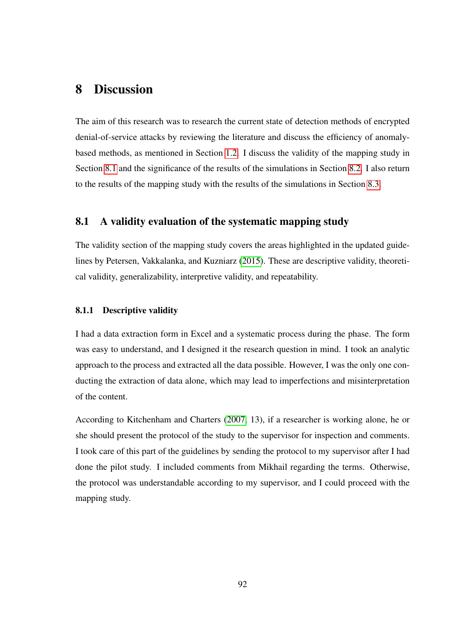## 8 Discussion

The aim of this research was to research the current state of detection methods of encrypted denial-of-service attacks by reviewing the literature and discuss the efficiency of anomalybased methods, as mentioned in Section [1.2.](#page-13-0) I discuss the validity of the mapping study in Section [8.1](#page-103-0) and the significance of the results of the simulations in Section [8.2.](#page-107-0) I also return to the results of the mapping study with the results of the simulations in Section [8.3.](#page-107-1)

## <span id="page-103-0"></span>8.1 A validity evaluation of the systematic mapping study

The validity section of the mapping study covers the areas highlighted in the updated guidelines by Petersen, Vakkalanka, and Kuzniarz [\(2015\)](#page-118-3). These are descriptive validity, theoretical validity, generalizability, interpretive validity, and repeatability.

#### 8.1.1 Descriptive validity

I had a data extraction form in Excel and a systematic process during the phase. The form was easy to understand, and I designed it the research question in mind. I took an analytic approach to the process and extracted all the data possible. However, I was the only one conducting the extraction of data alone, which may lead to imperfections and misinterpretation of the content.

According to Kitchenham and Charters [\(2007,](#page-116-1) 13), if a researcher is working alone, he or she should present the protocol of the study to the supervisor for inspection and comments. I took care of this part of the guidelines by sending the protocol to my supervisor after I had done the pilot study. I included comments from Mikhail regarding the terms. Otherwise, the protocol was understandable according to my supervisor, and I could proceed with the mapping study.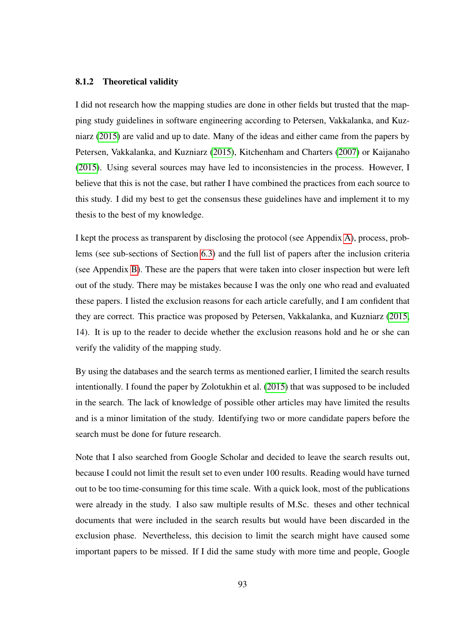#### 8.1.2 Theoretical validity

I did not research how the mapping studies are done in other fields but trusted that the mapping study guidelines in software engineering according to Petersen, Vakkalanka, and Kuzniarz [\(2015\)](#page-118-3) are valid and up to date. Many of the ideas and either came from the papers by Petersen, Vakkalanka, and Kuzniarz [\(2015\)](#page-118-3), Kitchenham and Charters [\(2007\)](#page-116-1) or Kaijanaho [\(2015\)](#page-116-2). Using several sources may have led to inconsistencies in the process. However, I believe that this is not the case, but rather I have combined the practices from each source to this study. I did my best to get the consensus these guidelines have and implement it to my thesis to the best of my knowledge.

I kept the process as transparent by disclosing the protocol (see Appendix [A\)](#page-122-0), process, problems (see sub-sections of Section [6.3\)](#page-60-1) and the full list of papers after the inclusion criteria (see Appendix [B\)](#page-127-0). These are the papers that were taken into closer inspection but were left out of the study. There may be mistakes because I was the only one who read and evaluated these papers. I listed the exclusion reasons for each article carefully, and I am confident that they are correct. This practice was proposed by Petersen, Vakkalanka, and Kuzniarz [\(2015,](#page-118-3) 14). It is up to the reader to decide whether the exclusion reasons hold and he or she can verify the validity of the mapping study.

By using the databases and the search terms as mentioned earlier, I limited the search results intentionally. I found the paper by Zolotukhin et al. [\(2015\)](#page-121-2) that was supposed to be included in the search. The lack of knowledge of possible other articles may have limited the results and is a minor limitation of the study. Identifying two or more candidate papers before the search must be done for future research.

Note that I also searched from Google Scholar and decided to leave the search results out, because I could not limit the result set to even under 100 results. Reading would have turned out to be too time-consuming for this time scale. With a quick look, most of the publications were already in the study. I also saw multiple results of M.Sc. theses and other technical documents that were included in the search results but would have been discarded in the exclusion phase. Nevertheless, this decision to limit the search might have caused some important papers to be missed. If I did the same study with more time and people, Google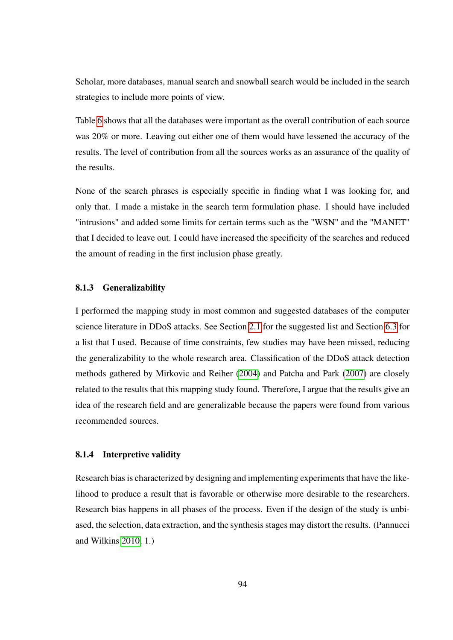Scholar, more databases, manual search and snowball search would be included in the search strategies to include more points of view.

Table [6](#page-68-0) shows that all the databases were important as the overall contribution of each source was 20% or more. Leaving out either one of them would have lessened the accuracy of the results. The level of contribution from all the sources works as an assurance of the quality of the results.

None of the search phrases is especially specific in finding what I was looking for, and only that. I made a mistake in the search term formulation phase. I should have included "intrusions" and added some limits for certain terms such as the "WSN" and the "MANET" that I decided to leave out. I could have increased the specificity of the searches and reduced the amount of reading in the first inclusion phase greatly.

#### 8.1.3 Generalizability

I performed the mapping study in most common and suggested databases of the computer science literature in DDoS attacks. See Section [2.1](#page-17-0) for the suggested list and Section [6.3](#page-60-1) for a list that I used. Because of time constraints, few studies may have been missed, reducing the generalizability to the whole research area. Classification of the DDoS attack detection methods gathered by Mirkovic and Reiher [\(2004\)](#page-117-1) and Patcha and Park [\(2007\)](#page-118-1) are closely related to the results that this mapping study found. Therefore, I argue that the results give an idea of the research field and are generalizable because the papers were found from various recommended sources.

#### 8.1.4 Interpretive validity

Research bias is characterized by designing and implementing experiments that have the likelihood to produce a result that is favorable or otherwise more desirable to the researchers. Research bias happens in all phases of the process. Even if the design of the study is unbiased, the selection, data extraction, and the synthesis stages may distort the results. (Pannucci and Wilkins [2010,](#page-118-4) 1.)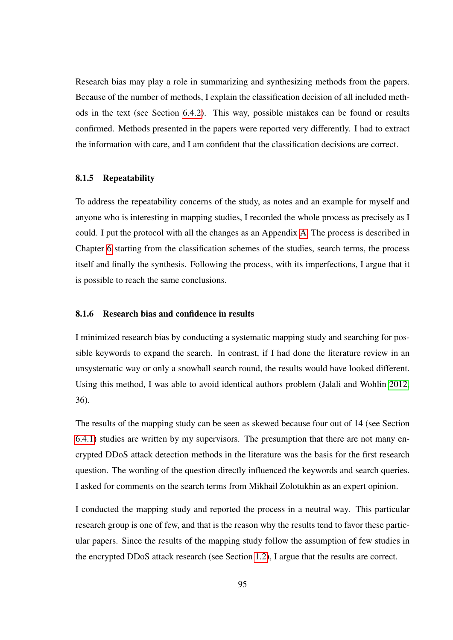Research bias may play a role in summarizing and synthesizing methods from the papers. Because of the number of methods, I explain the classification decision of all included methods in the text (see Section [6.4.2\)](#page-80-0). This way, possible mistakes can be found or results confirmed. Methods presented in the papers were reported very differently. I had to extract the information with care, and I am confident that the classification decisions are correct.

#### 8.1.5 Repeatability

To address the repeatability concerns of the study, as notes and an example for myself and anyone who is interesting in mapping studies, I recorded the whole process as precisely as I could. I put the protocol with all the changes as an Appendix [A.](#page-122-0) The process is described in Chapter [6](#page-55-0) starting from the classification schemes of the studies, search terms, the process itself and finally the synthesis. Following the process, with its imperfections, I argue that it is possible to reach the same conclusions.

#### 8.1.6 Research bias and confidence in results

I minimized research bias by conducting a systematic mapping study and searching for possible keywords to expand the search. In contrast, if I had done the literature review in an unsystematic way or only a snowball search round, the results would have looked different. Using this method, I was able to avoid identical authors problem (Jalali and Wohlin [2012,](#page-116-3) 36).

The results of the mapping study can be seen as skewed because four out of 14 (see Section [6.4.1\)](#page-73-0) studies are written by my supervisors. The presumption that there are not many encrypted DDoS attack detection methods in the literature was the basis for the first research question. The wording of the question directly influenced the keywords and search queries. I asked for comments on the search terms from Mikhail Zolotukhin as an expert opinion.

I conducted the mapping study and reported the process in a neutral way. This particular research group is one of few, and that is the reason why the results tend to favor these particular papers. Since the results of the mapping study follow the assumption of few studies in the encrypted DDoS attack research (see Section [1.2\)](#page-13-0), I argue that the results are correct.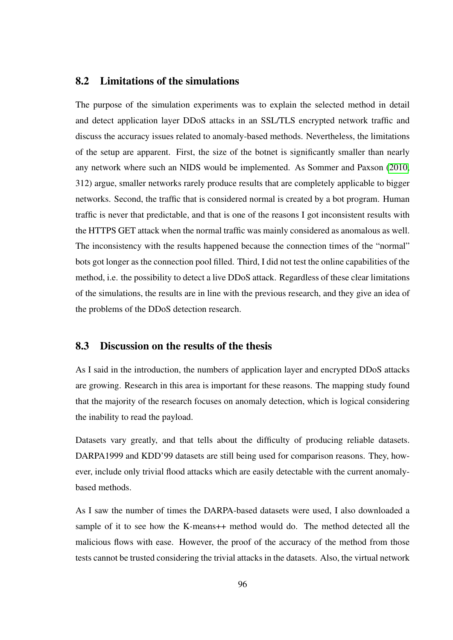## <span id="page-107-0"></span>8.2 Limitations of the simulations

The purpose of the simulation experiments was to explain the selected method in detail and detect application layer DDoS attacks in an SSL/TLS encrypted network traffic and discuss the accuracy issues related to anomaly-based methods. Nevertheless, the limitations of the setup are apparent. First, the size of the botnet is significantly smaller than nearly any network where such an NIDS would be implemented. As Sommer and Paxson [\(2010,](#page-119-2) 312) argue, smaller networks rarely produce results that are completely applicable to bigger networks. Second, the traffic that is considered normal is created by a bot program. Human traffic is never that predictable, and that is one of the reasons I got inconsistent results with the HTTPS GET attack when the normal traffic was mainly considered as anomalous as well. The inconsistency with the results happened because the connection times of the "normal" bots got longer as the connection pool filled. Third, I did not test the online capabilities of the method, i.e. the possibility to detect a live DDoS attack. Regardless of these clear limitations of the simulations, the results are in line with the previous research, and they give an idea of the problems of the DDoS detection research.

## <span id="page-107-1"></span>8.3 Discussion on the results of the thesis

As I said in the introduction, the numbers of application layer and encrypted DDoS attacks are growing. Research in this area is important for these reasons. The mapping study found that the majority of the research focuses on anomaly detection, which is logical considering the inability to read the payload.

Datasets vary greatly, and that tells about the difficulty of producing reliable datasets. DARPA1999 and KDD'99 datasets are still being used for comparison reasons. They, however, include only trivial flood attacks which are easily detectable with the current anomalybased methods.

As I saw the number of times the DARPA-based datasets were used, I also downloaded a sample of it to see how the K-means++ method would do. The method detected all the malicious flows with ease. However, the proof of the accuracy of the method from those tests cannot be trusted considering the trivial attacks in the datasets. Also, the virtual network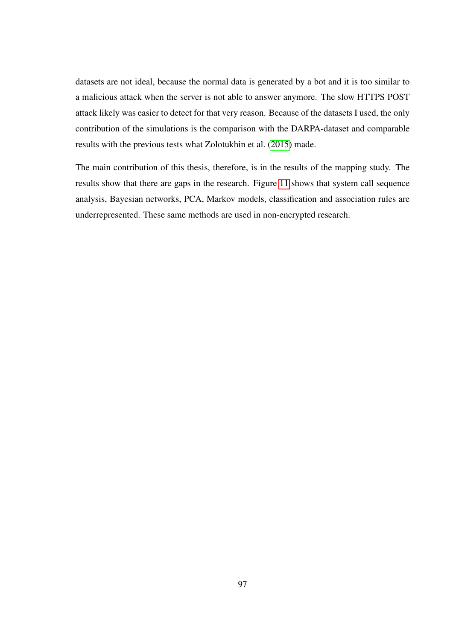datasets are not ideal, because the normal data is generated by a bot and it is too similar to a malicious attack when the server is not able to answer anymore. The slow HTTPS POST attack likely was easier to detect for that very reason. Because of the datasets I used, the only contribution of the simulations is the comparison with the DARPA-dataset and comparable results with the previous tests what Zolotukhin et al. [\(2015\)](#page-121-0) made.

The main contribution of this thesis, therefore, is in the results of the mapping study. The results show that there are gaps in the research. Figure [11](#page-85-0) shows that system call sequence analysis, Bayesian networks, PCA, Markov models, classification and association rules are underrepresented. These same methods are used in non-encrypted research.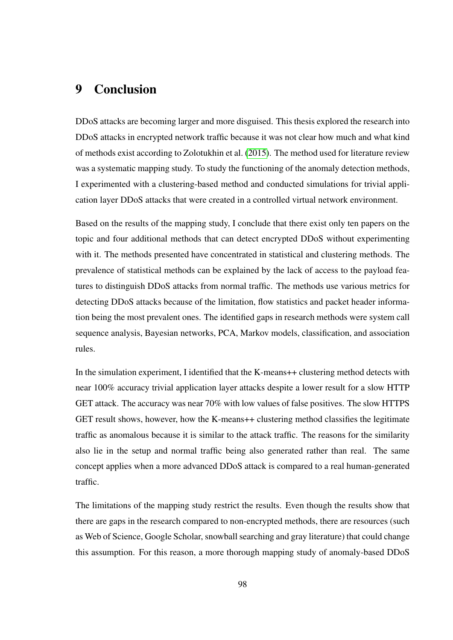## 9 Conclusion

DDoS attacks are becoming larger and more disguised. This thesis explored the research into DDoS attacks in encrypted network traffic because it was not clear how much and what kind of methods exist according to Zolotukhin et al. [\(2015\)](#page-121-0). The method used for literature review was a systematic mapping study. To study the functioning of the anomaly detection methods, I experimented with a clustering-based method and conducted simulations for trivial application layer DDoS attacks that were created in a controlled virtual network environment.

Based on the results of the mapping study, I conclude that there exist only ten papers on the topic and four additional methods that can detect encrypted DDoS without experimenting with it. The methods presented have concentrated in statistical and clustering methods. The prevalence of statistical methods can be explained by the lack of access to the payload features to distinguish DDoS attacks from normal traffic. The methods use various metrics for detecting DDoS attacks because of the limitation, flow statistics and packet header information being the most prevalent ones. The identified gaps in research methods were system call sequence analysis, Bayesian networks, PCA, Markov models, classification, and association rules.

In the simulation experiment, I identified that the K-means++ clustering method detects with near 100% accuracy trivial application layer attacks despite a lower result for a slow HTTP GET attack. The accuracy was near 70% with low values of false positives. The slow HTTPS GET result shows, however, how the K-means++ clustering method classifies the legitimate traffic as anomalous because it is similar to the attack traffic. The reasons for the similarity also lie in the setup and normal traffic being also generated rather than real. The same concept applies when a more advanced DDoS attack is compared to a real human-generated traffic.

The limitations of the mapping study restrict the results. Even though the results show that there are gaps in the research compared to non-encrypted methods, there are resources (such as Web of Science, Google Scholar, snowball searching and gray literature) that could change this assumption. For this reason, a more thorough mapping study of anomaly-based DDoS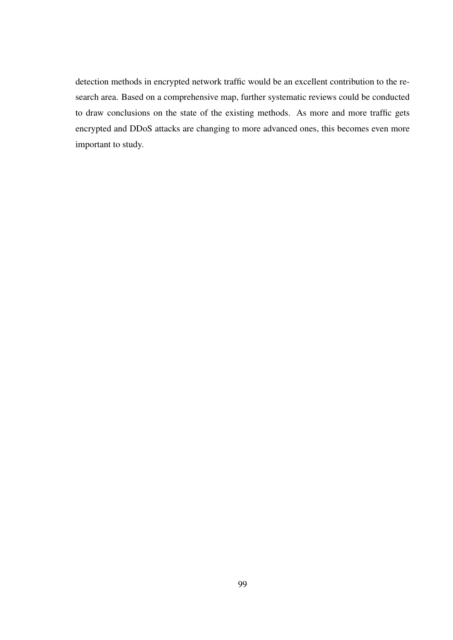detection methods in encrypted network traffic would be an excellent contribution to the research area. Based on a comprehensive map, further systematic reviews could be conducted to draw conclusions on the state of the existing methods. As more and more traffic gets encrypted and DDoS attacks are changing to more advanced ones, this becomes even more important to study.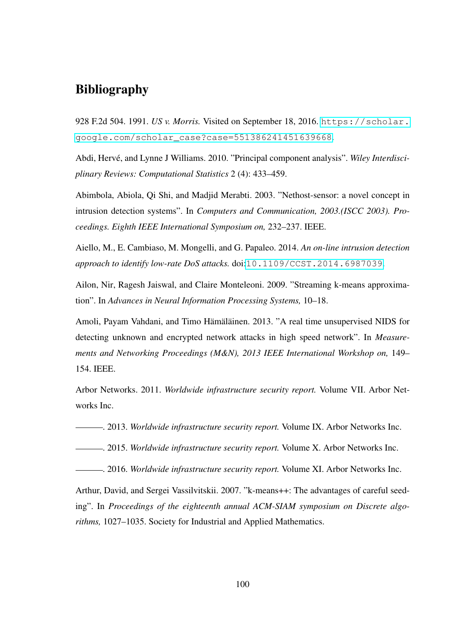## Bibliography

928 F.2d 504. 1991. *US v. Morris.* Visited on September 18, 2016. [https://scholar.](https://scholar.google.com/scholar_case?case=551386241451639668) [google.com/scholar\\_case?case=551386241451639668](https://scholar.google.com/scholar_case?case=551386241451639668).

Abdi, Hervé, and Lynne J Williams. 2010. "Principal component analysis". *Wiley Interdisciplinary Reviews: Computational Statistics* 2 (4): 433–459.

Abimbola, Abiola, Qi Shi, and Madjid Merabti. 2003. "Nethost-sensor: a novel concept in intrusion detection systems". In *Computers and Communication, 2003.(ISCC 2003). Proceedings. Eighth IEEE International Symposium on,* 232–237. IEEE.

Aiello, M., E. Cambiaso, M. Mongelli, and G. Papaleo. 2014. *An on-line intrusion detection approach to identify low-rate DoS attacks.* doi:[10.1109/CCST.2014.6987039](http://dx.doi.org/10.1109/CCST.2014.6987039).

Ailon, Nir, Ragesh Jaiswal, and Claire Monteleoni. 2009. "Streaming k-means approximation". In *Advances in Neural Information Processing Systems,* 10–18.

Amoli, Payam Vahdani, and Timo Hämäläinen. 2013. "A real time unsupervised NIDS for detecting unknown and encrypted network attacks in high speed network". In *Measurements and Networking Proceedings (M&N), 2013 IEEE International Workshop on,* 149– 154. IEEE.

Arbor Networks. 2011. *Worldwide infrastructure security report.* Volume VII. Arbor Networks Inc.

. 2013. *Worldwide infrastructure security report.* Volume IX. Arbor Networks Inc.

. 2015. *Worldwide infrastructure security report.* Volume X. Arbor Networks Inc.

. 2016. *Worldwide infrastructure security report.* Volume XI. Arbor Networks Inc.

Arthur, David, and Sergei Vassilvitskii. 2007. "k-means++: The advantages of careful seeding". In *Proceedings of the eighteenth annual ACM-SIAM symposium on Discrete algorithms,* 1027–1035. Society for Industrial and Applied Mathematics.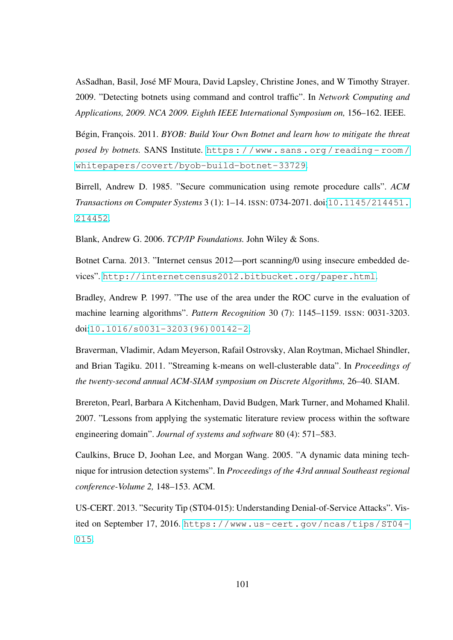AsSadhan, Basil, José MF Moura, David Lapsley, Christine Jones, and W Timothy Strayer. 2009. "Detecting botnets using command and control traffic". In *Network Computing and Applications, 2009. NCA 2009. Eighth IEEE International Symposium on,* 156–162. IEEE.

Bégin, François. 2011. *BYOB: Build Your Own Botnet and learn how to mitigate the threat posed by botnets.* SANS Institute. [https : / / www . sans . org / reading - room /](https://www.sans.org/reading-room/whitepapers/covert/byob-build-botnet-33729) [whitepapers/covert/byob-build-botnet-33729](https://www.sans.org/reading-room/whitepapers/covert/byob-build-botnet-33729).

Birrell, Andrew D. 1985. "Secure communication using remote procedure calls". *ACM Transactions on Computer Systems* 3 (1): 1–14. ISSN: 0734-2071. doi:[10.1145/214451.](http://dx.doi.org/10.1145/214451.214452) [214452](http://dx.doi.org/10.1145/214451.214452).

Blank, Andrew G. 2006. *TCP/IP Foundations.* John Wiley & Sons.

Botnet Carna. 2013. "Internet census 2012—port scanning/0 using insecure embedded devices". <http://internetcensus2012.bitbucket.org/paper.html>.

Bradley, Andrew P. 1997. "The use of the area under the ROC curve in the evaluation of machine learning algorithms". *Pattern Recognition* 30 (7): 1145–1159. ISSN: 0031-3203. doi:[10.1016/s0031-3203\(96\)00142-2](http://dx.doi.org/10.1016/s0031-3203(96)00142-2).

Braverman, Vladimir, Adam Meyerson, Rafail Ostrovsky, Alan Roytman, Michael Shindler, and Brian Tagiku. 2011. "Streaming k-means on well-clusterable data". In *Proceedings of the twenty-second annual ACM-SIAM symposium on Discrete Algorithms,* 26–40. SIAM.

Brereton, Pearl, Barbara A Kitchenham, David Budgen, Mark Turner, and Mohamed Khalil. 2007. "Lessons from applying the systematic literature review process within the software engineering domain". *Journal of systems and software* 80 (4): 571–583.

Caulkins, Bruce D, Joohan Lee, and Morgan Wang. 2005. "A dynamic data mining technique for intrusion detection systems". In *Proceedings of the 43rd annual Southeast regional conference-Volume 2,* 148–153. ACM.

US-CERT. 2013. "Security Tip (ST04-015): Understanding Denial-of-Service Attacks". Visited on September 17, 2016. https://www.us-cert.gov/ncas/tips/ST04-[015](https://www.us-cert.gov/ncas/tips/ST04-015).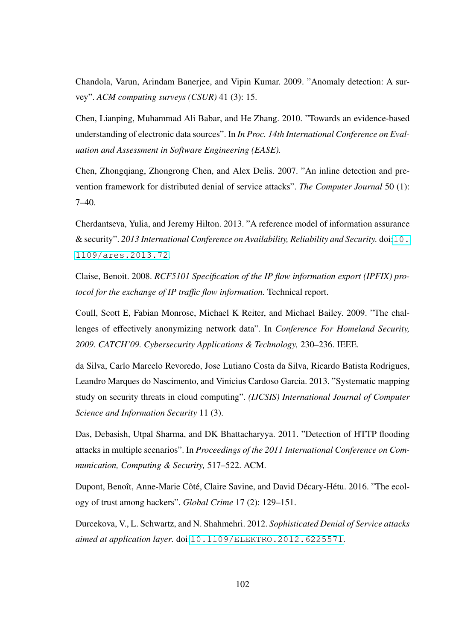Chandola, Varun, Arindam Banerjee, and Vipin Kumar. 2009. "Anomaly detection: A survey". *ACM computing surveys (CSUR)* 41 (3): 15.

Chen, Lianping, Muhammad Ali Babar, and He Zhang. 2010. "Towards an evidence-based understanding of electronic data sources". In *In Proc. 14th International Conference on Evaluation and Assessment in Software Engineering (EASE).*

Chen, Zhongqiang, Zhongrong Chen, and Alex Delis. 2007. "An inline detection and prevention framework for distributed denial of service attacks". *The Computer Journal* 50 (1):  $7-40.$ 

Cherdantseva, Yulia, and Jeremy Hilton. 2013. "A reference model of information assurance & security". *2013 International Conference on Availability, Reliability and Security.* doi:[10.](http://dx.doi.org/10.1109/ares.2013.72) [1109/ares.2013.72](http://dx.doi.org/10.1109/ares.2013.72).

Claise, Benoit. 2008. *RCF5101 Specification of the IP flow information export (IPFIX) protocol for the exchange of IP traffic flow information.* Technical report.

Coull, Scott E, Fabian Monrose, Michael K Reiter, and Michael Bailey. 2009. "The challenges of effectively anonymizing network data". In *Conference For Homeland Security, 2009. CATCH'09. Cybersecurity Applications & Technology,* 230–236. IEEE.

da Silva, Carlo Marcelo Revoredo, Jose Lutiano Costa da Silva, Ricardo Batista Rodrigues, Leandro Marques do Nascimento, and Vinicius Cardoso Garcia. 2013. "Systematic mapping study on security threats in cloud computing". *(IJCSIS) International Journal of Computer Science and Information Security* 11 (3).

Das, Debasish, Utpal Sharma, and DK Bhattacharyya. 2011. "Detection of HTTP flooding attacks in multiple scenarios". In *Proceedings of the 2011 International Conference on Communication, Computing & Security,* 517–522. ACM.

Dupont, Benoît, Anne-Marie Côté, Claire Savine, and David Décary-Hétu. 2016. "The ecology of trust among hackers". *Global Crime* 17 (2): 129–151.

Durcekova, V., L. Schwartz, and N. Shahmehri. 2012. *Sophisticated Denial of Service attacks aimed at application layer.* doi:[10.1109/ELEKTRO.2012.6225571](http://dx.doi.org/10.1109/ELEKTRO.2012.6225571).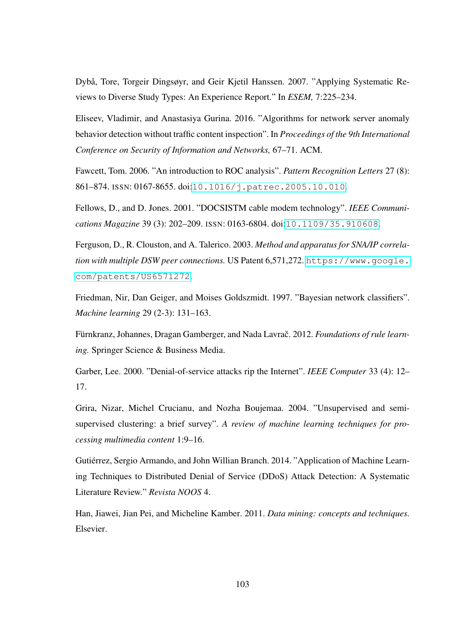Dybå, Tore, Torgeir Dingsøyr, and Geir Kjetil Hanssen. 2007. "Applying Systematic Reviews to Diverse Study Types: An Experience Report." In *ESEM,* 7:225–234.

Eliseev, Vladimir, and Anastasiya Gurina. 2016. "Algorithms for network server anomaly behavior detection without traffic content inspection". In *Proceedings of the 9th International Conference on Security of Information and Networks,* 67–71. ACM.

Fawcett, Tom. 2006. "An introduction to ROC analysis". *Pattern Recognition Letters* 27 (8): 861–874. ISSN: 0167-8655. doi:[10.1016/j.patrec.2005.10.010](http://dx.doi.org/10.1016/j.patrec.2005.10.010).

Fellows, D., and D. Jones. 2001. "DOCSISTM cable modem technology". *IEEE Communications Magazine* 39 (3): 202–209. ISSN: 0163-6804. doi:[10.1109/35.910608](http://dx.doi.org/10.1109/35.910608).

Ferguson, D., R. Clouston, and A. Talerico. 2003. *Method and apparatus for SNA/IP correlation with multiple DSW peer connections.* US Patent 6,571,272. [https://www.google.](https://www.google.com/patents/US6571272) [com/patents/US6571272](https://www.google.com/patents/US6571272).

Friedman, Nir, Dan Geiger, and Moises Goldszmidt. 1997. "Bayesian network classifiers". *Machine learning* 29 (2-3): 131–163.

Fürnkranz, Johannes, Dragan Gamberger, and Nada Lavrač. 2012. *Foundations of rule learning.* Springer Science & Business Media.

Garber, Lee. 2000. "Denial-of-service attacks rip the Internet". *IEEE Computer* 33 (4): 12– 17.

Grira, Nizar, Michel Crucianu, and Nozha Boujemaa. 2004. "Unsupervised and semisupervised clustering: a brief survey". *A review of machine learning techniques for processing multimedia content* 1:9–16.

Gutiérrez, Sergio Armando, and John Willian Branch. 2014. "Application of Machine Learning Techniques to Distributed Denial of Service (DDoS) Attack Detection: A Systematic Literature Review." *Revista NOOS* 4.

Han, Jiawei, Jian Pei, and Micheline Kamber. 2011. *Data mining: concepts and techniques.* Elsevier.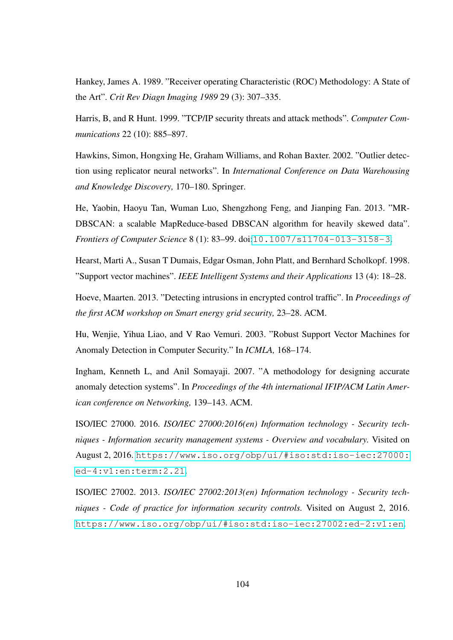Hankey, James A. 1989. "Receiver operating Characteristic (ROC) Methodology: A State of the Art". *Crit Rev Diagn Imaging 1989* 29 (3): 307–335.

Harris, B, and R Hunt. 1999. "TCP/IP security threats and attack methods". *Computer Communications* 22 (10): 885–897.

Hawkins, Simon, Hongxing He, Graham Williams, and Rohan Baxter. 2002. "Outlier detection using replicator neural networks". In *International Conference on Data Warehousing and Knowledge Discovery,* 170–180. Springer.

He, Yaobin, Haoyu Tan, Wuman Luo, Shengzhong Feng, and Jianping Fan. 2013. "MR-DBSCAN: a scalable MapReduce-based DBSCAN algorithm for heavily skewed data". *Frontiers of Computer Science* 8 (1): 83–99. doi:[10.1007/s11704-013-3158-3](http://dx.doi.org/10.1007/s11704-013-3158-3).

Hearst, Marti A., Susan T Dumais, Edgar Osman, John Platt, and Bernhard Scholkopf. 1998. "Support vector machines". *IEEE Intelligent Systems and their Applications* 13 (4): 18–28.

Hoeve, Maarten. 2013. "Detecting intrusions in encrypted control traffic". In *Proceedings of the first ACM workshop on Smart energy grid security,* 23–28. ACM.

Hu, Wenjie, Yihua Liao, and V Rao Vemuri. 2003. "Robust Support Vector Machines for Anomaly Detection in Computer Security." In *ICMLA,* 168–174.

Ingham, Kenneth L, and Anil Somayaji. 2007. "A methodology for designing accurate anomaly detection systems". In *Proceedings of the 4th international IFIP/ACM Latin American conference on Networking,* 139–143. ACM.

ISO/IEC 27000. 2016. *ISO/IEC 27000:2016(en) Information technology - Security techniques - Information security management systems - Overview and vocabulary.* Visited on August 2, 2016. [https://www.iso.org/obp/ui/#iso:std:iso-iec:27000:](https://www.iso.org/obp/ui/#iso:std:iso-iec:27000:ed-4:v1:en:term:2.21) [ed-4:v1:en:term:2.21](https://www.iso.org/obp/ui/#iso:std:iso-iec:27000:ed-4:v1:en:term:2.21).

ISO/IEC 27002. 2013. *ISO/IEC 27002:2013(en) Information technology - Security techniques - Code of practice for information security controls.* Visited on August 2, 2016. <https://www.iso.org/obp/ui/#iso:std:iso-iec:27002:ed-2:v1:en>.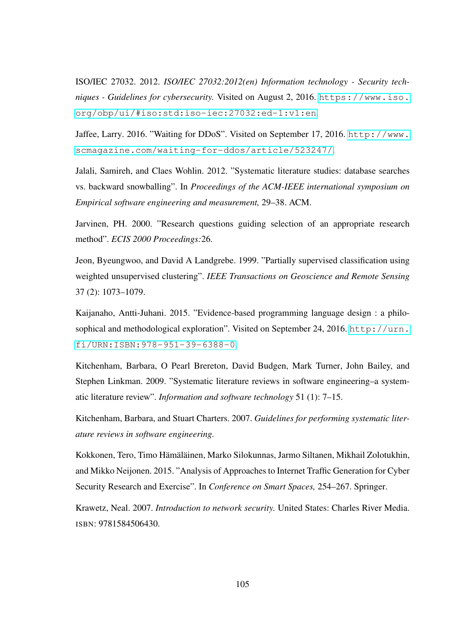ISO/IEC 27032. 2012. *ISO/IEC 27032:2012(en) Information technology - Security techniques - Guidelines for cybersecurity.* Visited on August 2, 2016. [https://www.iso.](https://www.iso.org/obp/ui/#iso:std:iso-iec:27032:ed-1:v1:en) [org/obp/ui/#iso:std:iso-iec:27032:ed-1:v1:en](https://www.iso.org/obp/ui/#iso:std:iso-iec:27032:ed-1:v1:en).

Jaffee, Larry. 2016. "Waiting for DDoS". Visited on September 17, 2016. [http://www.](http://www.scmagazine.com/waiting-for-ddos/article/523247/) [scmagazine.com/waiting-for-ddos/article/523247/](http://www.scmagazine.com/waiting-for-ddos/article/523247/).

Jalali, Samireh, and Claes Wohlin. 2012. "Systematic literature studies: database searches vs. backward snowballing". In *Proceedings of the ACM-IEEE international symposium on Empirical software engineering and measurement,* 29–38. ACM.

Jarvinen, PH. 2000. "Research questions guiding selection of an appropriate research method". *ECIS 2000 Proceedings:*26.

Jeon, Byeungwoo, and David A Landgrebe. 1999. "Partially supervised classification using weighted unsupervised clustering". *IEEE Transactions on Geoscience and Remote Sensing* 37 (2): 1073–1079.

Kaijanaho, Antti-Juhani. 2015. "Evidence-based programming language design : a philosophical and methodological exploration". Visited on September 24, 2016. [http://urn.](http://urn.fi/URN:ISBN:978-951-39-6388-0) [fi/URN:ISBN:978-951-39-6388-0](http://urn.fi/URN:ISBN:978-951-39-6388-0).

Kitchenham, Barbara, O Pearl Brereton, David Budgen, Mark Turner, John Bailey, and Stephen Linkman. 2009. "Systematic literature reviews in software engineering–a systematic literature review". *Information and software technology* 51 (1): 7–15.

Kitchenham, Barbara, and Stuart Charters. 2007. *Guidelines for performing systematic literature reviews in software engineering.*

Kokkonen, Tero, Timo Hämäläinen, Marko Silokunnas, Jarmo Siltanen, Mikhail Zolotukhin, and Mikko Neijonen. 2015. "Analysis of Approaches to Internet Traffic Generation for Cyber Security Research and Exercise". In *Conference on Smart Spaces,* 254–267. Springer.

Krawetz, Neal. 2007. *Introduction to network security.* United States: Charles River Media. ISBN: 9781584506430.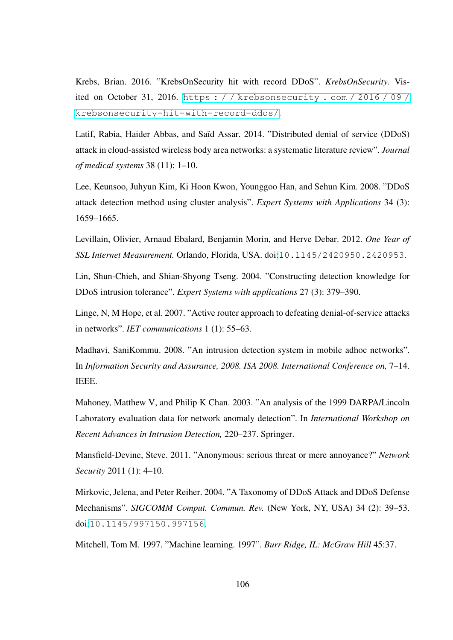Krebs, Brian. 2016. "KrebsOnSecurity hit with record DDoS". *KrebsOnSecurity.* Visited on October 31, 2016. [https : / / krebsonsecurity . com / 2016 / 09 /](https://krebsonsecurity.com/2016/09/krebsonsecurity-hit-with-record-ddos/) [krebsonsecurity-hit-with-record-ddos/](https://krebsonsecurity.com/2016/09/krebsonsecurity-hit-with-record-ddos/).

Latif, Rabia, Haider Abbas, and Saïd Assar. 2014. "Distributed denial of service (DDoS) attack in cloud-assisted wireless body area networks: a systematic literature review". *Journal of medical systems* 38 (11): 1–10.

Lee, Keunsoo, Juhyun Kim, Ki Hoon Kwon, Younggoo Han, and Sehun Kim. 2008. "DDoS attack detection method using cluster analysis". *Expert Systems with Applications* 34 (3): 1659–1665.

Levillain, Olivier, Arnaud Ebalard, Benjamin Morin, and Herve Debar. 2012. *One Year of SSL Internet Measurement.* Orlando, Florida, USA. doi:[10.1145/2420950.2420953](http://dx.doi.org/10.1145/2420950.2420953).

Lin, Shun-Chieh, and Shian-Shyong Tseng. 2004. "Constructing detection knowledge for DDoS intrusion tolerance". *Expert Systems with applications* 27 (3): 379–390.

Linge, N, M Hope, et al. 2007. "Active router approach to defeating denial-of-service attacks in networks". *IET communications* 1 (1): 55–63.

Madhavi, SaniKommu. 2008. "An intrusion detection system in mobile adhoc networks". In *Information Security and Assurance, 2008. ISA 2008. International Conference on,* 7–14. IEEE.

Mahoney, Matthew V, and Philip K Chan. 2003. "An analysis of the 1999 DARPA/Lincoln Laboratory evaluation data for network anomaly detection". In *International Workshop on Recent Advances in Intrusion Detection,* 220–237. Springer.

Mansfield-Devine, Steve. 2011. "Anonymous: serious threat or mere annoyance?" *Network Security* 2011 (1): 4–10.

Mirkovic, Jelena, and Peter Reiher. 2004. "A Taxonomy of DDoS Attack and DDoS Defense Mechanisms". *SIGCOMM Comput. Commun. Rev.* (New York, NY, USA) 34 (2): 39–53. doi:[10.1145/997150.997156](http://dx.doi.org/10.1145/997150.997156).

Mitchell, Tom M. 1997. "Machine learning. 1997". *Burr Ridge, IL: McGraw Hill* 45:37.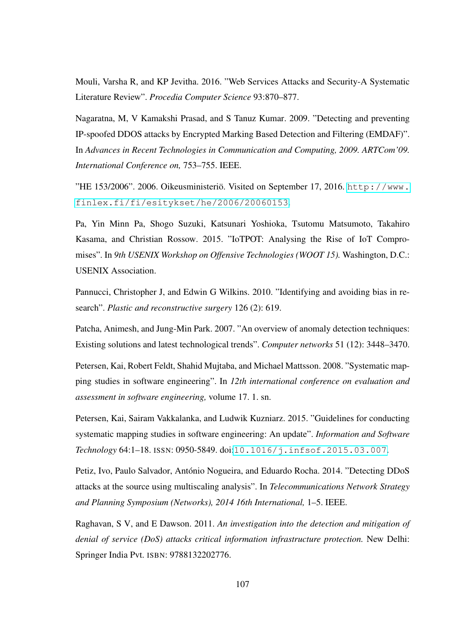Mouli, Varsha R, and KP Jevitha. 2016. "Web Services Attacks and Security-A Systematic Literature Review". *Procedia Computer Science* 93:870–877.

Nagaratna, M, V Kamakshi Prasad, and S Tanuz Kumar. 2009. "Detecting and preventing IP-spoofed DDOS attacks by Encrypted Marking Based Detection and Filtering (EMDAF)". In *Advances in Recent Technologies in Communication and Computing, 2009. ARTCom'09. International Conference on,* 753–755. IEEE.

"HE 153/2006". 2006. Oikeusministeriö. Visited on September 17, 2016. [http://www.](http://www.finlex.fi/fi/esitykset/he/2006/20060153) [finlex.fi/fi/esitykset/he/2006/20060153](http://www.finlex.fi/fi/esitykset/he/2006/20060153).

Pa, Yin Minn Pa, Shogo Suzuki, Katsunari Yoshioka, Tsutomu Matsumoto, Takahiro Kasama, and Christian Rossow. 2015. "IoTPOT: Analysing the Rise of IoT Compromises". In *9th USENIX Workshop on Offensive Technologies (WOOT 15).* Washington, D.C.: USENIX Association.

Pannucci, Christopher J, and Edwin G Wilkins. 2010. "Identifying and avoiding bias in research". *Plastic and reconstructive surgery* 126 (2): 619.

Patcha, Animesh, and Jung-Min Park. 2007. "An overview of anomaly detection techniques: Existing solutions and latest technological trends". *Computer networks* 51 (12): 3448–3470.

Petersen, Kai, Robert Feldt, Shahid Mujtaba, and Michael Mattsson. 2008. "Systematic mapping studies in software engineering". In *12th international conference on evaluation and assessment in software engineering,* volume 17. 1. sn.

Petersen, Kai, Sairam Vakkalanka, and Ludwik Kuzniarz. 2015. "Guidelines for conducting systematic mapping studies in software engineering: An update". *Information and Software Technology* 64:1–18. ISSN: 0950-5849. doi:[10.1016/j.infsof.2015.03.007](http://dx.doi.org/10.1016/j.infsof.2015.03.007).

Petiz, Ivo, Paulo Salvador, António Nogueira, and Eduardo Rocha. 2014. "Detecting DDoS attacks at the source using multiscaling analysis". In *Telecommunications Network Strategy and Planning Symposium (Networks), 2014 16th International,* 1–5. IEEE.

Raghavan, S V, and E Dawson. 2011. *An investigation into the detection and mitigation of denial of service (DoS) attacks critical information infrastructure protection.* New Delhi: Springer India Pvt. ISBN: 9788132202776.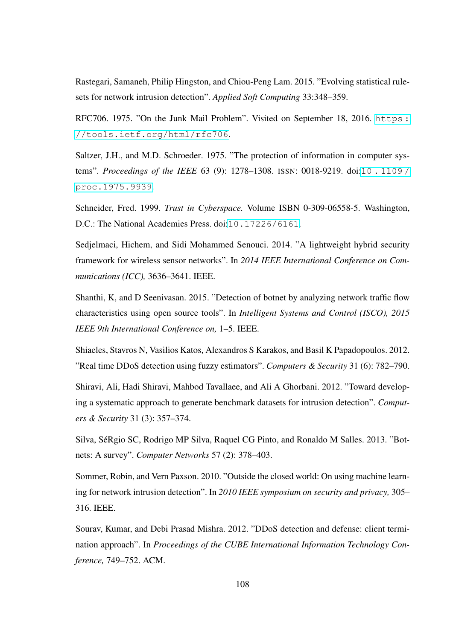Rastegari, Samaneh, Philip Hingston, and Chiou-Peng Lam. 2015. "Evolving statistical rulesets for network intrusion detection". *Applied Soft Computing* 33:348–359.

RFC706. 1975. "On the Junk Mail Problem". Visited on September 18, 2016. https: [//tools.ietf.org/html/rfc706](https://tools.ietf.org/html/rfc706).

Saltzer, J.H., and M.D. Schroeder. 1975. "The protection of information in computer systems". *Proceedings of the IEEE* 63 (9): 1278–1308. ISSN: 0018-9219. doi:[10 . 1109 /](http://dx.doi.org/10.1109/proc.1975.9939) [proc.1975.9939](http://dx.doi.org/10.1109/proc.1975.9939).

Schneider, Fred. 1999. *Trust in Cyberspace.* Volume ISBN 0-309-06558-5. Washington, D.C.: The National Academies Press. doi:[10.17226/6161](http://dx.doi.org/10.17226/6161).

Sedjelmaci, Hichem, and Sidi Mohammed Senouci. 2014. "A lightweight hybrid security framework for wireless sensor networks". In *2014 IEEE International Conference on Communications (ICC),* 3636–3641. IEEE.

Shanthi, K, and D Seenivasan. 2015. "Detection of botnet by analyzing network traffic flow characteristics using open source tools". In *Intelligent Systems and Control (ISCO), 2015 IEEE 9th International Conference on,* 1–5. IEEE.

Shiaeles, Stavros N, Vasilios Katos, Alexandros S Karakos, and Basil K Papadopoulos. 2012. "Real time DDoS detection using fuzzy estimators". *Computers & Security* 31 (6): 782–790.

Shiravi, Ali, Hadi Shiravi, Mahbod Tavallaee, and Ali A Ghorbani. 2012. "Toward developing a systematic approach to generate benchmark datasets for intrusion detection". *Computers & Security* 31 (3): 357–374.

Silva, SéRgio SC, Rodrigo MP Silva, Raquel CG Pinto, and Ronaldo M Salles. 2013. "Botnets: A survey". *Computer Networks* 57 (2): 378–403.

Sommer, Robin, and Vern Paxson. 2010. "Outside the closed world: On using machine learning for network intrusion detection". In *2010 IEEE symposium on security and privacy,* 305– 316. IEEE.

Sourav, Kumar, and Debi Prasad Mishra. 2012. "DDoS detection and defense: client termination approach". In *Proceedings of the CUBE International Information Technology Conference,* 749–752. ACM.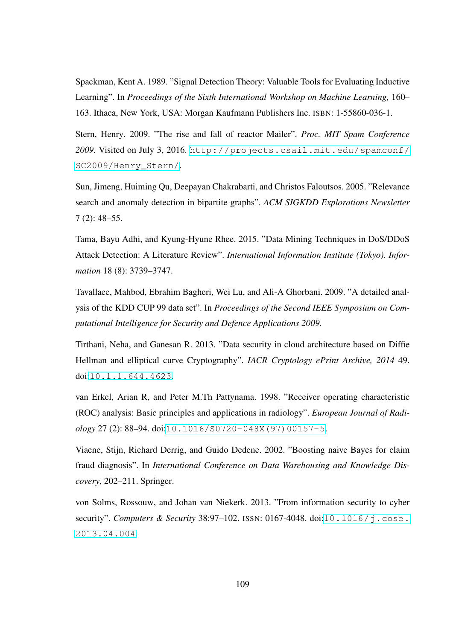Spackman, Kent A. 1989. "Signal Detection Theory: Valuable Tools for Evaluating Inductive Learning". In *Proceedings of the Sixth International Workshop on Machine Learning,* 160– 163. Ithaca, New York, USA: Morgan Kaufmann Publishers Inc. ISBN: 1-55860-036-1.

Stern, Henry. 2009. "The rise and fall of reactor Mailer". *Proc. MIT Spam Conference 2009.* Visited on July 3, 2016. [http://projects.csail.mit.edu/spamconf/](http://projects.csail.mit.edu/spamconf/SC2009/Henry_Stern/) [SC2009/Henry\\_Stern/](http://projects.csail.mit.edu/spamconf/SC2009/Henry_Stern/).

Sun, Jimeng, Huiming Qu, Deepayan Chakrabarti, and Christos Faloutsos. 2005. "Relevance search and anomaly detection in bipartite graphs". *ACM SIGKDD Explorations Newsletter* 7 (2): 48–55.

Tama, Bayu Adhi, and Kyung-Hyune Rhee. 2015. "Data Mining Techniques in DoS/DDoS Attack Detection: A Literature Review". *International Information Institute (Tokyo). Information* 18 (8): 3739–3747.

Tavallaee, Mahbod, Ebrahim Bagheri, Wei Lu, and Ali-A Ghorbani. 2009. "A detailed analysis of the KDD CUP 99 data set". In *Proceedings of the Second IEEE Symposium on Computational Intelligence for Security and Defence Applications 2009.*

Tirthani, Neha, and Ganesan R. 2013. "Data security in cloud architecture based on Diffie Hellman and elliptical curve Cryptography". *IACR Cryptology ePrint Archive, 2014* 49. doi:[10.1.1.644.4623](http://dx.doi.org/10.1.1.644.4623).

van Erkel, Arian R, and Peter M.Th Pattynama. 1998. "Receiver operating characteristic (ROC) analysis: Basic principles and applications in radiology". *European Journal of Radiology* 27 (2): 88–94. doi:[10.1016/S0720-048X\(97\)00157-5](http://dx.doi.org/10.1016/S0720-048X(97)00157-5).

Viaene, Stijn, Richard Derrig, and Guido Dedene. 2002. "Boosting naive Bayes for claim fraud diagnosis". In *International Conference on Data Warehousing and Knowledge Discovery,* 202–211. Springer.

von Solms, Rossouw, and Johan van Niekerk. 2013. "From information security to cyber security". *Computers & Security* 38:97–102. ISSN: 0167-4048. doi:[10.1016/j.cose.](http://dx.doi.org/10.1016/j.cose.2013.04.004) [2013.04.004](http://dx.doi.org/10.1016/j.cose.2013.04.004).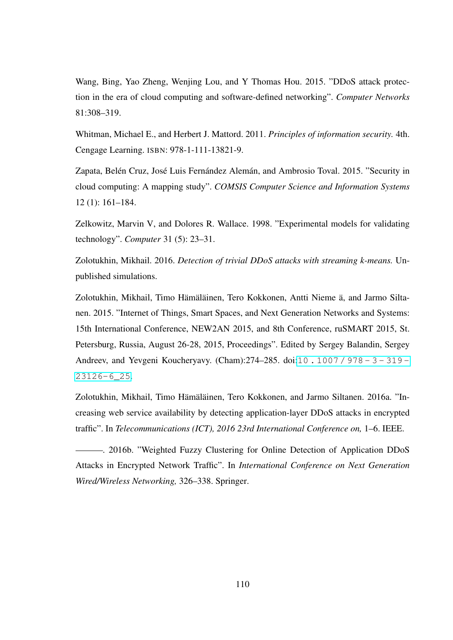Wang, Bing, Yao Zheng, Wenjing Lou, and Y Thomas Hou. 2015. "DDoS attack protection in the era of cloud computing and software-defined networking". *Computer Networks* 81:308–319.

Whitman, Michael E., and Herbert J. Mattord. 2011. *Principles of information security.* 4th. Cengage Learning. ISBN: 978-1-111-13821-9.

Zapata, Belén Cruz, José Luis Fernández Alemán, and Ambrosio Toval. 2015. "Security in cloud computing: A mapping study". *COMSIS Computer Science and Information Systems* 12 (1): 161–184.

Zelkowitz, Marvin V, and Dolores R. Wallace. 1998. "Experimental models for validating technology". *Computer* 31 (5): 23–31.

Zolotukhin, Mikhail. 2016. *Detection of trivial DDoS attacks with streaming k-means.* Unpublished simulations.

<span id="page-121-0"></span>Zolotukhin, Mikhail, Timo Hämäläinen, Tero Kokkonen, Antti Nieme ä, and Jarmo Siltanen. 2015. "Internet of Things, Smart Spaces, and Next Generation Networks and Systems: 15th International Conference, NEW2AN 2015, and 8th Conference, ruSMART 2015, St. Petersburg, Russia, August 26-28, 2015, Proceedings". Edited by Sergey Balandin, Sergey Andreev, and Yevgeni Koucheryavy. (Cham):274–285. doi:[10 . 1007 / 978 - 3 - 319 -](http://dx.doi.org/10.1007/978-3-319-23126-6_25) [23126-6\\_25](http://dx.doi.org/10.1007/978-3-319-23126-6_25).

Zolotukhin, Mikhail, Timo Hämäläinen, Tero Kokkonen, and Jarmo Siltanen. 2016a. "Increasing web service availability by detecting application-layer DDoS attacks in encrypted traffic". In *Telecommunications (ICT), 2016 23rd International Conference on,* 1–6. IEEE.

. 2016b. "Weighted Fuzzy Clustering for Online Detection of Application DDoS Attacks in Encrypted Network Traffic". In *International Conference on Next Generation Wired/Wireless Networking,* 326–338. Springer.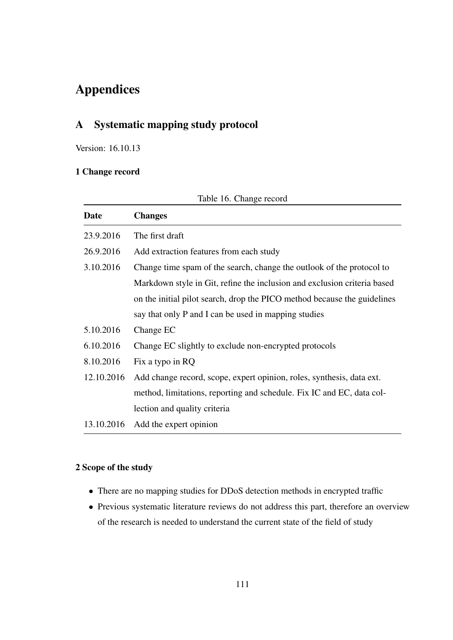# Appendices

## A Systematic mapping study protocol

Version: 16.10.13

## 1 Change record

| Date       | <b>Changes</b>                                                           |
|------------|--------------------------------------------------------------------------|
| 23.9.2016  | The first draft                                                          |
| 26.9.2016  | Add extraction features from each study                                  |
| 3.10.2016  | Change time spam of the search, change the outlook of the protocol to    |
|            | Markdown style in Git, refine the inclusion and exclusion criteria based |
|            | on the initial pilot search, drop the PICO method because the guidelines |
|            | say that only P and I can be used in mapping studies                     |
| 5.10.2016  | Change EC                                                                |
| 6.10.2016  | Change EC slightly to exclude non-encrypted protocols                    |
| 8.10.2016  | Fix a typo in RQ                                                         |
| 12.10.2016 | Add change record, scope, expert opinion, roles, synthesis, data ext.    |
|            | method, limitations, reporting and schedule. Fix IC and EC, data col-    |
|            | lection and quality criteria                                             |
| 13.10.2016 | Add the expert opinion                                                   |

#### Table 16. Change record

## 2 Scope of the study

- There are no mapping studies for DDoS detection methods in encrypted traffic
- Previous systematic literature reviews do not address this part, therefore an overview of the research is needed to understand the current state of the field of study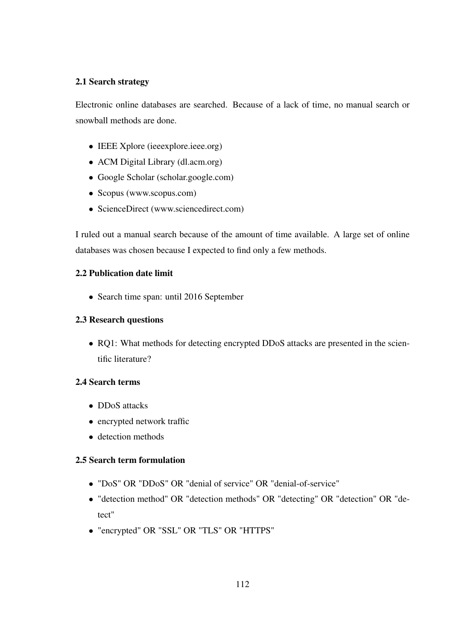## 2.1 Search strategy

Electronic online databases are searched. Because of a lack of time, no manual search or snowball methods are done.

- IEEE Xplore (ieeexplore.ieee.org)
- ACM Digital Library (dl.acm.org)
- Google Scholar (scholar.google.com)
- Scopus (www.scopus.com)
- ScienceDirect (www.sciencedirect.com)

I ruled out a manual search because of the amount of time available. A large set of online databases was chosen because I expected to find only a few methods.

## 2.2 Publication date limit

• Search time span: until 2016 September

## 2.3 Research questions

• RQ1: What methods for detecting encrypted DDoS attacks are presented in the scientific literature?

## 2.4 Search terms

- DDoS attacks
- encrypted network traffic
- detection methods

## 2.5 Search term formulation

- "DoS" OR "DDoS" OR "denial of service" OR "denial-of-service"
- "detection method" OR "detection methods" OR "detecting" OR "detection" OR "detect"
- "encrypted" OR "SSL" OR "TLS" OR "HTTPS"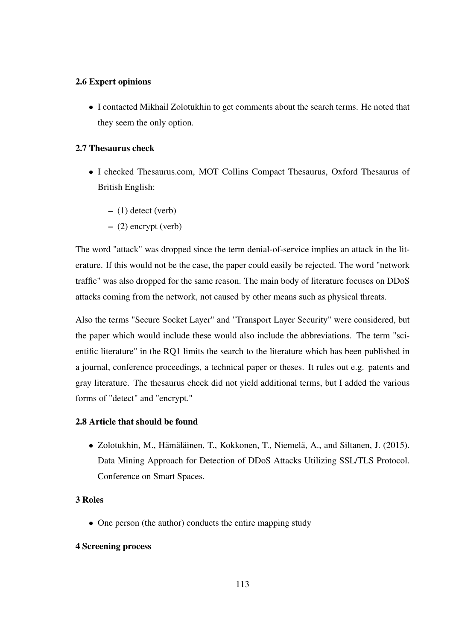#### 2.6 Expert opinions

• I contacted Mikhail Zolotukhin to get comments about the search terms. He noted that they seem the only option.

#### 2.7 Thesaurus check

- I checked Thesaurus.com, MOT Collins Compact Thesaurus, Oxford Thesaurus of British English:
	- (1) detect (verb)
	- (2) encrypt (verb)

The word "attack" was dropped since the term denial-of-service implies an attack in the literature. If this would not be the case, the paper could easily be rejected. The word "network traffic" was also dropped for the same reason. The main body of literature focuses on DDoS attacks coming from the network, not caused by other means such as physical threats.

Also the terms "Secure Socket Layer" and "Transport Layer Security" were considered, but the paper which would include these would also include the abbreviations. The term "scientific literature" in the RQ1 limits the search to the literature which has been published in a journal, conference proceedings, a technical paper or theses. It rules out e.g. patents and gray literature. The thesaurus check did not yield additional terms, but I added the various forms of "detect" and "encrypt."

#### 2.8 Article that should be found

• Zolotukhin, M., Hämäläinen, T., Kokkonen, T., Niemelä, A., and Siltanen, J. (2015). Data Mining Approach for Detection of DDoS Attacks Utilizing SSL/TLS Protocol. Conference on Smart Spaces.

#### 3 Roles

• One person (the author) conducts the entire mapping study

#### 4 Screening process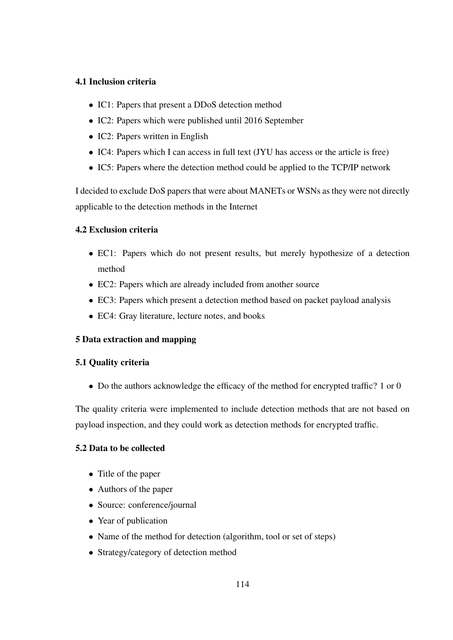## 4.1 Inclusion criteria

- IC1: Papers that present a DDoS detection method
- IC2: Papers which were published until 2016 September
- IC2: Papers written in English
- IC4: Papers which I can access in full text (JYU has access or the article is free)
- IC5: Papers where the detection method could be applied to the TCP/IP network

I decided to exclude DoS papers that were about MANETs or WSNs as they were not directly applicable to the detection methods in the Internet

## 4.2 Exclusion criteria

- EC1: Papers which do not present results, but merely hypothesize of a detection method
- EC2: Papers which are already included from another source
- EC3: Papers which present a detection method based on packet payload analysis
- EC4: Gray literature, lecture notes, and books

## 5 Data extraction and mapping

## 5.1 Quality criteria

• Do the authors acknowledge the efficacy of the method for encrypted traffic? 1 or 0

The quality criteria were implemented to include detection methods that are not based on payload inspection, and they could work as detection methods for encrypted traffic.

## 5.2 Data to be collected

- Title of the paper
- Authors of the paper
- Source: conference/journal
- Year of publication
- Name of the method for detection (algorithm, tool or set of steps)
- Strategy/category of detection method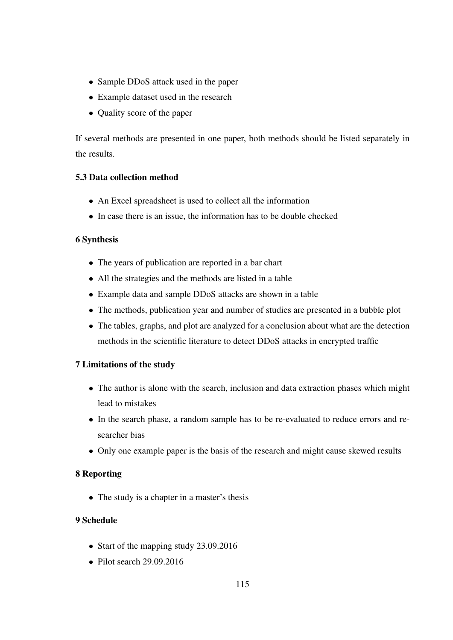- Sample DDoS attack used in the paper
- Example dataset used in the research
- Quality score of the paper

If several methods are presented in one paper, both methods should be listed separately in the results.

## 5.3 Data collection method

- An Excel spreadsheet is used to collect all the information
- In case there is an issue, the information has to be double checked

## 6 Synthesis

- The years of publication are reported in a bar chart
- All the strategies and the methods are listed in a table
- Example data and sample DDoS attacks are shown in a table
- The methods, publication year and number of studies are presented in a bubble plot
- The tables, graphs, and plot are analyzed for a conclusion about what are the detection methods in the scientific literature to detect DDoS attacks in encrypted traffic

## 7 Limitations of the study

- The author is alone with the search, inclusion and data extraction phases which might lead to mistakes
- In the search phase, a random sample has to be re-evaluated to reduce errors and researcher bias
- Only one example paper is the basis of the research and might cause skewed results

## 8 Reporting

• The study is a chapter in a master's thesis

## 9 Schedule

- Start of the mapping study 23.09.2016
- Pilot search 29.09.2016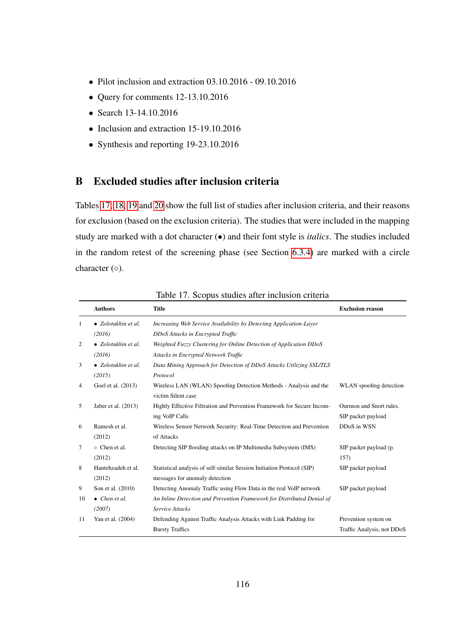- Pilot inclusion and extraction 03.10.2016 09.10.2016
- Ouery for comments 12-13.10.2016
- Search 13-14.10.2016
- Inclusion and extraction 15-19.10.2016
- Synthesis and reporting 19-23.10.2016

## B Excluded studies after inclusion criteria

Tables [17,](#page-127-0) [18,](#page-128-0) [19](#page-129-0) and [20](#page-130-0) show the full list of studies after inclusion criteria, and their reasons for exclusion (based on the exclusion criteria). The studies that were included in the mapping study are marked with a dot character (•) and their font style is *italics*. The studies included in the random retest of the screening phase (see Section [6.3.4\)](#page-66-0) are marked with a circle character (◦).

<span id="page-127-0"></span>

|                | <b>Authors</b>              | <b>Title</b>                                                           | <b>Exclusion reason</b>    |
|----------------|-----------------------------|------------------------------------------------------------------------|----------------------------|
| 1              | $\bullet$ Zolotukhin et al. | Increasing Web Service Availability by Detecting Application-Layer     |                            |
|                | (2016)                      | DDoS Attacks in Encrypted Traffic                                      |                            |
| 2              | $\bullet$ Zolotukhin et al. | Weighted Fuzzy Clustering for Online Detection of Application DDoS     |                            |
|                | (2016)                      | Attacks in Encrypted Network Traffic                                   |                            |
| 3              | $\bullet$ Zolotukhin et al. | Data Mining Approach for Detection of DDoS Attacks Utilizing SSL/TLS   |                            |
|                | (2015)                      | Protocol                                                               |                            |
| $\overline{4}$ | Goel et al. (2013)          | Wireless LAN (WLAN) Spoofing Detection Methods - Analysis and the      | WLAN spoofing detection    |
|                |                             | victim Silent case                                                     |                            |
| 5              | Jaber et al. (2013)         | Highly Effective Filtration and Prevention Framework for Secure Incom- | Ourmon and Snort rules.    |
|                |                             | ing VoIP Calls                                                         | SIP packet payload         |
| 6              | Ramesh et al.               | Wireless Sensor Network Security: Real-Time Detection and Prevention   | DDoS in WSN                |
|                | (2012)                      | of Attacks                                                             |                            |
| 7              | $\circ$ Chen et al.         | Detecting SIP flooding attacks on IP Multimedia Subsystem (IMS)        | SIP packet payload (p.     |
|                | (2012)                      |                                                                        | 157)                       |
| 8              | Hantehzadeh et al.          | Statistical analysis of self-similar Session Initiation Protocol (SIP) | SIP packet payload         |
|                | (2012)                      | messages for anomaly detection                                         |                            |
| 9              | Son et al. (2010)           | Detecting Anomaly Traffic using Flow Data in the real VoIP network     | SIP packet payload         |
| 10             | $\bullet$ Chen et al.       | An Inline Detection and Prevention Framework for Distributed Denial of |                            |
|                | (2007)                      | Service Attacks                                                        |                            |
| 11             | Yan et al. (2004)           | Defending Against Traffic Analysis Attacks with Link Padding for       | Prevention system on       |
|                |                             | <b>Bursty Traffics</b>                                                 | Traffic Analysis, not DDoS |

Table 17. Scopus studies after inclusion criteria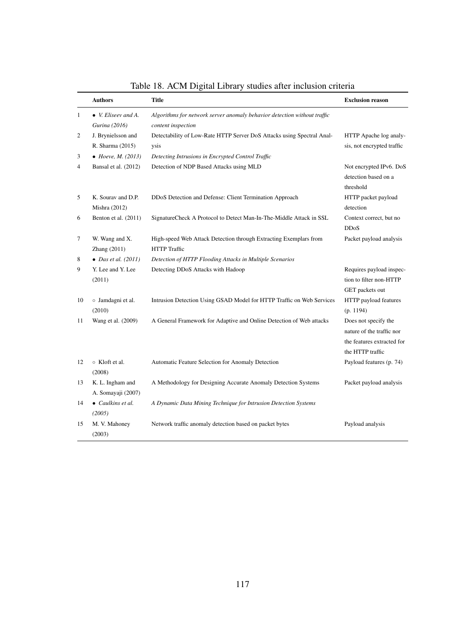<span id="page-128-0"></span>

|    | <b>Authors</b>                               | <b>Title</b>                                                                                   | <b>Exclusion reason</b>                                                                             |
|----|----------------------------------------------|------------------------------------------------------------------------------------------------|-----------------------------------------------------------------------------------------------------|
| 1  | $\bullet$ V. Eliseev and A.<br>Gurina (2016) | Algorithms for network server anomaly behavior detection without traffic<br>content inspection |                                                                                                     |
| 2  | J. Brynielsson and                           | Detectability of Low-Rate HTTP Server DoS Attacks using Spectral Anal-                         | HTTP Apache log analy-                                                                              |
|    | R. Sharma (2015)                             | ysis                                                                                           | sis, not encrypted traffic                                                                          |
| 3  | • Hoeve, M. $(2013)$                         | Detecting Intrusions in Encrypted Control Traffic                                              |                                                                                                     |
| 4  | Bansal et al. (2012)                         | Detection of NDP Based Attacks using MLD                                                       | Not encrypted IPv6. DoS<br>detection based on a<br>threshold                                        |
| 5  | K. Sourav and D.P.<br>Mishra $(2012)$        | DDoS Detection and Defense: Client Termination Approach                                        | HTTP packet payload<br>detection                                                                    |
| 6  | Benton et al. (2011)                         | SignatureCheck A Protocol to Detect Man-In-The-Middle Attack in SSL                            | Context correct, but no<br><b>DDoS</b>                                                              |
| 7  | W. Wang and X.<br>Zhang (2011)               | High-speed Web Attack Detection through Extracting Exemplars from<br><b>HTTP</b> Traffic       | Packet payload analysis                                                                             |
| 8  | $\bullet$ Das et al. (2011)                  | Detection of HTTP Flooding Attacks in Multiple Scenarios                                       |                                                                                                     |
| 9  | Y. Lee and Y. Lee<br>(2011)                  | Detecting DDoS Attacks with Hadoop                                                             | Requires payload inspec-<br>tion to filter non-HTTP<br>GET packets out                              |
| 10 | o Jamdagni et al.<br>(2010)                  | Intrusion Detection Using GSAD Model for HTTP Traffic on Web Services                          | HTTP payload features<br>(p. 1194)                                                                  |
| 11 | Wang et al. (2009)                           | A General Framework for Adaptive and Online Detection of Web attacks                           | Does not specify the<br>nature of the traffic nor<br>the features extracted for<br>the HTTP traffic |
| 12 | ○ Kloft et al.<br>(2008)                     | Automatic Feature Selection for Anomaly Detection                                              | Payload features (p. 74)                                                                            |
| 13 | K. L. Ingham and<br>A. Somayaji (2007)       | A Methodology for Designing Accurate Anomaly Detection Systems                                 | Packet payload analysis                                                                             |
| 14 | • Caulkins et al.<br>(2005)                  | A Dynamic Data Mining Technique for Intrusion Detection Systems                                |                                                                                                     |
| 15 | M. V. Mahoney<br>(2003)                      | Network traffic anomaly detection based on packet bytes                                        | Payload analysis                                                                                    |

## Table 18. ACM Digital Library studies after inclusion criteria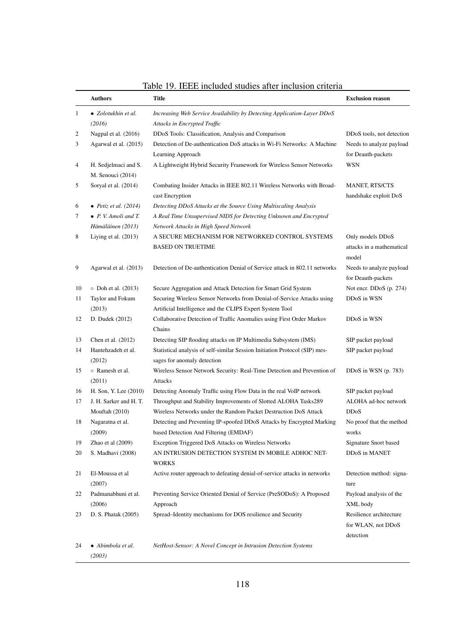<span id="page-129-0"></span>

|              | <b>Authors</b>                            | <b>Title</b>                                                                              | <b>Exclusion reason</b>                                    |
|--------------|-------------------------------------------|-------------------------------------------------------------------------------------------|------------------------------------------------------------|
| $\mathbf{1}$ | $\bullet$ Zolotukhin et al.               | Increasing Web Service Availability by Detecting Application-Layer DDoS                   |                                                            |
|              | (2016)                                    | Attacks in Encrypted Traffic                                                              |                                                            |
| 2            | Nagpal et al. (2016)                      | DDoS Tools: Classification, Analysis and Comparison                                       | DDoS tools, not detection                                  |
| 3            | Agarwal et al. (2015)                     | Detection of De-authentication DoS attacks in Wi-Fi Networks: A Machine                   | Needs to analyze payload                                   |
|              |                                           | Learning Approach                                                                         | for Deauth-packets                                         |
| 4            | H. Sedjelmaci and S.<br>M. Senouci (2014) | A Lightweight Hybrid Security Framework for Wireless Sensor Networks                      | WSN                                                        |
| 5            | Soryal et al. (2014)                      | Combating Insider Attacks in IEEE 802.11 Wireless Networks with Broad-<br>cast Encryption | MANET, RTS/CTS<br>handshake exploit DoS                    |
| 6            | • Petiz et al. $(2014)$                   | Detecting DDoS Attacks at the Source Using Multiscaling Analysis                          |                                                            |
| 7            | $\bullet$ P. V. Amoli and T.              | A Real Time Unsupervised NIDS for Detecting Unknown and Encrypted                         |                                                            |
|              | Hämäläinen (2013)                         | Network Attacks in High Speed Network                                                     |                                                            |
| 8            | Liying et al. $(2013)$                    | A SECURE MECHANISM FOR NETWORKED CONTROL SYSTEMS<br><b>BASED ON TRUETIME</b>              | Only models DDoS<br>attacks in a mathematical<br>model     |
| 9            | Agarwal et al. (2013)                     | Detection of De-authentication Denial of Service attack in 802.11 networks                | Needs to analyze payload<br>for Deauth-packets             |
| 10           | ○ Doh et al. (2013)                       | Secure Aggregation and Attack Detection for Smart Grid System                             | Not encr. DDoS (p. 274)                                    |
| 11           | Taylor and Fokum                          | Securing Wireless Sensor Networks from Denial-of-Service Attacks using                    | DDoS in WSN                                                |
|              | (2013)                                    | Artificial Intelligence and the CLIPS Expert System Tool                                  |                                                            |
| 12           | D. Dudek (2012)                           | Collaborative Detection of Traffic Anomalies using First Order Markov<br>Chains           | DDoS in WSN                                                |
| 13           | Chen et al. (2012)                        | Detecting SIP flooding attacks on IP Multimedia Subsystem (IMS)                           | SIP packet payload                                         |
| 14           | Hantehzadeh et al.                        | Statistical analysis of self-similar Session Initiation Protocol (SIP) mes-               | SIP packet payload                                         |
|              | (2012)                                    | sages for anomaly detection                                                               |                                                            |
| 15           | ○ Ramesh et al.                           | Wireless Sensor Network Security: Real-Time Detection and Prevention of                   | DDoS in WSN (p. 783)                                       |
|              | (2011)                                    | Attacks                                                                                   |                                                            |
| 16           | H. Son, Y. Lee (2010)                     | Detecting Anomaly Traffic using Flow Data in the real VoIP network                        | SIP packet payload                                         |
| 17           | J. H. Sarker and H. T.                    | Throughput and Stability Improvements of Slotted ALOHA Tasks289                           | ALOHA ad-hoc network                                       |
|              | Mouftah (2010)                            | Wireless Networks under the Random Packet Destruction DoS Attack                          | <b>DDoS</b>                                                |
| 18           | Nagaratna et al.                          | Detecting and Preventing IP-spoofed DDoS Attacks by Encrypted Marking                     | No proof that the method                                   |
|              | (2009)                                    | based Detection And Filtering (EMDAF)                                                     | works                                                      |
| 19           | Zhao et al $(2009)$                       | Exception Triggered DoS Attacks on Wireless Networks                                      | Signature Snort based                                      |
| 20           | S. Madhavi (2008)                         | AN INTRUSION DETECTION SYSTEM IN MOBILE ADHOC NET-<br><b>WORKS</b>                        | DDoS in MANET                                              |
| 21           | El-Moussa et al<br>(2007)                 | Active router approach to defeating denial-of-service attacks in networks                 | Detection method: signa-<br>ture                           |
| 22           | Padmanabhuni et al.                       | Preventing Service Oriented Denial of Service (PreSODoS): A Proposed                      | Payload analysis of the                                    |
|              | (2006)                                    | Approach                                                                                  | XML body                                                   |
| 23           | D. S. Phatak (2005)                       | Spread-Identity mechanisms for DOS resilience and Security                                | Resilience architecture<br>for WLAN, not DDoS<br>detection |
| 24           | • Abimbola et al.<br>(2003)               | NetHost-Sensor: A Novel Concept in Intrusion Detection Systems                            |                                                            |

Table 19. IEEE included studies after inclusion criteria